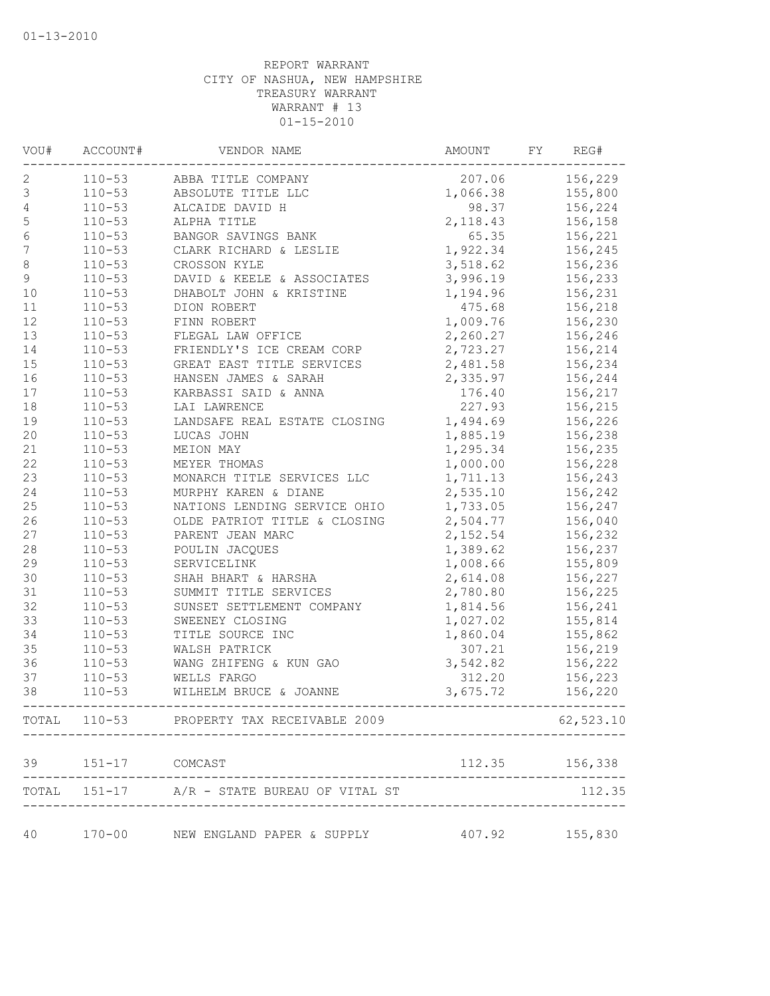| VOU#             | ACCOUNT#       | VENDOR NAME                                 | AMOUNT         | FY | REG#      |
|------------------|----------------|---------------------------------------------|----------------|----|-----------|
| 2                | $110 - 53$     | ABBA TITLE COMPANY                          | 207.06         |    | 156,229   |
| $\mathsf 3$      | $110 - 53$     | ABSOLUTE TITLE LLC                          | 1,066.38       |    | 155,800   |
| $\sqrt{4}$       | $110 - 53$     | ALCAIDE DAVID H                             | 98.37          |    | 156,224   |
| $\mathbf 5$      | $110 - 53$     | ALPHA TITLE                                 | 2,118.43       |    | 156,158   |
| $\sqrt{6}$       | $110 - 53$     | BANGOR SAVINGS BANK                         | 65.35          |    | 156,221   |
| $\boldsymbol{7}$ | $110 - 53$     | CLARK RICHARD & LESLIE                      | 1,922.34       |    | 156,245   |
| $\,8\,$          | $110 - 53$     | CROSSON KYLE                                | 3,518.62       |    | 156,236   |
| $\mathcal{G}$    | $110 - 53$     | DAVID & KEELE & ASSOCIATES                  | 3,996.19       |    | 156,233   |
| 10               | $110 - 53$     | DHABOLT JOHN & KRISTINE                     | 1,194.96       |    | 156,231   |
| 11               | $110 - 53$     | DION ROBERT                                 | 475.68         |    | 156,218   |
| 12               | $110 - 53$     | FINN ROBERT                                 | 1,009.76       |    | 156,230   |
| 13               | $110 - 53$     | FLEGAL LAW OFFICE                           | 2,260.27       |    | 156,246   |
| 14               | $110 - 53$     | FRIENDLY'S ICE CREAM CORP                   | 2,723.27       |    | 156,214   |
| 15               | $110 - 53$     | GREAT EAST TITLE SERVICES                   | 2,481.58       |    | 156,234   |
| 16               | $110 - 53$     | HANSEN JAMES & SARAH                        | 2,335.97       |    | 156,244   |
| $17$             | $110 - 53$     | KARBASSI SAID & ANNA                        | 176.40         |    | 156,217   |
| 18               | $110 - 53$     | LAI LAWRENCE                                | 227.93         |    | 156,215   |
| 19               | $110 - 53$     | LANDSAFE REAL ESTATE CLOSING                | 1,494.69       |    | 156,226   |
| 20               | $110 - 53$     | LUCAS JOHN                                  | 1,885.19       |    | 156,238   |
| 21               | $110 - 53$     | MEION MAY                                   | 1,295.34       |    | 156,235   |
| 22               | $110 - 53$     | MEYER THOMAS                                | 1,000.00       |    | 156,228   |
| 23               | $110 - 53$     | MONARCH TITLE SERVICES LLC                  | 1,711.13       |    | 156,243   |
| 24               | $110 - 53$     | MURPHY KAREN & DIANE                        | 2,535.10       |    | 156,242   |
| 25               | $110 - 53$     | NATIONS LENDING SERVICE OHIO                | 1,733.05       |    | 156,247   |
| 26               | $110 - 53$     | OLDE PATRIOT TITLE & CLOSING                | 2,504.77       |    | 156,040   |
| 27               | $110 - 53$     | PARENT JEAN MARC                            | 2,152.54       |    | 156,232   |
| $2\,8$           | $110 - 53$     | POULIN JACQUES                              | 1,389.62       |    | 156,237   |
| 29               | $110 - 53$     | SERVICELINK                                 | 1,008.66       |    | 155,809   |
| 30               | $110 - 53$     | SHAH BHART & HARSHA                         | 2,614.08       |    | 156,227   |
| 31               | $110 - 53$     | SUMMIT TITLE SERVICES                       | 2,780.80       |    | 156,225   |
| 32               | $110 - 53$     | SUNSET SETTLEMENT COMPANY                   | 1,814.56       |    | 156,241   |
| 33               | $110 - 53$     | SWEENEY CLOSING                             | 1,027.02       |    | 155,814   |
| 34               | $110 - 53$     | TITLE SOURCE INC                            | 1,860.04       |    | 155,862   |
| 35               | $110 - 53$     | WALSH PATRICK                               | 307.21         |    | 156,219   |
| 36               | $110 - 53$     | WANG ZHIFENG & KUN GAO                      | 3,542.82       |    | 156,222   |
| 37               | $110 - 53$     | WELLS FARGO                                 | 312.20         |    | 156,223   |
| 38               | $110 - 53$     | WILHELM BRUCE & JOANNE                      | 3,675.72       |    | 156,220   |
|                  |                | TOTAL 110-53 PROPERTY TAX RECEIVABLE 2009   |                |    | 62,523.10 |
| 39               | 151-17 COMCAST |                                             | 112.35 156,338 |    |           |
|                  |                | TOTAL 151-17 A/R - STATE BUREAU OF VITAL ST |                |    | 112.35    |
|                  |                |                                             |                |    |           |
| 40               | $170 - 00$     | NEW ENGLAND PAPER & SUPPLY                  | 407.92 155,830 |    |           |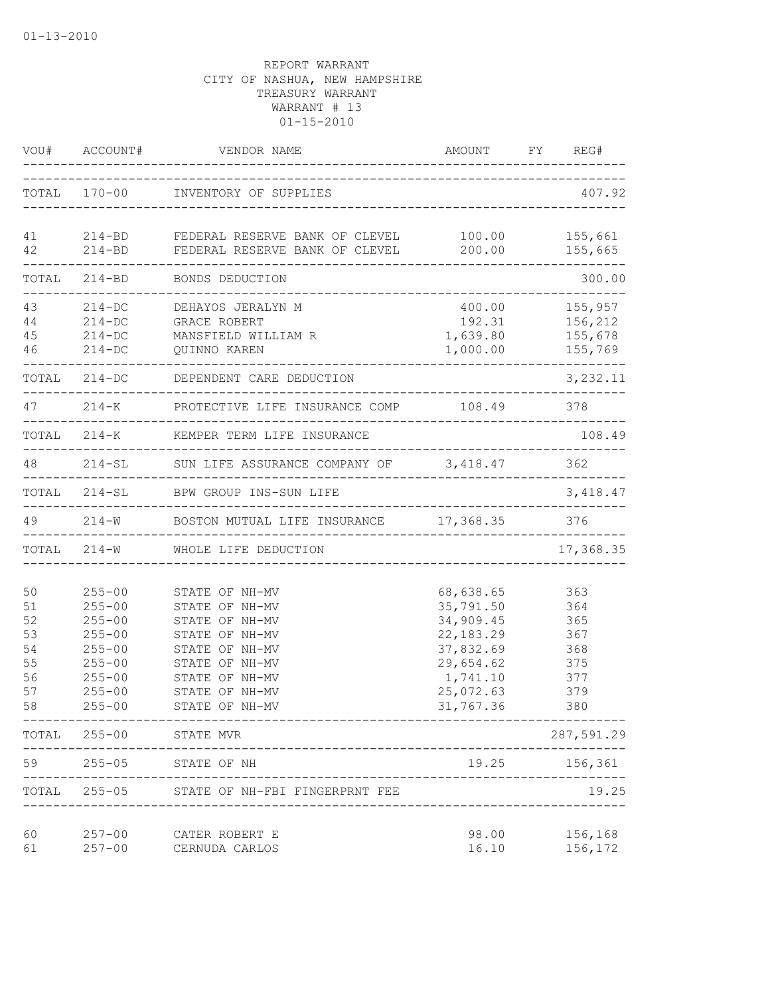|                                                    | VOU# ACCOUNT#                                                                                                              | VENDOR NAME<br>---------------------                                                                                                                           | AMOUNT FY REG#                                                                                                                         |                                                                            |
|----------------------------------------------------|----------------------------------------------------------------------------------------------------------------------------|----------------------------------------------------------------------------------------------------------------------------------------------------------------|----------------------------------------------------------------------------------------------------------------------------------------|----------------------------------------------------------------------------|
|                                                    |                                                                                                                            | TOTAL 170-00 INVENTORY OF SUPPLIES                                                                                                                             | ____________________________________                                                                                                   | 407.92                                                                     |
| 42                                                 |                                                                                                                            | 41   214-BD   FEDERAL RESERVE BANK OF CLEVEL   100.00   155,661<br>214-BD FEDERAL RESERVE BANK OF CLEVEL 200.00 155,665                                        |                                                                                                                                        |                                                                            |
|                                                    |                                                                                                                            | TOTAL 214-BD BONDS DEDUCTION                                                                                                                                   |                                                                                                                                        | 300.00                                                                     |
| 43<br>44<br>45<br>46                               |                                                                                                                            | 214-DC DEHAYOS JERALYN M<br>214-DC GRACE ROBERT<br>214-DC MANSFIELD WILLIAM R<br>214-DC QUINNO KAREN<br>________________________                               |                                                                                                                                        | 400.00 155,957<br>192.31 156,212<br>1,639.80 155,678<br>$1,000.00$ 155,769 |
|                                                    |                                                                                                                            | TOTAL 214-DC DEPENDENT CARE DEDUCTION                                                                                                                          |                                                                                                                                        | 3,232.11                                                                   |
|                                                    |                                                                                                                            | 47 214-K PROTECTIVE LIFE INSURANCE COMP 108.49 378                                                                                                             |                                                                                                                                        |                                                                            |
|                                                    |                                                                                                                            | TOTAL 214-K KEMPER TERM LIFE INSURANCE                                                                                                                         |                                                                                                                                        | 108.49                                                                     |
|                                                    |                                                                                                                            | 48 214-SL SUN LIFE ASSURANCE COMPANY OF 3,418.47 362                                                                                                           |                                                                                                                                        | _________________                                                          |
|                                                    |                                                                                                                            | TOTAL 214-SL BPW GROUP INS-SUN LIFE                                                                                                                            |                                                                                                                                        | 3,418.47                                                                   |
|                                                    |                                                                                                                            | 49 214-W BOSTON MUTUAL LIFE INSURANCE 17,368.35 376                                                                                                            |                                                                                                                                        |                                                                            |
|                                                    |                                                                                                                            | TOTAL 214-W WHOLE LIFE DEDUCTION                                                                                                                               |                                                                                                                                        | 17,368.35                                                                  |
| 50<br>51<br>52<br>53<br>54<br>55<br>56<br>57<br>58 | $255 - 00$<br>$255 - 00$<br>$255 - 00$<br>$255 - 00$<br>$255 - 00$<br>$255 - 00$<br>$255 - 00$<br>$255 - 00$<br>$255 - 00$ | STATE OF NH-MV<br>STATE OF NH-MV<br>STATE OF NH-MV<br>STATE OF NH-MV<br>STATE OF NH-MV<br>STATE OF NH-MV<br>STATE OF NH-MV<br>STATE OF NH-MV<br>STATE OF NH-MV | 68,638.65 363<br>35,791.50 364<br>34,909.45 365<br>22, 183. 29 367<br>37,832.69 368<br>29,654.62<br>1,741.10<br>25,072.63<br>31,767.36 | 375<br>377<br>379<br>380                                                   |
| TOTAL                                              | $255 - 00$                                                                                                                 | STATE MVR                                                                                                                                                      |                                                                                                                                        | 287,591.29                                                                 |
| 59                                                 | $255 - 05$                                                                                                                 | STATE OF NH                                                                                                                                                    | 19.25                                                                                                                                  | 156,361                                                                    |
|                                                    |                                                                                                                            | TOTAL 255-05 STATE OF NH-FBI FINGERPRNT FEE                                                                                                                    |                                                                                                                                        | 19.25                                                                      |
| 60<br>61                                           | $257 - 00$<br>$257 - 00$                                                                                                   | CATER ROBERT E<br>CERNUDA CARLOS                                                                                                                               | 98.00<br>16.10                                                                                                                         | 156,168<br>156,172                                                         |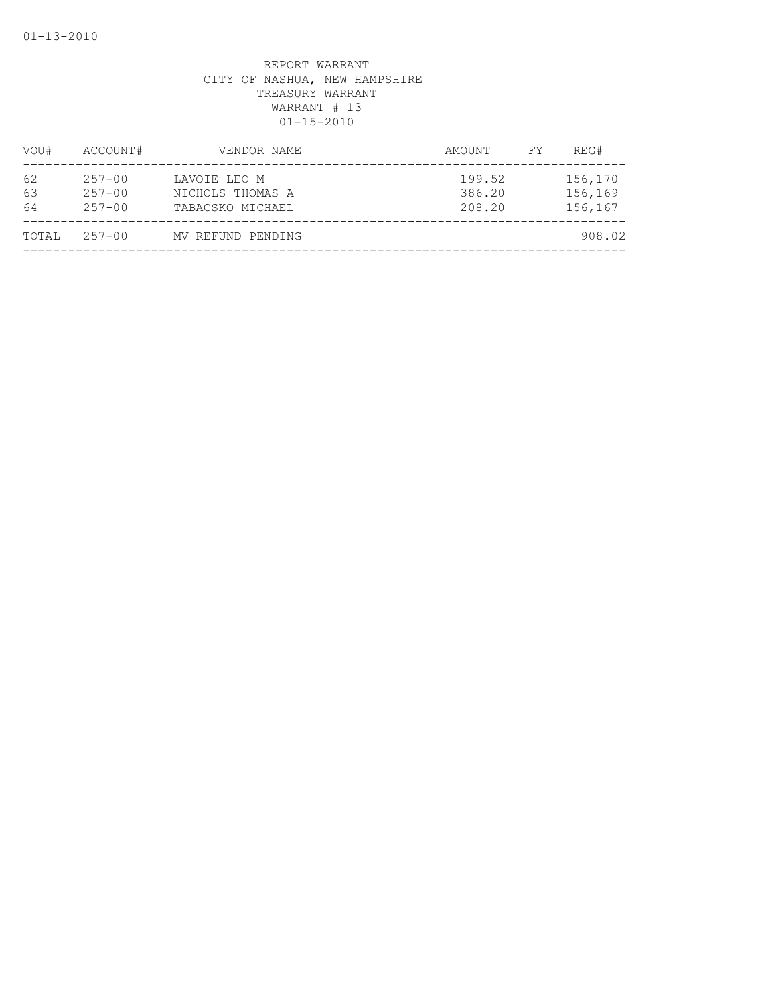| VOU#           | ACCOUNT#                               | VENDOR NAME                                          | AMOUNT                     | FY. | REG#                          |
|----------------|----------------------------------------|------------------------------------------------------|----------------------------|-----|-------------------------------|
| 62<br>63<br>64 | $257 - 00$<br>$257 - 00$<br>$257 - 00$ | LAVOIE LEO M<br>NICHOLS THOMAS A<br>TABACSKO MICHAEL | 199.52<br>386.20<br>208.20 |     | 156,170<br>156,169<br>156,167 |
| TOTAL          | $257 - 00$                             | MV REFUND PENDING                                    |                            |     | 908.02                        |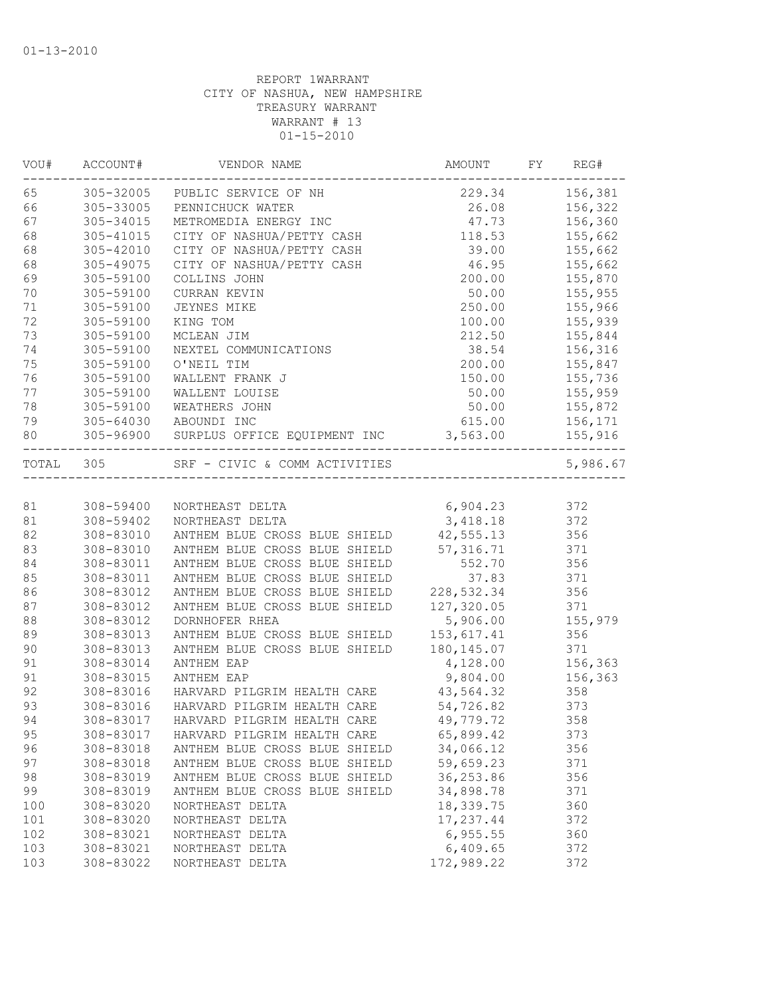| VOU#  | ACCOUNT#  | VENDOR NAME                                                                          | AMOUNT      | FY | REG#                 |
|-------|-----------|--------------------------------------------------------------------------------------|-------------|----|----------------------|
| 65    |           | 305-32005 PUBLIC SERVICE OF NH                                                       | 229.34      |    | 156,381              |
| 66    | 305-33005 | PENNICHUCK WATER                                                                     | 26.08       |    | 156,322              |
| 67    | 305-34015 | METROMEDIA ENERGY INC                                                                | 47.73       |    | 156,360              |
| 68    | 305-41015 | CITY OF NASHUA/PETTY CASH                                                            | 118.53      |    | 155,662              |
| 68    | 305-42010 | CITY OF NASHUA/PETTY CASH                                                            | 39.00       |    | 155,662              |
| 68    | 305-49075 | CITY OF NASHUA/PETTY CASH                                                            | 46.95       |    | 155,662              |
| 69    | 305-59100 | COLLINS JOHN                                                                         | 200.00      |    | 155,870              |
| 70    | 305-59100 | CURRAN KEVIN                                                                         | 50.00       |    | 155,955              |
| 71    | 305-59100 | JEYNES MIKE                                                                          | 250.00      |    | 155,966              |
| 72    | 305-59100 | KING TOM                                                                             | 100.00      |    | 155,939              |
| 73    | 305-59100 | MCLEAN JIM                                                                           | 212.50      |    | 155,844              |
| 74    | 305-59100 | NEXTEL COMMUNICATIONS                                                                | 38.54       |    | 156,316              |
| 75    | 305-59100 | O'NEIL TIM                                                                           | 200.00      |    | 155,847              |
| 76    | 305-59100 | WALLENT FRANK J                                                                      | 150.00      |    | 155,736              |
| 77    | 305-59100 | WALLENT LOUISE                                                                       | 50.00       |    | 155,959              |
| 78    | 305-59100 | WEATHERS JOHN                                                                        | 50.00       |    | 155,872              |
| 79    |           | 305-64030 ABOUNDI INC                                                                | 615.00      |    | 156,171              |
| 80    |           | 305-96900 SURPLUS OFFICE EQUIPMENT INC 3,563.00<br>--------------------------------- |             |    | 155,916<br>--------- |
| TOTAL | 305       | SRF - CIVIC & COMM ACTIVITIES                                                        |             |    | 5,986.67             |
|       |           |                                                                                      |             |    |                      |
| 81    | 308-59400 | NORTHEAST DELTA                                                                      | 6,904.23    |    | 372                  |
| 81    | 308-59402 | NORTHEAST DELTA                                                                      | 3,418.18    |    | 372                  |
| 82    | 308-83010 | ANTHEM BLUE CROSS BLUE SHIELD                                                        | 42,555.13   |    | 356                  |
| 83    | 308-83010 | ANTHEM BLUE CROSS BLUE SHIELD                                                        | 57, 316.71  |    | 371                  |
| 84    | 308-83011 | ANTHEM BLUE CROSS BLUE SHIELD                                                        | 552.70      |    | 356                  |
| 85    | 308-83011 | ANTHEM BLUE CROSS BLUE SHIELD                                                        | 37.83       |    | 371                  |
| 86    | 308-83012 | ANTHEM BLUE CROSS BLUE SHIELD                                                        | 228,532.34  |    | 356                  |
| 87    | 308-83012 | ANTHEM BLUE CROSS BLUE SHIELD                                                        | 127,320.05  |    | 371                  |
| 88    | 308-83012 | DORNHOFER RHEA                                                                       | 5,906.00    |    | 155,979              |
| 89    | 308-83013 | ANTHEM BLUE CROSS BLUE SHIELD                                                        | 153,617.41  |    | 356                  |
| 90    | 308-83013 | ANTHEM BLUE CROSS BLUE SHIELD                                                        | 180, 145.07 |    | 371                  |
| 91    | 308-83014 | ANTHEM EAP                                                                           | 4,128.00    |    | 156,363              |
| 91    | 308-83015 | <b>ANTHEM EAP</b>                                                                    | 9,804.00    |    | 156,363              |
| 92    | 308-83016 | HARVARD PILGRIM HEALTH CARE                                                          | 43,564.32   |    | 358                  |
| 93    | 308-83016 | HARVARD PILGRIM HEALTH CARE                                                          | 54,726.82   |    | 373                  |
| 94    | 308-83017 | HARVARD PILGRIM HEALTH CARE                                                          | 49,779.72   |    | 358                  |
| 95    | 308-83017 | HARVARD PILGRIM HEALTH CARE                                                          | 65,899.42   |    | 373                  |
| 96    | 308-83018 | ANTHEM BLUE CROSS BLUE SHIELD                                                        | 34,066.12   |    | 356                  |
| 97    | 308-83018 | ANTHEM BLUE CROSS BLUE SHIELD                                                        | 59,659.23   |    | 371                  |
| 98    | 308-83019 | ANTHEM BLUE CROSS BLUE SHIELD                                                        | 36,253.86   |    | 356                  |
| 99    | 308-83019 | ANTHEM BLUE CROSS BLUE SHIELD                                                        | 34,898.78   |    | 371                  |
| 100   | 308-83020 | NORTHEAST DELTA                                                                      | 18,339.75   |    | 360                  |
| 101   | 308-83020 | NORTHEAST DELTA                                                                      | 17,237.44   |    | 372                  |
| 102   | 308-83021 | NORTHEAST DELTA                                                                      | 6, 955.55   |    | 360                  |
| 103   | 308-83021 | NORTHEAST DELTA                                                                      | 6,409.65    |    | 372                  |
| 103   | 308-83022 | NORTHEAST DELTA                                                                      | 172,989.22  |    | 372                  |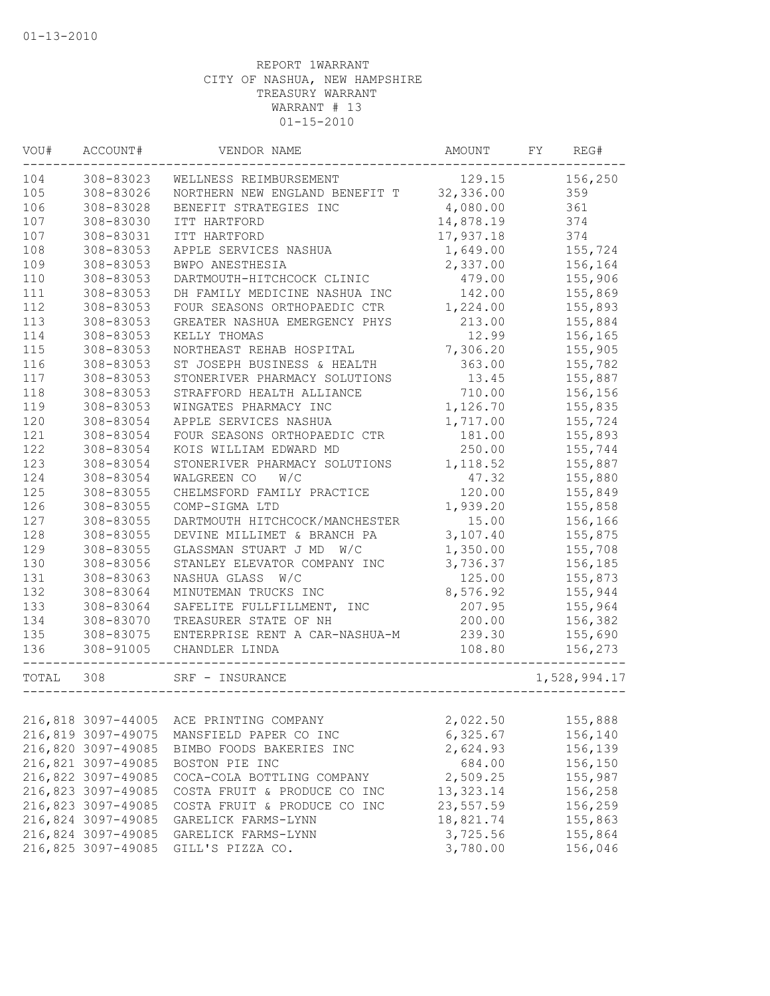| VOU#  | ACCOUNT#           | VENDOR NAME                    | AMOUNT     | FY | REG#         |
|-------|--------------------|--------------------------------|------------|----|--------------|
| 104   | 308-83023          | WELLNESS REIMBURSEMENT         | 129.15     |    | 156,250      |
| 105   | 308-83026          | NORTHERN NEW ENGLAND BENEFIT T | 32,336.00  |    | 359          |
| 106   | 308-83028          | BENEFIT STRATEGIES INC         | 4,080.00   |    | 361          |
| 107   | 308-83030          | ITT HARTFORD                   | 14,878.19  |    | 374          |
| 107   | 308-83031          | ITT HARTFORD                   | 17,937.18  |    | 374          |
| 108   | 308-83053          | APPLE SERVICES NASHUA          | 1,649.00   |    | 155,724      |
| 109   | 308-83053          | BWPO ANESTHESIA                | 2,337.00   |    | 156,164      |
| 110   | 308-83053          | DARTMOUTH-HITCHCOCK CLINIC     | 479.00     |    | 155,906      |
| 111   | 308-83053          | DH FAMILY MEDICINE NASHUA INC  | 142.00     |    | 155,869      |
| 112   | 308-83053          | FOUR SEASONS ORTHOPAEDIC CTR   | 1,224.00   |    | 155,893      |
| 113   | 308-83053          | GREATER NASHUA EMERGENCY PHYS  | 213.00     |    | 155,884      |
| 114   | 308-83053          | KELLY THOMAS                   | 12.99      |    | 156,165      |
| 115   | 308-83053          | NORTHEAST REHAB HOSPITAL       | 7,306.20   |    | 155,905      |
| 116   | 308-83053          | ST JOSEPH BUSINESS & HEALTH    | 363.00     |    | 155,782      |
| 117   | 308-83053          | STONERIVER PHARMACY SOLUTIONS  | 13.45      |    | 155,887      |
| 118   | 308-83053          | STRAFFORD HEALTH ALLIANCE      | 710.00     |    | 156,156      |
| 119   | 308-83053          | WINGATES PHARMACY INC          | 1,126.70   |    | 155,835      |
| 120   | 308-83054          | APPLE SERVICES NASHUA          | 1,717.00   |    | 155,724      |
| 121   | 308-83054          | FOUR SEASONS ORTHOPAEDIC CTR   | 181.00     |    | 155,893      |
| 122   | 308-83054          | KOIS WILLIAM EDWARD MD         | 250.00     |    | 155,744      |
| 123   | 308-83054          | STONERIVER PHARMACY SOLUTIONS  | 1,118.52   |    | 155,887      |
| 124   | 308-83054          | WALGREEN CO<br>W/C             | 47.32      |    | 155,880      |
| 125   | 308-83055          | CHELMSFORD FAMILY PRACTICE     | 120.00     |    | 155,849      |
| 126   | 308-83055          | COMP-SIGMA LTD                 | 1,939.20   |    | 155,858      |
| 127   | 308-83055          | DARTMOUTH HITCHCOCK/MANCHESTER | 15.00      |    | 156,166      |
| 128   | 308-83055          | DEVINE MILLIMET & BRANCH PA    | 3,107.40   |    | 155,875      |
| 129   | 308-83055          | GLASSMAN STUART J MD W/C       | 1,350.00   |    | 155,708      |
| 130   | 308-83056          | STANLEY ELEVATOR COMPANY INC   | 3,736.37   |    | 156,185      |
| 131   | 308-83063          | NASHUA GLASS<br>W/C            | 125.00     |    | 155,873      |
| 132   | 308-83064          | MINUTEMAN TRUCKS INC           | 8,576.92   |    | 155,944      |
| 133   | 308-83064          | SAFELITE FULLFILLMENT, INC     | 207.95     |    | 155,964      |
| 134   | 308-83070          | TREASURER STATE OF NH          | 200.00     |    | 156,382      |
| 135   | 308-83075          | ENTERPRISE RENT A CAR-NASHUA-M | 239.30     |    | 155,690      |
| 136   | 308-91005          | CHANDLER LINDA                 | 108.80     |    | 156,273      |
| TOTAL | 308                | SRF - INSURANCE                |            |    | 1,528,994.17 |
|       |                    |                                |            |    |              |
|       | 216,818 3097-44005 | ACE PRINTING COMPANY           | 2,022.50   |    | 155,888      |
|       | 216,819 3097-49075 | MANSFIELD PAPER CO INC         | 6,325.67   |    | 156,140      |
|       | 216,820 3097-49085 | BIMBO FOODS BAKERIES INC       | 2,624.93   |    | 156,139      |
|       | 216,821 3097-49085 | BOSTON PIE INC                 | 684.00     |    | 156,150      |
|       | 216,822 3097-49085 | COCA-COLA BOTTLING COMPANY     | 2,509.25   |    | 155,987      |
|       | 216,823 3097-49085 | COSTA FRUIT & PRODUCE CO INC   | 13, 323.14 |    | 156,258      |
|       | 216,823 3097-49085 | COSTA FRUIT & PRODUCE CO INC   | 23,557.59  |    | 156,259      |
|       | 216,824 3097-49085 | GARELICK FARMS-LYNN            | 18,821.74  |    | 155,863      |
|       | 216,824 3097-49085 | GARELICK FARMS-LYNN            | 3,725.56   |    | 155,864      |
|       | 216,825 3097-49085 | GILL'S PIZZA CO.               | 3,780.00   |    | 156,046      |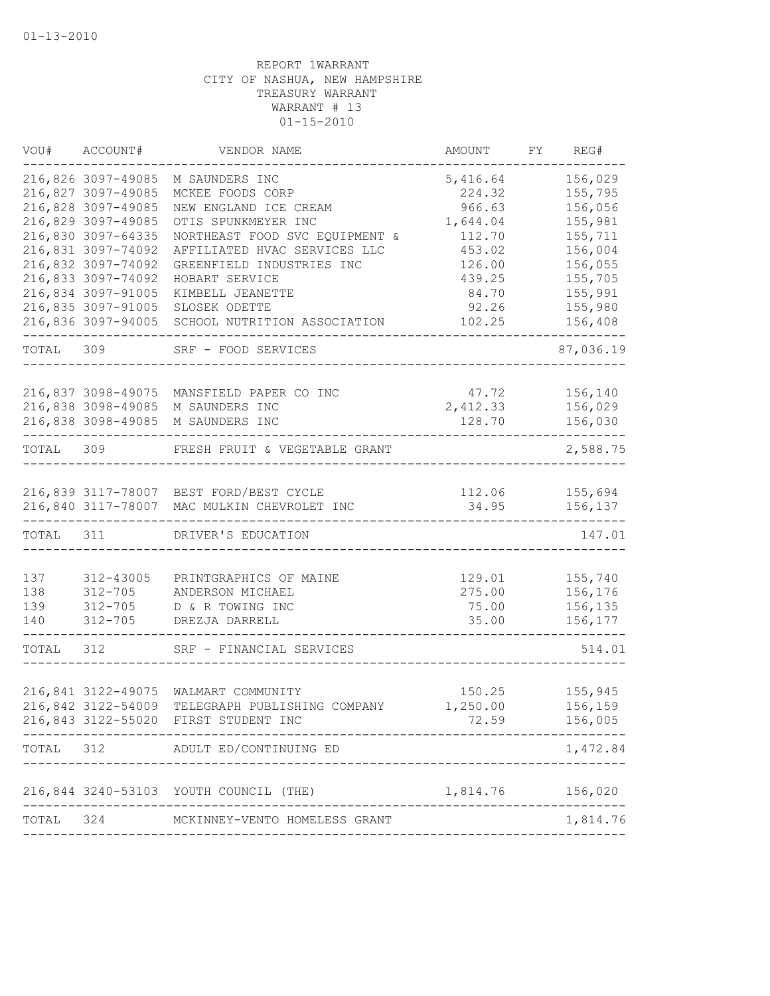| VOU#      | ACCOUNT#                                 | VENDOR NAME                                               | AMOUNT             | FΥ | REG#               |
|-----------|------------------------------------------|-----------------------------------------------------------|--------------------|----|--------------------|
|           | 216,826 3097-49085<br>216,827 3097-49085 | M SAUNDERS INC<br>MCKEE FOODS CORP                        | 5,416.64<br>224.32 |    | 156,029<br>155,795 |
|           | 216,828 3097-49085                       | NEW ENGLAND ICE CREAM                                     | 966.63             |    | 156,056            |
|           | 216,829 3097-49085                       | OTIS SPUNKMEYER INC                                       | 1,644.04           |    | 155,981            |
|           | 216,830 3097-64335                       | NORTHEAST FOOD SVC EQUIPMENT &                            | 112.70             |    | 155,711            |
|           | 216,831 3097-74092<br>216,832 3097-74092 | AFFILIATED HVAC SERVICES LLC<br>GREENFIELD INDUSTRIES INC | 453.02<br>126.00   |    | 156,004<br>156,055 |
|           | 216,833 3097-74092                       | HOBART SERVICE                                            | 439.25             |    | 155,705            |
|           | 216,834 3097-91005                       | KIMBELL JEANETTE                                          | 84.70              |    | 155,991            |
|           | 216,835 3097-91005                       | SLOSEK ODETTE                                             | 92.26              |    | 155,980            |
|           | 216,836 3097-94005                       | SCHOOL NUTRITION ASSOCIATION                              | 102.25             |    | 156,408            |
| TOTAL     | 309                                      | SRF - FOOD SERVICES                                       |                    |    | 87,036.19          |
|           |                                          |                                                           | 47.72              |    | 156,140            |
|           | 216,837 3098-49075<br>216,838 3098-49085 | MANSFIELD PAPER CO INC<br>M SAUNDERS INC                  | 2,412.33           |    | 156,029            |
|           | 216,838 3098-49085                       | M SAUNDERS INC                                            | 128.70             |    | 156,030            |
| TOTAL     | 309                                      | FRESH FRUIT & VEGETABLE GRANT                             |                    |    | 2,588.75           |
|           |                                          |                                                           |                    |    |                    |
|           |                                          | 216,839 3117-78007 BEST FORD/BEST CYCLE                   | 112.06             |    | 155,694            |
|           |                                          | 216,840 3117-78007 MAC MULKIN CHEVROLET INC               | 34.95              |    | 156,137            |
| TOTAL 311 |                                          | DRIVER'S EDUCATION                                        |                    |    | 147.01             |
| 137       | 312-43005                                | PRINTGRAPHICS OF MAINE                                    | 129.01             |    | 155,740            |
| 138       | $312 - 705$                              | ANDERSON MICHAEL                                          | 275.00             |    | 156,176            |
| 139       | $312 - 705$                              | D & R TOWING INC                                          | 75.00              |    | 156,135            |
| 140       | $312 - 705$                              | DREZJA DARRELL                                            | 35.00              |    | 156,177            |
| TOTAL     | 312                                      | SRF - FINANCIAL SERVICES                                  |                    |    | 514.01             |
|           | 216,841 3122-49075                       | WALMART COMMUNITY                                         | 150.25             |    | 155,945            |
|           | 216,842 3122-54009                       | TELEGRAPH PUBLISHING COMPANY                              | 1,250.00           |    | 156,159            |
|           |                                          | 216,843 3122-55020 FIRST STUDENT INC                      |                    |    | 72.59 156,005      |
| TOTAL     |                                          | 312 ADULT ED/CONTINUING ED                                |                    |    | 1,472.84           |
|           |                                          | 216,844 3240-53103 YOUTH COUNCIL (THE)                    | 1,814.76 156,020   |    |                    |
| TOTAL     |                                          | -----------------<br>324 MCKINNEY-VENTO HOMELESS GRANT    |                    |    | 1,814.76           |
|           |                                          |                                                           |                    |    |                    |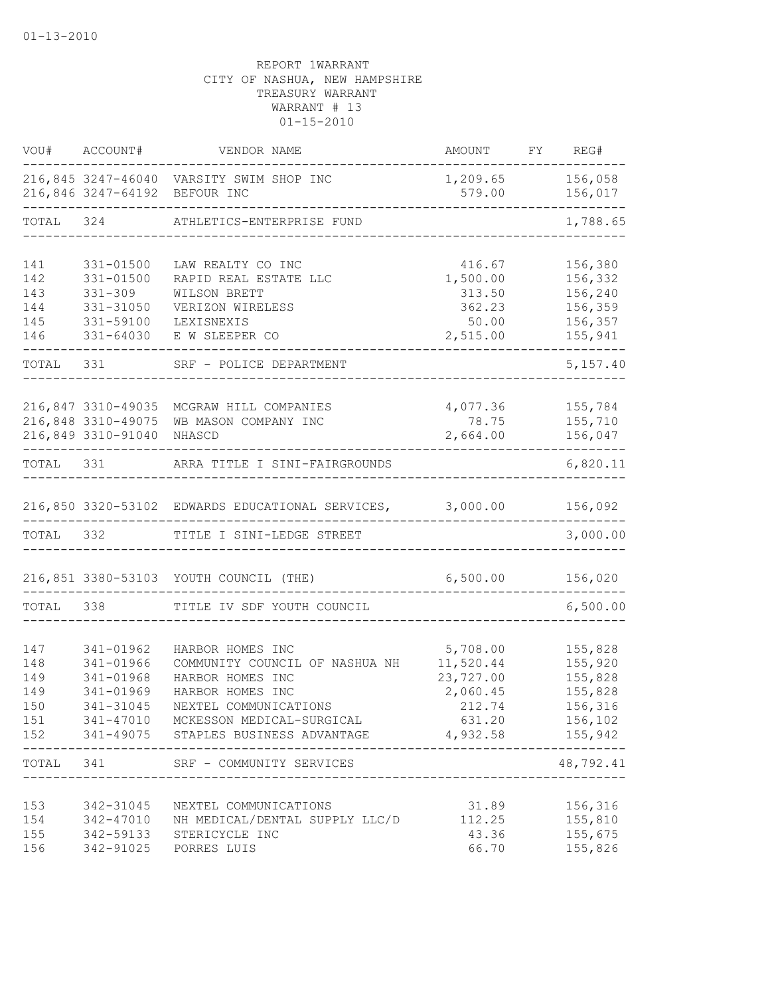|                                               | VOU# ACCOUNT#                                                                    | VENDOR NAME                                                                                                                                                                                        | <b>AMOUNT</b>                                                                          | FY REG#                                                        |
|-----------------------------------------------|----------------------------------------------------------------------------------|----------------------------------------------------------------------------------------------------------------------------------------------------------------------------------------------------|----------------------------------------------------------------------------------------|----------------------------------------------------------------|
|                                               |                                                                                  | 216,845 3247-46040 VARSITY SWIM SHOP INC<br>216,846 3247-64192 BEFOUR INC                                                                                                                          | 1,209.65<br>579.00                                                                     | 156,058<br>156,017                                             |
| TOTAL                                         | 324                                                                              | ATHLETICS-ENTERPRISE FUND                                                                                                                                                                          |                                                                                        | 1,788.65                                                       |
| 141<br>142<br>143<br>144<br>145<br>146        | 331-01500<br>$331 - 01500$<br>$331 - 309$<br>331-31050<br>331-59100<br>331-64030 | LAW REALTY CO INC<br>RAPID REAL ESTATE LLC<br>WILSON BRETT<br>VERIZON WIRELESS<br>LEXISNEXIS<br>E W SLEEPER CO                                                                                     | 416.67<br>1,500.00<br>313.50<br>362.23<br>50.00<br>2,515.00                            | 156,380<br>156,332<br>156,240<br>156,359<br>156,357<br>155,941 |
| TOTAL                                         | 331                                                                              | SRF - POLICE DEPARTMENT                                                                                                                                                                            |                                                                                        | 5,157.40                                                       |
|                                               | 216,847 3310-49035<br>216,848 3310-49075<br>216,849 3310-91040                   | MCGRAW HILL COMPANIES<br>WB MASON COMPANY INC<br>NHASCD                                                                                                                                            | 4,077.36<br>78.75<br>2,664.00                                                          | 155,784<br>155,710<br>156,047<br>$------$                      |
| TOTAL 331                                     |                                                                                  | ARRA TITLE I SINI-FAIRGROUNDS                                                                                                                                                                      |                                                                                        | 6,820.11                                                       |
|                                               |                                                                                  | 216,850 3320-53102 EDWARDS EDUCATIONAL SERVICES, 3,000.00                                                                                                                                          |                                                                                        | 156,092                                                        |
| TOTAL 332                                     |                                                                                  | TITLE I SINI-LEDGE STREET                                                                                                                                                                          |                                                                                        | 3,000.00                                                       |
|                                               |                                                                                  | 216,851 3380-53103 YOUTH COUNCIL (THE)                                                                                                                                                             | 6,500.00                                                                               | 156,020                                                        |
| TOTAL                                         | 338                                                                              | TITLE IV SDF YOUTH COUNCIL                                                                                                                                                                         |                                                                                        | 6,500.00                                                       |
| 147<br>148<br>149<br>149<br>150<br>151<br>152 | 341-01962<br>341-01966<br>341-01968<br>341-01969<br>341-31045                    | HARBOR HOMES INC<br>COMMUNITY COUNCIL OF NASHUA NH<br>HARBOR HOMES INC<br>HARBOR HOMES INC<br>NEXTEL COMMUNICATIONS<br>341-47010 MCKESSON MEDICAL-SURGICAL<br>341-49075 STAPLES BUSINESS ADVANTAGE | 5,708.00<br>11,520.44<br>23,727.00<br>2,060.45<br>212.74<br>631.20<br>4,932.58 155,942 | 155,828<br>155,920<br>155,828<br>155,828<br>156,316<br>156,102 |
|                                               | TOTAL 341                                                                        | SRF - COMMUNITY SERVICES                                                                                                                                                                           |                                                                                        | 48,792.41                                                      |
| 153<br>154<br>155<br>156                      |                                                                                  | 342-31045 NEXTEL COMMUNICATIONS<br>342-47010 NH MEDICAL/DENTAL SUPPLY LLC/D<br>342-59133 STERICYCLE INC<br>342-91025 PORRES LUIS                                                                   | 31.89<br>112.25<br>43.36<br>66.70                                                      | 156,316<br>155,810<br>155,675<br>155,826                       |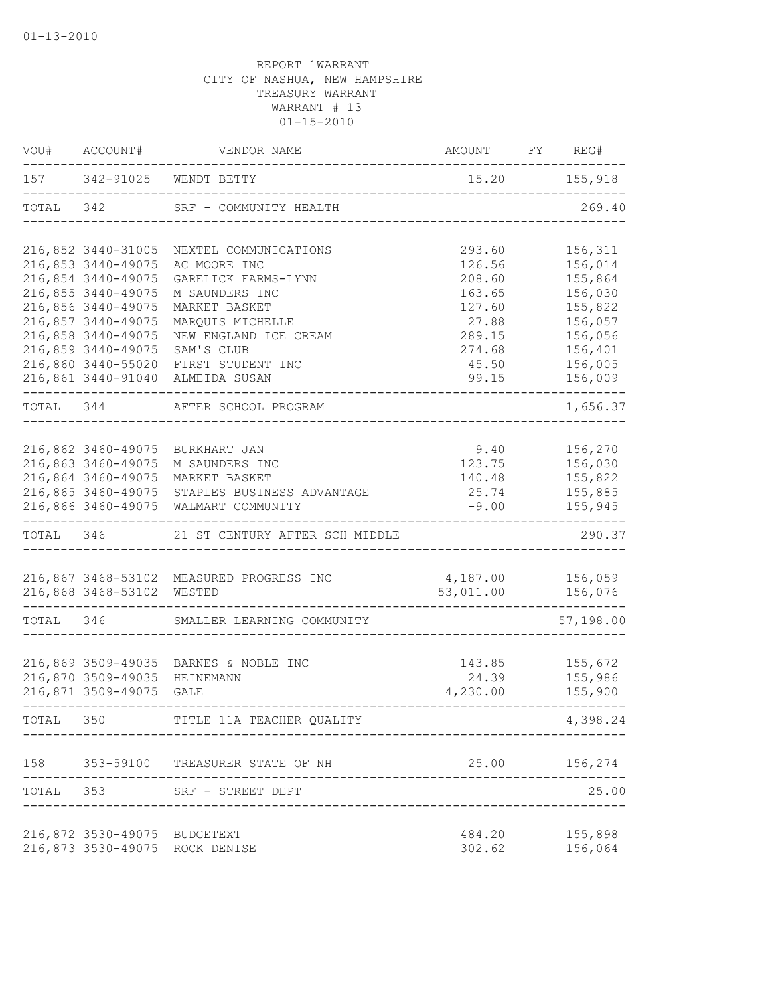| VOU#      | ACCOUNT#                                 | VENDOR NAME                                   | AMOUNT FY REG#  |                         |
|-----------|------------------------------------------|-----------------------------------------------|-----------------|-------------------------|
|           |                                          | 157 342-91025 WENDT BETTY                     | 15.20 155,918   |                         |
| TOTAL 342 |                                          | SRF - COMMUNITY HEALTH                        |                 | 269.40                  |
|           | 216,852 3440-31005                       | NEXTEL COMMUNICATIONS                         | 293.60          | 156,311                 |
|           | 216,853 3440-49075                       | AC MOORE INC                                  | 126.56          | 156,014                 |
|           | 216,854 3440-49075                       | GARELICK FARMS-LYNN                           | 208.60          | 155,864                 |
|           | 216,855 3440-49075                       | M SAUNDERS INC                                | 163.65          | 156,030                 |
|           | 216,856 3440-49075                       | MARKET BASKET                                 | 127.60          | 155,822                 |
|           | 216,857 3440-49075                       | MARQUIS MICHELLE                              | 27.88           | 156,057                 |
|           | 216,858 3440-49075                       | NEW ENGLAND ICE CREAM                         | 289.15          | 156,056                 |
|           | 216,859 3440-49075<br>216,860 3440-55020 | SAM'S CLUB<br>FIRST STUDENT INC               | 274.68<br>45.50 | 156,401<br>156,005      |
|           | 216,861 3440-91040                       | ALMEIDA SUSAN                                 | 99.15           | 156,009                 |
| TOTAL 344 |                                          | AFTER SCHOOL PROGRAM                          |                 | $- - - - -$<br>1,656.37 |
|           |                                          |                                               |                 |                         |
|           | 216,862 3460-49075                       | BURKHART JAN                                  | 9.40            | 156,270                 |
|           | 216,863 3460-49075                       | M SAUNDERS INC                                |                 | 123.75 156,030          |
|           | 216,864 3460-49075                       | MARKET BASKET                                 | 140.48          | 155,822                 |
|           |                                          | 216,865 3460-49075 STAPLES BUSINESS ADVANTAGE | 25.74           | 155,885                 |
|           |                                          | 216,866 3460-49075 WALMART COMMUNITY          | $-9.00$         | 155,945                 |
| TOTAL 346 |                                          | 21 ST CENTURY AFTER SCH MIDDLE                |                 | 290.37                  |
|           |                                          | 216,867 3468-53102 MEASURED PROGRESS INC      | 4,187.00        | 156,059                 |
|           | 216,868 3468-53102 WESTED                |                                               | 53,011.00       | 156,076                 |
| TOTAL 346 |                                          | SMALLER LEARNING COMMUNITY                    |                 | 57,198.00               |
|           |                                          |                                               |                 |                         |
|           | 216,869 3509-49035                       | BARNES & NOBLE INC                            | 143.85          | 155,672                 |
|           | 216,870 3509-49035                       | HEINEMANN                                     | 24.39           | 155,986                 |
|           | 216,871 3509-49075                       | GALE                                          | 4,230.00        | 155,900                 |
| TOTAL     | 350                                      | TITLE 11A TEACHER QUALITY                     |                 | 4,398.24                |
| 158       |                                          | 353-59100 TREASURER STATE OF NH               | 25.00           | 156,274                 |
| TOTAL     |                                          | 353 SRF - STREET DEPT                         |                 | 25.00                   |
|           | 216,872 3530-49075 BUDGETEXT             |                                               | 484.20          | 155,898                 |
|           |                                          | 216,873 3530-49075 ROCK DENISE                | 302.62          | 156,064                 |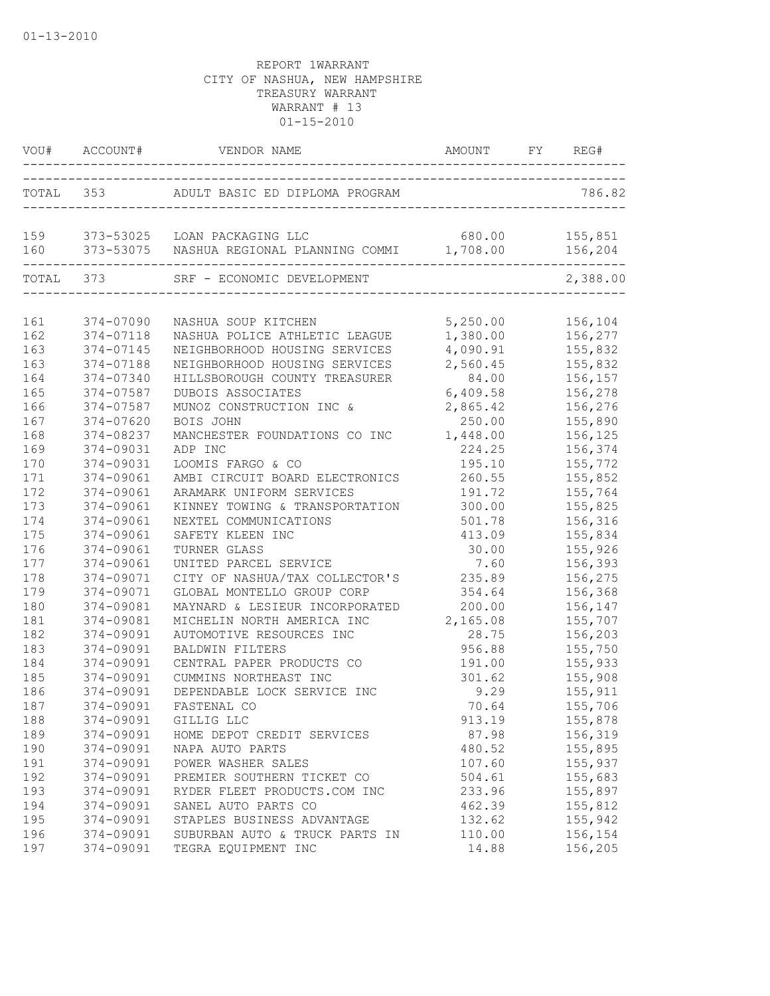|     |           | VOU# ACCOUNT# VENDOR NAME                                                                                        | AMOUNT FY REG# |          |
|-----|-----------|------------------------------------------------------------------------------------------------------------------|----------------|----------|
|     |           | TOTAL 353 ADULT BASIC ED DIPLOMA PROGRAM                                                                         |                | 786.82   |
|     |           | 159 373-53025 LOAN PACKAGING LLC 680.00 155,851<br>160 373-53075 NASHUA REGIONAL PLANNING COMMI 1,708.00 156,204 |                |          |
|     | TOTAL 373 | SRF - ECONOMIC DEVELOPMENT                                                                                       |                | 2,388.00 |
| 161 | 374-07090 | NASHUA SOUP KITCHEN                                                                                              | 5,250.00       | 156,104  |
| 162 | 374-07118 | NASHUA POLICE ATHLETIC LEAGUE                                                                                    | 1,380.00       | 156,277  |
| 163 | 374-07145 | NEIGHBORHOOD HOUSING SERVICES                                                                                    | 4,090.91       | 155,832  |
| 163 | 374-07188 | NEIGHBORHOOD HOUSING SERVICES                                                                                    | 2,560.45       | 155,832  |
| 164 | 374-07340 | HILLSBOROUGH COUNTY TREASURER                                                                                    | 84.00          | 156,157  |
| 165 | 374-07587 | DUBOIS ASSOCIATES                                                                                                | 6,409.58       | 156,278  |
| 166 | 374-07587 | MUNOZ CONSTRUCTION INC &                                                                                         | 2,865.42       | 156,276  |
| 167 | 374-07620 | BOIS JOHN                                                                                                        | 250.00         | 155,890  |
| 168 | 374-08237 | MANCHESTER FOUNDATIONS CO INC                                                                                    | 1,448.00       | 156,125  |
| 169 | 374-09031 | ADP INC                                                                                                          | 224.25         | 156,374  |
| 170 | 374-09031 | LOOMIS FARGO & CO                                                                                                | 195.10         | 155,772  |
| 171 | 374-09061 | AMBI CIRCUIT BOARD ELECTRONICS                                                                                   | 260.55         | 155,852  |
| 172 | 374-09061 | ARAMARK UNIFORM SERVICES                                                                                         | 191.72         | 155,764  |
| 173 | 374-09061 | KINNEY TOWING & TRANSPORTATION                                                                                   | 300.00         | 155,825  |
| 174 | 374-09061 | NEXTEL COMMUNICATIONS                                                                                            | 501.78         | 156,316  |
| 175 | 374-09061 | SAFETY KLEEN INC                                                                                                 | 413.09         | 155,834  |
| 176 | 374-09061 | TURNER GLASS                                                                                                     | 30.00          | 155,926  |
| 177 | 374-09061 | UNITED PARCEL SERVICE                                                                                            | 7.60           | 156,393  |
| 178 | 374-09071 | CITY OF NASHUA/TAX COLLECTOR'S                                                                                   | 235.89         | 156,275  |
| 179 | 374-09071 | GLOBAL MONTELLO GROUP CORP                                                                                       | 354.64         | 156,368  |
| 180 | 374-09081 | MAYNARD & LESIEUR INCORPORATED                                                                                   | 200.00         | 156,147  |
| 181 | 374-09081 | MICHELIN NORTH AMERICA INC                                                                                       | 2,165.08       | 155,707  |
| 182 | 374-09091 | AUTOMOTIVE RESOURCES INC                                                                                         | 28.75          | 156,203  |
| 183 | 374-09091 | <b>BALDWIN FILTERS</b>                                                                                           | 956.88         | 155,750  |
| 184 | 374-09091 | CENTRAL PAPER PRODUCTS CO                                                                                        | 191.00         | 155,933  |
| 185 | 374-09091 | CUMMINS NORTHEAST INC                                                                                            | 301.62         | 155,908  |
| 186 | 374-09091 | DEPENDABLE LOCK SERVICE INC                                                                                      | 9.29           | 155,911  |
| 187 | 374-09091 | FASTENAL CO                                                                                                      | 70.64          | 155,706  |
| 188 | 374-09091 | GILLIG LLC                                                                                                       | 913.19         | 155,878  |
| 189 | 374-09091 | HOME DEPOT CREDIT SERVICES                                                                                       | 87.98          | 156,319  |
| 190 | 374-09091 | NAPA AUTO PARTS                                                                                                  | 480.52         | 155,895  |
| 191 | 374-09091 | POWER WASHER SALES                                                                                               | 107.60         | 155,937  |
| 192 | 374-09091 | PREMIER SOUTHERN TICKET CO                                                                                       | 504.61         | 155,683  |
| 193 | 374-09091 | RYDER FLEET PRODUCTS.COM INC                                                                                     | 233.96         | 155,897  |
| 194 | 374-09091 | SANEL AUTO PARTS CO                                                                                              | 462.39         | 155,812  |
| 195 | 374-09091 | STAPLES BUSINESS ADVANTAGE                                                                                       | 132.62         | 155,942  |
| 196 | 374-09091 | SUBURBAN AUTO & TRUCK PARTS IN                                                                                   | 110.00         | 156,154  |
| 197 | 374-09091 | TEGRA EQUIPMENT INC                                                                                              | 14.88          | 156,205  |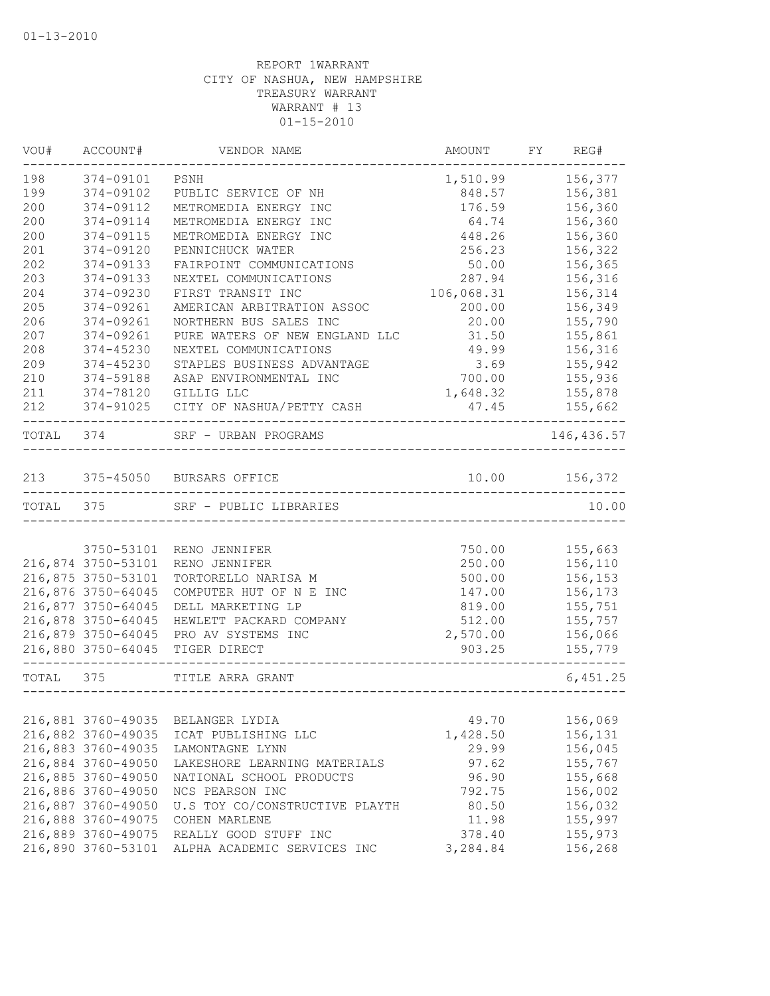| VOU#      | ACCOUNT#           | VENDOR NAME                           | AMOUNT     | FY | REG#        |
|-----------|--------------------|---------------------------------------|------------|----|-------------|
| 198       | 374-09101          | PSNH                                  | 1,510.99   |    | 156,377     |
| 199       | 374-09102          | PUBLIC SERVICE OF NH                  | 848.57     |    | 156,381     |
| 200       | 374-09112          | METROMEDIA ENERGY INC                 | 176.59     |    | 156,360     |
| 200       | 374-09114          | METROMEDIA ENERGY INC                 | 64.74      |    | 156,360     |
| 200       | 374-09115          | METROMEDIA ENERGY INC                 | 448.26     |    | 156,360     |
| 201       | 374-09120          | PENNICHUCK WATER                      | 256.23     |    | 156,322     |
| 202       | 374-09133          | FAIRPOINT COMMUNICATIONS              | 50.00      |    | 156,365     |
| 203       | 374-09133          | NEXTEL COMMUNICATIONS                 | 287.94     |    | 156,316     |
| 204       | 374-09230          | FIRST TRANSIT INC                     | 106,068.31 |    | 156,314     |
| 205       | 374-09261          | AMERICAN ARBITRATION ASSOC            | 200.00     |    | 156,349     |
| 206       | 374-09261          | NORTHERN BUS SALES INC                | 20.00      |    | 155,790     |
| 207       | 374-09261          | PURE WATERS OF NEW ENGLAND LLC        | 31.50      |    | 155,861     |
| 208       | 374-45230          | NEXTEL COMMUNICATIONS                 | 49.99      |    | 156,316     |
| 209       | 374-45230          | STAPLES BUSINESS ADVANTAGE            | 3.69       |    | 155,942     |
| 210       | 374-59188          | ASAP ENVIRONMENTAL INC                | 700.00     |    | 155,936     |
| 211       | 374-78120          | GILLIG LLC                            | 1,648.32   |    | 155,878     |
| 212       | 374-91025          | CITY OF NASHUA/PETTY CASH             | 47.45      |    | 155,662     |
| TOTAL     | 374                | SRF - URBAN PROGRAMS                  |            |    | 146, 436.57 |
| 213       |                    | 375-45050 BURSARS OFFICE              | 10.00      |    | 156,372     |
| TOTAL     | 375                | SRF - PUBLIC LIBRARIES                |            |    | 10.00       |
|           |                    |                                       |            |    |             |
|           | 3750-53101         | RENO JENNIFER                         | 750.00     |    | 155,663     |
|           | 216,874 3750-53101 | RENO JENNIFER                         | 250.00     |    | 156,110     |
|           | 216,875 3750-53101 | TORTORELLO NARISA M                   | 500.00     |    | 156,153     |
|           | 216,876 3750-64045 | COMPUTER HUT OF N E INC               | 147.00     |    | 156,173     |
|           | 216,877 3750-64045 | DELL MARKETING LP                     | 819.00     |    | 155,751     |
|           | 216,878 3750-64045 | HEWLETT PACKARD COMPANY               | 512.00     |    | 155,757     |
|           | 216,879 3750-64045 | PRO AV SYSTEMS INC                    | 2,570.00   |    |             |
|           | 216,880 3750-64045 |                                       |            |    | 156,066     |
|           |                    | TIGER DIRECT<br>--------------------- | 903.25     |    | 155,779     |
| TOTAL 375 |                    | TITLE ARRA GRANT                      |            |    | 6,451.25    |
|           |                    |                                       |            |    |             |
|           | 216,881 3760-49035 | BELANGER LYDIA                        | 49.70      |    | 156,069     |
|           | 216,882 3760-49035 | ICAT PUBLISHING LLC                   | 1,428.50   |    | 156,131     |
|           | 216,883 3760-49035 | LAMONTAGNE LYNN                       | 29.99      |    | 156,045     |
|           | 216,884 3760-49050 | LAKESHORE LEARNING MATERIALS          | 97.62      |    | 155,767     |
|           | 216,885 3760-49050 | NATIONAL SCHOOL PRODUCTS              | 96.90      |    | 155,668     |
|           | 216,886 3760-49050 | NCS PEARSON INC                       | 792.75     |    | 156,002     |
|           | 216,887 3760-49050 | U.S TOY CO/CONSTRUCTIVE PLAYTH        | 80.50      |    | 156,032     |
|           | 216,888 3760-49075 | COHEN MARLENE                         | 11.98      |    | 155,997     |
|           | 216,889 3760-49075 | REALLY GOOD STUFF INC                 | 378.40     |    | 155,973     |
|           | 216,890 3760-53101 | ALPHA ACADEMIC SERVICES INC           | 3,284.84   |    | 156,268     |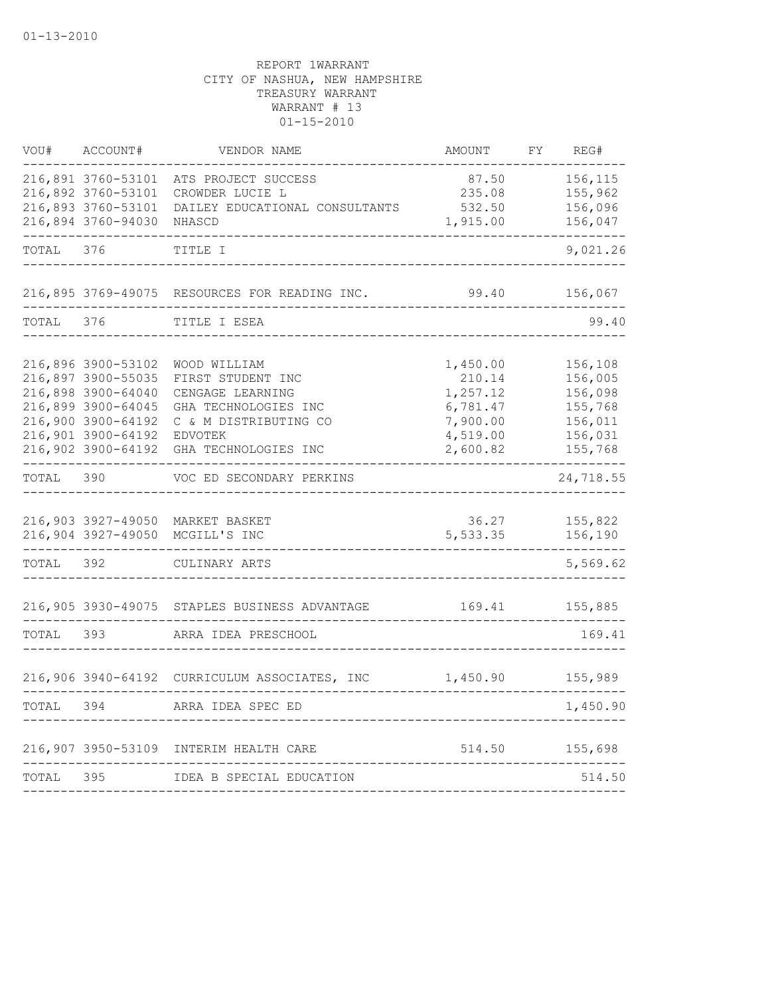| VOU#      | ACCOUNT#                                                                                                                                               | VENDOR NAME                                                                                                                               | AMOUNT                                                                         | FΥ | REG#                                                                      |
|-----------|--------------------------------------------------------------------------------------------------------------------------------------------------------|-------------------------------------------------------------------------------------------------------------------------------------------|--------------------------------------------------------------------------------|----|---------------------------------------------------------------------------|
|           | 216,891 3760-53101<br>216,892 3760-53101<br>216,893 3760-53101<br>216,894 3760-94030 NHASCD                                                            | ATS PROJECT SUCCESS<br>CROWDER LUCIE L<br>DAILEY EDUCATIONAL CONSULTANTS                                                                  | 87.50<br>235.08<br>532.50<br>1,915.00                                          |    | 156,115<br>155,962<br>156,096<br>156,047                                  |
| TOTAL     | 376                                                                                                                                                    | TITLE I                                                                                                                                   |                                                                                |    | 9,021.26                                                                  |
|           |                                                                                                                                                        | 216,895 3769-49075 RESOURCES FOR READING INC.                                                                                             | 99.40                                                                          |    | 156,067                                                                   |
| TOTAL 376 |                                                                                                                                                        | TITLE I ESEA                                                                                                                              |                                                                                |    | 99.40                                                                     |
|           | 216,896 3900-53102<br>216,897 3900-55035<br>216,898 3900-64040<br>216,899 3900-64045<br>216,900 3900-64192<br>216,901 3900-64192<br>216,902 3900-64192 | WOOD WILLIAM<br>FIRST STUDENT INC<br>CENGAGE LEARNING<br>GHA TECHNOLOGIES INC<br>C & M DISTRIBUTING CO<br>EDVOTEK<br>GHA TECHNOLOGIES INC | 1,450.00<br>210.14<br>1,257.12<br>6,781.47<br>7,900.00<br>4,519.00<br>2,600.82 |    | 156,108<br>156,005<br>156,098<br>155,768<br>156,011<br>156,031<br>155,768 |
| TOTAL     | 390                                                                                                                                                    | VOC ED SECONDARY PERKINS                                                                                                                  |                                                                                |    | 24,718.55                                                                 |
|           |                                                                                                                                                        | 216,903 3927-49050 MARKET BASKET<br>216,904 3927-49050 MCGILL'S INC                                                                       | 36.27<br>5,533.35                                                              |    | 155,822<br>156,190                                                        |
| TOTAL     | 392                                                                                                                                                    | CULINARY ARTS                                                                                                                             |                                                                                |    | 5,569.62                                                                  |
|           |                                                                                                                                                        | 216,905 3930-49075 STAPLES BUSINESS ADVANTAGE                                                                                             | 169.41                                                                         |    | 155,885                                                                   |
| TOTAL     | 393                                                                                                                                                    | ARRA IDEA PRESCHOOL                                                                                                                       |                                                                                |    | 169.41                                                                    |
|           |                                                                                                                                                        | 216,906 3940-64192 CURRICULUM ASSOCIATES, INC                                                                                             | 1,450.90 155,989                                                               |    |                                                                           |
| TOTAL 394 |                                                                                                                                                        | ARRA IDEA SPEC ED                                                                                                                         |                                                                                |    | 1,450.90                                                                  |
|           |                                                                                                                                                        | 216,907 3950-53109 INTERIM HEALTH CARE                                                                                                    | 514.50                                                                         |    | 155,698                                                                   |
| TOTAL     | 395                                                                                                                                                    | IDEA B SPECIAL EDUCATION                                                                                                                  |                                                                                |    | 514.50                                                                    |
|           |                                                                                                                                                        |                                                                                                                                           |                                                                                |    |                                                                           |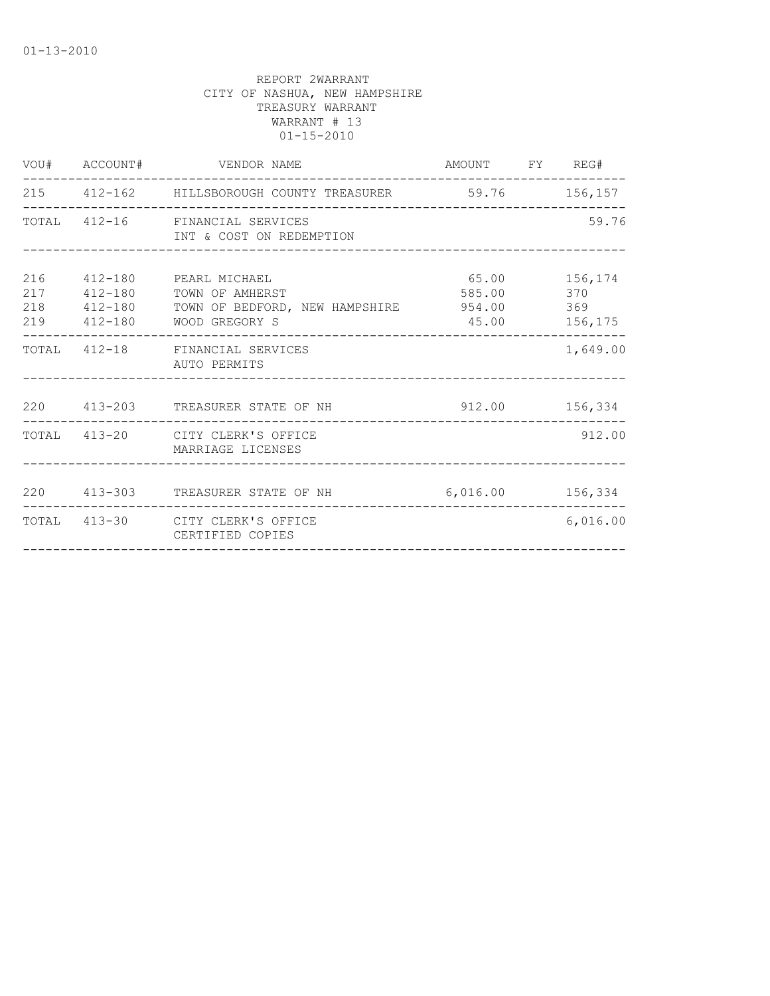|     | VOU# ACCOUNT# VENDOR NAME                                                                                                                               | AMOUNT FY REG#              |               |
|-----|---------------------------------------------------------------------------------------------------------------------------------------------------------|-----------------------------|---------------|
|     | 215 412-162 HILLSBOROUGH COUNTY TREASURER 59.76 156,157                                                                                                 |                             |               |
|     | TOTAL 412-16 FINANCIAL SERVICES<br>INT & COST ON REDEMPTION                                                                                             |                             | 59.76         |
| 216 | 412-180 PEARL MICHAEL<br>217   412-180   TOWN OF AMHERST<br>218  412-180  TOWN OF BEDFORD, NEW HAMPSHIRE  954.00  369<br>219   412-180   WOOD GREGORY S | 65.00 156,174<br>585.00 370 | 45.00 156,175 |
|     | TOTAL 412-18 FINANCIAL SERVICES<br>AUTO PERMITS                                                                                                         |                             | 1,649.00      |
|     | 220  413-203  TREASURER STATE OF NH  912.00  156,334                                                                                                    |                             |               |
|     | TOTAL 413-20 CITY CLERK'S OFFICE<br>MARRIAGE LICENSES                                                                                                   |                             | 912.00        |
|     | 220  413-303  TREASURER STATE OF NH  6,016.00  156,334                                                                                                  |                             |               |
|     | TOTAL 413-30 CITY CLERK'S OFFICE<br>CERTIFIED COPIES                                                                                                    |                             | 6,016.00      |
|     |                                                                                                                                                         |                             |               |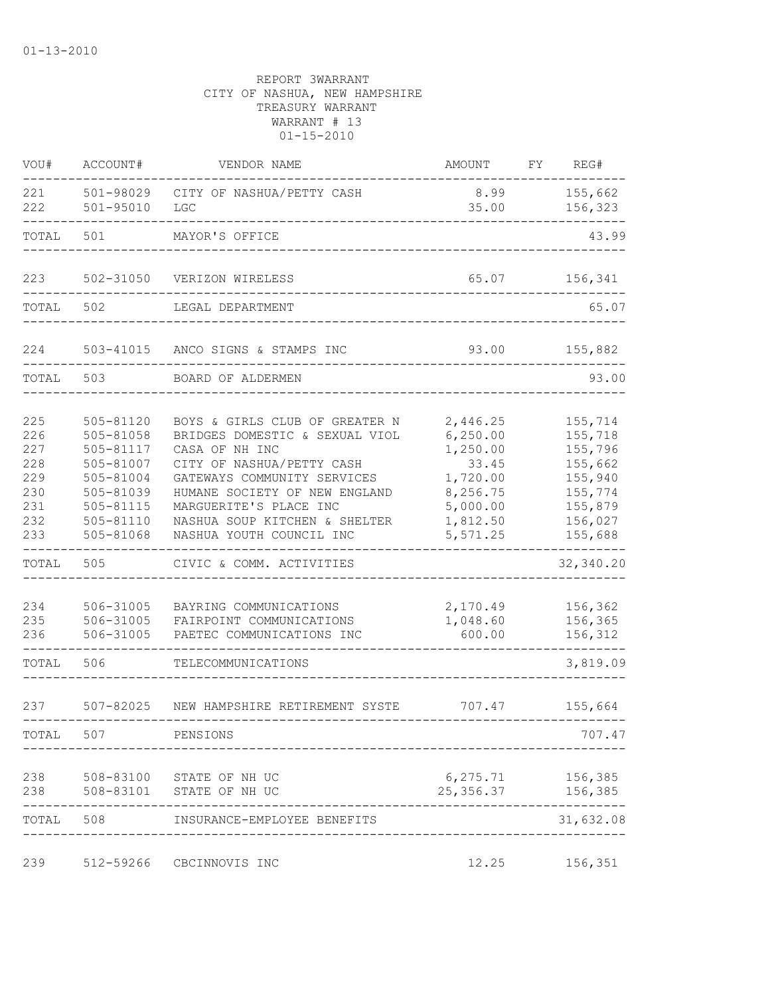| VOU#                                                        | ACCOUNT#                                                                                                          | VENDOR NAME                                                                                                                                                                                                                                                            | AMOUNT                                                                                                 | FY | REG#                                                                                            |
|-------------------------------------------------------------|-------------------------------------------------------------------------------------------------------------------|------------------------------------------------------------------------------------------------------------------------------------------------------------------------------------------------------------------------------------------------------------------------|--------------------------------------------------------------------------------------------------------|----|-------------------------------------------------------------------------------------------------|
| 221<br>222                                                  | 501-98029<br>$501 - 95010$                                                                                        | CITY OF NASHUA/PETTY CASH<br>LGC                                                                                                                                                                                                                                       | 8.99<br>35.00                                                                                          |    | 155,662<br>156,323                                                                              |
| TOTAL                                                       | 501                                                                                                               | MAYOR'S OFFICE                                                                                                                                                                                                                                                         |                                                                                                        |    | 43.99                                                                                           |
| 223                                                         | 502-31050                                                                                                         | VERIZON WIRELESS                                                                                                                                                                                                                                                       | 65.07                                                                                                  |    | 156,341                                                                                         |
| TOTAL                                                       | 502                                                                                                               | LEGAL DEPARTMENT                                                                                                                                                                                                                                                       |                                                                                                        |    | 65.07                                                                                           |
| 224                                                         | 503-41015                                                                                                         | ANCO SIGNS & STAMPS INC                                                                                                                                                                                                                                                | 93.00                                                                                                  |    | 155,882                                                                                         |
| TOTAL                                                       | 503                                                                                                               | BOARD OF ALDERMEN                                                                                                                                                                                                                                                      |                                                                                                        |    | 93.00                                                                                           |
| 225<br>226<br>227<br>228<br>229<br>230<br>231<br>232<br>233 | 505-81120<br>505-81058<br>505-81117<br>505-81007<br>505-81004<br>505-81039<br>505-81115<br>505-81110<br>505-81068 | BOYS & GIRLS CLUB OF GREATER N<br>BRIDGES DOMESTIC & SEXUAL VIOL<br>CASA OF NH INC<br>CITY OF NASHUA/PETTY CASH<br>GATEWAYS COMMUNITY SERVICES<br>HUMANE SOCIETY OF NEW ENGLAND<br>MARGUERITE'S PLACE INC<br>NASHUA SOUP KITCHEN & SHELTER<br>NASHUA YOUTH COUNCIL INC | 2,446.25<br>6, 250.00<br>1,250.00<br>33.45<br>1,720.00<br>8,256.75<br>5,000.00<br>1,812.50<br>5,571.25 |    | 155,714<br>155,718<br>155,796<br>155,662<br>155,940<br>155,774<br>155,879<br>156,027<br>155,688 |
| TOTAL                                                       | 505                                                                                                               | CIVIC & COMM. ACTIVITIES                                                                                                                                                                                                                                               |                                                                                                        |    | 32,340.20                                                                                       |
| 234<br>235<br>236                                           | 506-31005<br>506-31005<br>506-31005                                                                               | BAYRING COMMUNICATIONS<br>FAIRPOINT COMMUNICATIONS<br>PAETEC COMMUNICATIONS INC                                                                                                                                                                                        | 2,170.49<br>1,048.60<br>600.00                                                                         |    | 156,362<br>156,365<br>156,312                                                                   |
| TOTAL                                                       | 506                                                                                                               | TELECOMMUNICATIONS                                                                                                                                                                                                                                                     |                                                                                                        |    | 3,819.09                                                                                        |
| 237                                                         | $507 - 82025$                                                                                                     | NEW HAMPSHIRE RETIREMENT SYSTE                                                                                                                                                                                                                                         | 707.47                                                                                                 |    | 155,664                                                                                         |
| TOTAL                                                       | 507                                                                                                               | PENSIONS                                                                                                                                                                                                                                                               |                                                                                                        |    | 707.47                                                                                          |
| 238<br>238                                                  |                                                                                                                   | 508-83100 STATE OF NH UC<br>508-83101 STATE OF NH UC                                                                                                                                                                                                                   | 6, 275.71 156, 385<br>25, 356.37 156, 385                                                              |    |                                                                                                 |
| TOTAL                                                       | 508                                                                                                               | INSURANCE-EMPLOYEE BENEFITS                                                                                                                                                                                                                                            |                                                                                                        |    | 31,632.08                                                                                       |
| 239                                                         | 512-59266                                                                                                         | CBCINNOVIS INC                                                                                                                                                                                                                                                         | 12.25                                                                                                  |    | 156,351                                                                                         |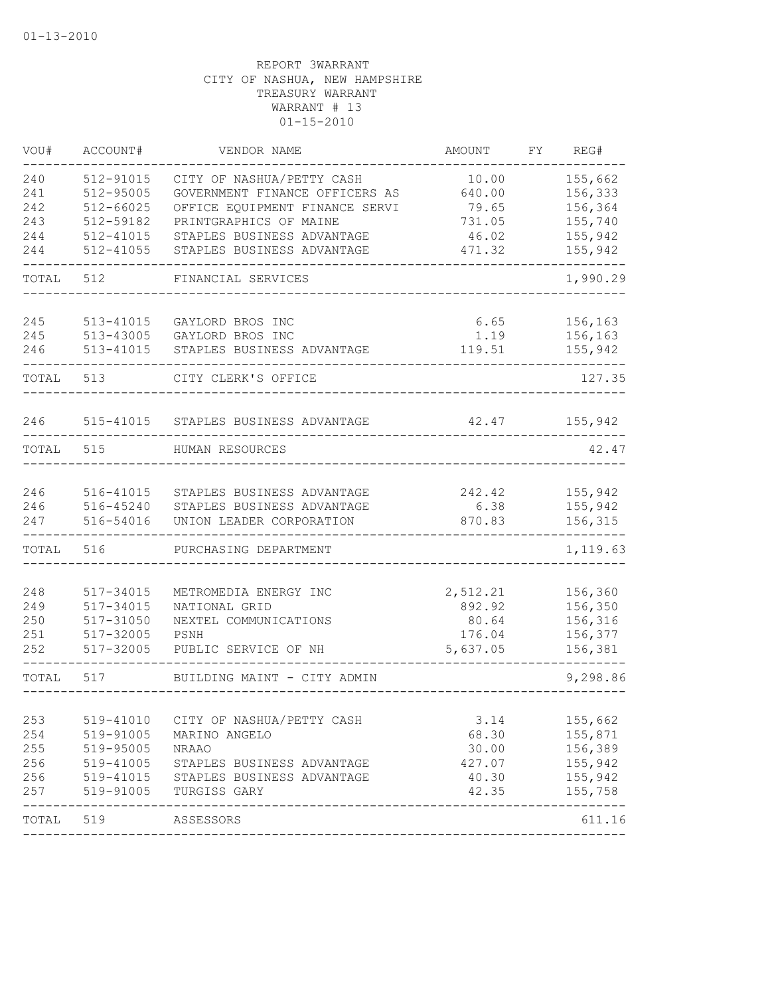| VOU#      | ACCOUNT#      | VENDOR NAME                    | <b>AMOUNT</b> | FΥ | REG#     |
|-----------|---------------|--------------------------------|---------------|----|----------|
| 240       | 512-91015     | CITY OF NASHUA/PETTY CASH      | 10.00         |    | 155,662  |
| 241       | 512-95005     | GOVERNMENT FINANCE OFFICERS AS | 640.00        |    | 156,333  |
| 242       | 512-66025     | OFFICE EQUIPMENT FINANCE SERVI | 79.65         |    | 156,364  |
| 243       | 512-59182     | PRINTGRAPHICS OF MAINE         | 731.05        |    | 155,740  |
| 244       | 512-41015     | STAPLES BUSINESS ADVANTAGE     | 46.02         |    | 155,942  |
| 244       | 512-41055     | STAPLES BUSINESS ADVANTAGE     | 471.32        |    | 155,942  |
| TOTAL     | 512           | FINANCIAL SERVICES             |               |    | 1,990.29 |
| 245       | 513-41015     | GAYLORD BROS INC               | 6.65          |    | 156,163  |
| 245       | 513-43005     | GAYLORD BROS INC               | 1.19          |    | 156,163  |
| 246       | $513 - 41015$ | STAPLES BUSINESS ADVANTAGE     | 119.51        |    | 155,942  |
| TOTAL     | 513           | CITY CLERK'S OFFICE            |               |    | 127.35   |
| 246       | 515-41015     | STAPLES BUSINESS ADVANTAGE     | 42.47         |    | 155,942  |
| TOTAL     | 515           | HUMAN RESOURCES                |               |    | 42.47    |
|           |               |                                |               |    |          |
| 246       | 516-41015     | STAPLES BUSINESS ADVANTAGE     | 242.42        |    | 155,942  |
| 246       | 516-45240     | STAPLES BUSINESS ADVANTAGE     | 6.38          |    | 155,942  |
| 247       | 516-54016     | UNION LEADER CORPORATION       | 870.83        |    | 156,315  |
| TOTAL     | 516           | PURCHASING DEPARTMENT          |               |    | 1,119.63 |
| 248       | 517-34015     | METROMEDIA ENERGY INC          | 2,512.21      |    | 156,360  |
| 249       | 517-34015     | NATIONAL GRID                  | 892.92        |    | 156,350  |
| 250       | 517-31050     | NEXTEL COMMUNICATIONS          | 80.64         |    | 156,316  |
| 251       | 517-32005     | PSNH                           | 176.04        |    | 156,377  |
| 252       | 517-32005     | PUBLIC SERVICE OF NH           | 5,637.05      |    | 156,381  |
| TOTAL     | 517           | BUILDING MAINT - CITY ADMIN    |               |    | 9,298.86 |
|           |               |                                |               |    |          |
| 253       | 519-41010     | CITY OF NASHUA/PETTY CASH      | 3.14          |    | 155,662  |
| 254       | 519-91005     | MARINO ANGELO                  | 68.30         |    | 155,871  |
| 255       | 519-95005     | <b>NRAAO</b>                   | 30.00         |    | 156,389  |
| 256       | 519-41005     | STAPLES BUSINESS ADVANTAGE     | 427.07        |    | 155,942  |
| 256       | 519-41015     | STAPLES BUSINESS ADVANTAGE     | 40.30         |    | 155,942  |
| 257       | 519-91005     | TURGISS GARY                   | 42.35         |    | 155,758  |
| TOTAL 519 |               | ASSESSORS                      |               |    | 611.16   |
|           |               |                                |               |    |          |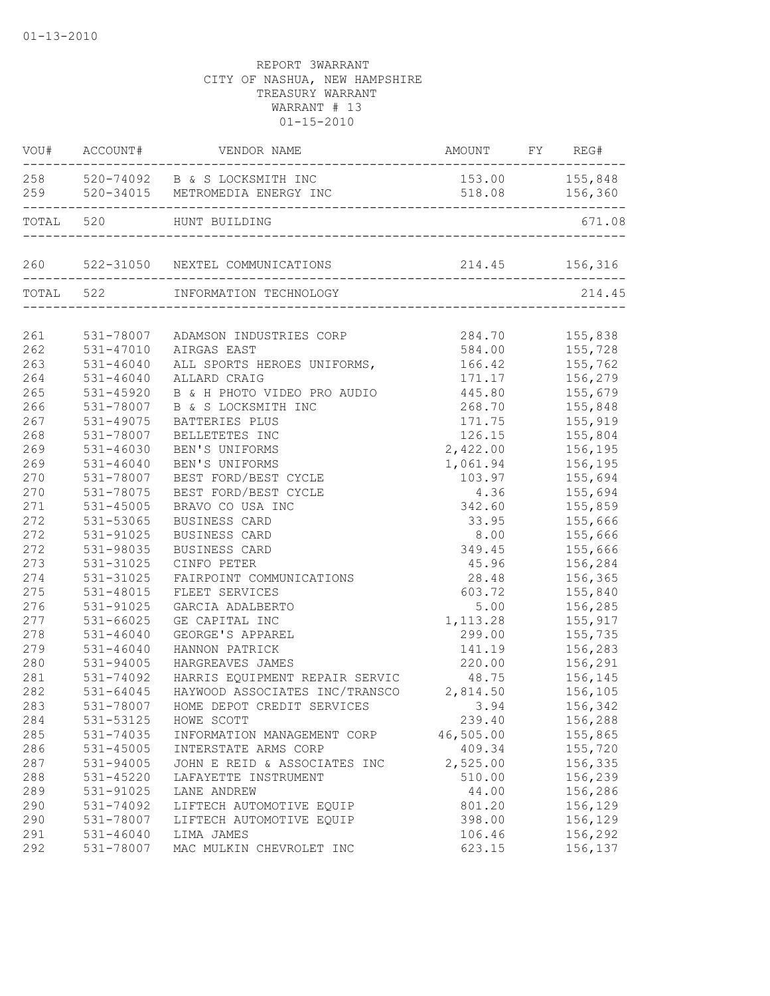|     |               | VOU# ACCOUNT# VENDOR NAME                          | AMOUNT FY REG#   |                |
|-----|---------------|----------------------------------------------------|------------------|----------------|
|     |               | 258 520-74092 B & S LOCKSMITH INC                  | 153.00 155,848   |                |
|     |               | 259 520-34015 METROMEDIA ENERGY INC                |                  | 518.08 156,360 |
|     |               | TOTAL 520 HUNT BUILDING                            |                  | 671.08         |
|     |               | 260 522-31050 NEXTEL COMMUNICATIONS 214.45 156,316 |                  |                |
|     |               | TOTAL 522 INFORMATION TECHNOLOGY                   |                  | 214.45         |
|     |               |                                                    |                  |                |
| 261 | 531-78007     | ADAMSON INDUSTRIES CORP                            | 284.70 155,838   |                |
| 262 | 531-47010     | AIRGAS EAST                                        |                  | 584.00 155,728 |
| 263 | 531-46040     | ALL SPORTS HEROES UNIFORMS,                        |                  | 166.42 155,762 |
| 264 | 531-46040     | ALLARD CRAIG                                       | 171.17           | 156,279        |
| 265 | 531-45920     | B & H PHOTO VIDEO PRO AUDIO                        | 445.80           | 155,679        |
| 266 | 531-78007     | B & S LOCKSMITH INC                                | 268.70           | 155,848        |
| 267 | 531-49075     | BATTERIES PLUS                                     | 171.75           | 155,919        |
| 268 | 531-78007     | BELLETETES INC                                     | 126.15           | 155,804        |
| 269 | $531 - 46030$ | BEN'S UNIFORMS                                     | 2,422.00 156,195 |                |
| 269 | $531 - 46040$ | BEN'S UNIFORMS                                     | 1,061.94         | 156,195        |
| 270 | 531-78007     | BEST FORD/BEST CYCLE                               | 103.97           | 155,694        |
| 270 | 531-78075     | BEST FORD/BEST CYCLE                               | 4.36             | 155,694        |
| 271 | $531 - 45005$ | BRAVO CO USA INC                                   | 342.60           | 155,859        |
| 272 | 531-53065     | BUSINESS CARD                                      | 33.95            | 155,666        |
| 272 | 531-91025     | BUSINESS CARD                                      | 8.00             | 155,666        |
| 272 | 531-98035     | BUSINESS CARD                                      | 349.45           | 155,666        |
| 273 | 531-31025     | CINFO PETER                                        | 45.96            | 156,284        |
| 274 | 531-31025     | FAIRPOINT COMMUNICATIONS                           |                  | 28.48 156,365  |
| 275 | 531-48015     | FLEET SERVICES                                     |                  | 603.72 155,840 |
| 276 | 531-91025     | GARCIA ADALBERTO                                   |                  | 5.00 156,285   |
| 277 | 531-66025     | GE CAPITAL INC                                     | 1,113.28         | 155,917        |
| 278 | 531-46040     | GEORGE'S APPAREL                                   | 299.00           | 155,735        |
| 279 | 531-46040     | HANNON PATRICK                                     | 141.19           | 156,283        |
| 280 | 531-94005     | HARGREAVES JAMES                                   | 220.00           | 156,291        |
| 281 | 531-74092     | HARRIS EQUIPMENT REPAIR SERVIC                     | 48.75            | 156,145        |
| 282 | $531 - 64045$ | HAYWOOD ASSOCIATES INC/TRANSCO 2,814.50            |                  | 156,105        |
| 283 | 531-78007     | HOME DEPOT CREDIT SERVICES 3.94                    |                  | 156,342        |
| 284 | 531-53125     | HOWE SCOTT                                         | 239.40           | 156,288        |
| 285 | 531-74035     | INFORMATION MANAGEMENT CORP                        | 46,505.00        | 155,865        |
| 286 | 531-45005     | INTERSTATE ARMS CORP                               | 409.34           | 155,720        |
| 287 | 531-94005     | JOHN E REID & ASSOCIATES INC                       | 2,525.00         | 156,335        |
| 288 | 531-45220     | LAFAYETTE INSTRUMENT                               | 510.00           | 156,239        |
| 289 | 531-91025     | LANE ANDREW                                        | 44.00            | 156,286        |
| 290 | 531-74092     | LIFTECH AUTOMOTIVE EQUIP                           | 801.20           | 156,129        |
| 290 | 531-78007     | LIFTECH AUTOMOTIVE EQUIP                           | 398.00           | 156,129        |
| 291 | 531-46040     | LIMA JAMES                                         | 106.46           | 156,292        |
| 292 | 531-78007     | MAC MULKIN CHEVROLET INC                           | 623.15           | 156,137        |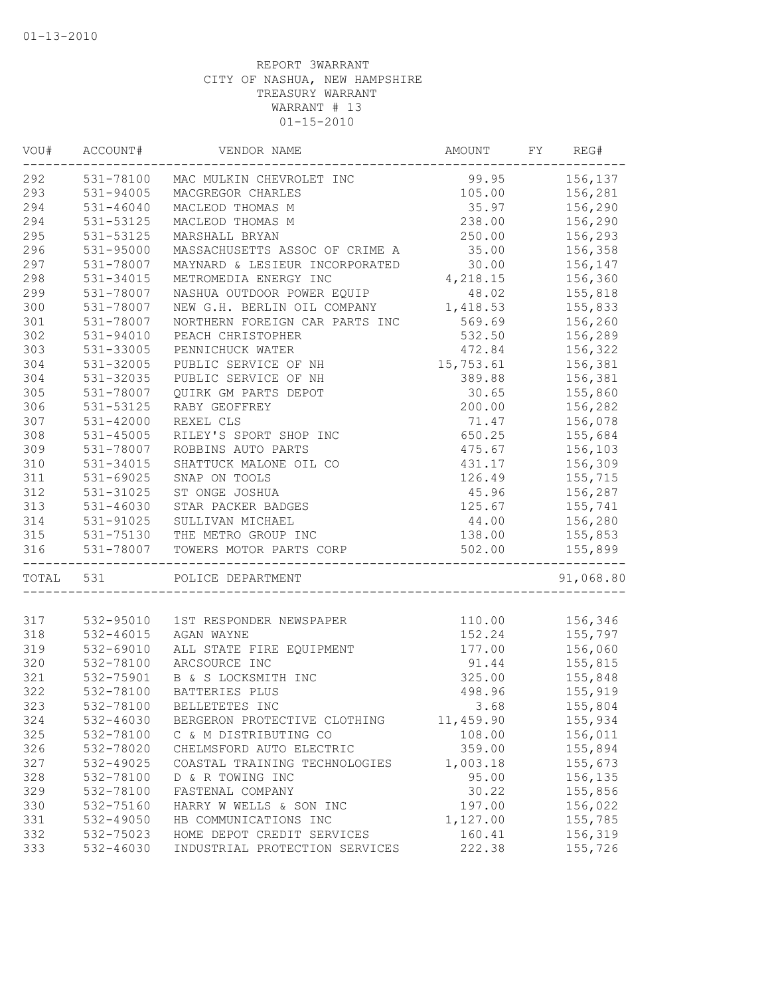| VOU#  | ACCOUNT#      | VENDOR NAME                        | AMOUNT     | FY | REG#      |
|-------|---------------|------------------------------------|------------|----|-----------|
| 292   |               | 531-78100 MAC MULKIN CHEVROLET INC | 99.95      |    | 156,137   |
| 293   | 531-94005     | MACGREGOR CHARLES                  | 105.00     |    | 156,281   |
| 294   | $531 - 46040$ | MACLEOD THOMAS M                   | 35.97      |    | 156,290   |
| 294   | 531-53125     | MACLEOD THOMAS M                   | 238.00     |    | 156,290   |
| 295   | 531-53125     | MARSHALL BRYAN                     | 250.00     |    | 156,293   |
| 296   | 531-95000     | MASSACHUSETTS ASSOC OF CRIME A     | 35.00      |    | 156,358   |
| 297   | 531-78007     | MAYNARD & LESIEUR INCORPORATED     | 30.00      |    | 156,147   |
| 298   | 531-34015     | METROMEDIA ENERGY INC              | 4,218.15   |    | 156,360   |
| 299   | 531-78007     | NASHUA OUTDOOR POWER EQUIP         | 48.02      |    | 155,818   |
| 300   | 531-78007     | NEW G.H. BERLIN OIL COMPANY        | 1,418.53   |    | 155,833   |
| 301   | 531-78007     | NORTHERN FOREIGN CAR PARTS INC     | 569.69     |    | 156,260   |
| 302   | 531-94010     | PEACH CHRISTOPHER                  | 532.50     |    | 156,289   |
| 303   | 531-33005     | PENNICHUCK WATER                   | 472.84     |    | 156,322   |
| 304   | 531-32005     | PUBLIC SERVICE OF NH               | 15,753.61  |    | 156,381   |
| 304   | 531-32035     | PUBLIC SERVICE OF NH               | 389.88     |    | 156,381   |
| 305   | 531-78007     | QUIRK GM PARTS DEPOT               | 30.65      |    | 155,860   |
| 306   | 531-53125     | RABY GEOFFREY                      | 200.00     |    | 156,282   |
| 307   | 531-42000     | REXEL CLS                          | 71.47      |    | 156,078   |
| 308   | 531-45005     | RILEY'S SPORT SHOP INC             | 650.25     |    | 155,684   |
| 309   | 531-78007     | ROBBINS AUTO PARTS                 | 475.67     |    | 156,103   |
| 310   | 531-34015     | SHATTUCK MALONE OIL CO             | 431.17     |    | 156,309   |
| 311   | 531-69025     | SNAP ON TOOLS                      | 126.49     |    | 155,715   |
| 312   | 531-31025     | ST ONGE JOSHUA                     | 45.96      |    | 156,287   |
| 313   | 531-46030     | STAR PACKER BADGES                 | 125.67     |    | 155,741   |
| 314   | 531-91025     | SULLIVAN MICHAEL                   | 44.00      |    | 156,280   |
| 315   |               | 531-75130 THE METRO GROUP INC      | 138.00     |    | 155,853   |
| 316   | 531-78007     | TOWERS MOTOR PARTS CORP            | 502.00     |    | 155,899   |
| TOTAL | 531           | POLICE DEPARTMENT                  |            |    | 91,068.80 |
|       |               |                                    |            |    |           |
| 317   |               | 532-95010 1ST RESPONDER NEWSPAPER  | 110.00     |    | 156,346   |
| 318   | 532-46015     | AGAN WAYNE                         | 152.24     |    | 155,797   |
| 319   | 532-69010     | ALL STATE FIRE EQUIPMENT           | 177.00     |    | 156,060   |
| 320   | 532-78100     | ARCSOURCE INC                      | 91.44      |    | 155,815   |
| 321   | 532-75901     | B & S LOCKSMITH INC                | 325.00     |    | 155,848   |
| 322   | 532-78100     | BATTERIES PLUS                     | 498.96     |    | 155,919   |
| 323   | 532-78100     | BELLETETES INC                     | 3.68       |    | 155,804   |
| 324   | 532-46030     | BERGERON PROTECTIVE CLOTHING       | 11, 459.90 |    | 155,934   |
| 325   | 532-78100     | C & M DISTRIBUTING CO              | 108.00     |    | 156,011   |
| 326   | 532-78020     | CHELMSFORD AUTO ELECTRIC           | 359.00     |    | 155,894   |
| 327   | 532-49025     | COASTAL TRAINING TECHNOLOGIES      | 1,003.18   |    | 155,673   |
| 328   | 532-78100     | D & R TOWING INC                   | 95.00      |    | 156,135   |
| 329   | 532-78100     | FASTENAL COMPANY                   | 30.22      |    | 155,856   |
| 330   | 532-75160     | HARRY W WELLS & SON INC            | 197.00     |    | 156,022   |
| 331   | 532-49050     | HB COMMUNICATIONS INC              | 1,127.00   |    | 155,785   |
| 332   | 532-75023     | HOME DEPOT CREDIT SERVICES         | 160.41     |    | 156,319   |
| 333   | 532-46030     | INDUSTRIAL PROTECTION SERVICES     | 222.38     |    | 155,726   |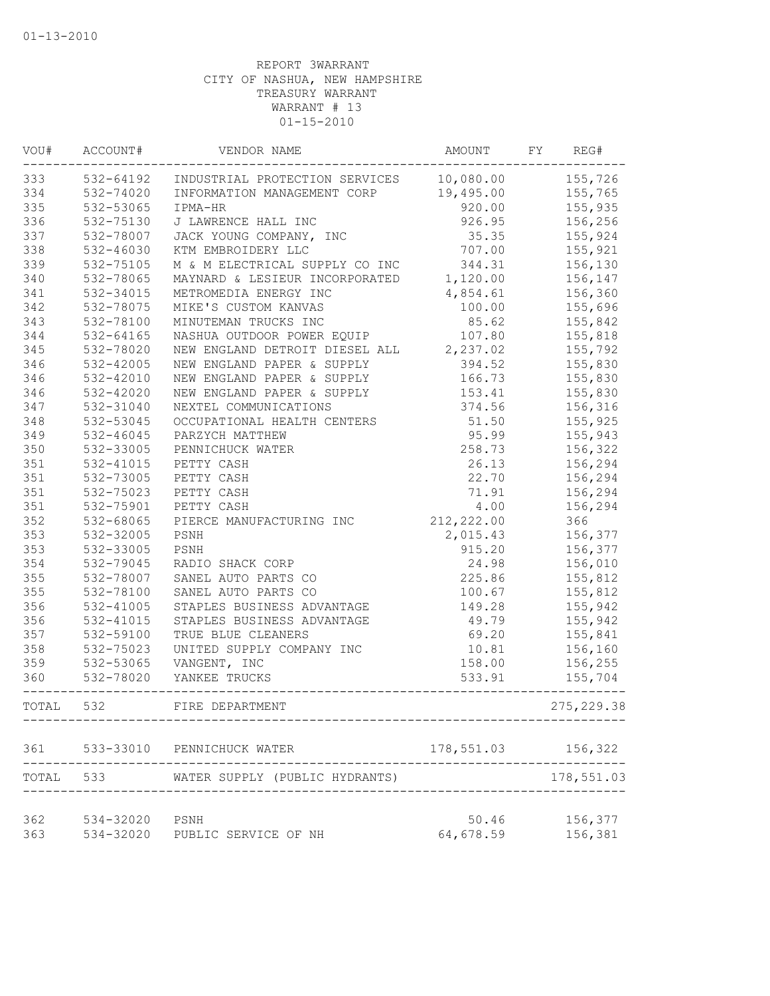| WOU#       | ACCOUNT#       | VENDOR NAME                    | AMOUNT             | FY | REG#               |
|------------|----------------|--------------------------------|--------------------|----|--------------------|
| 333        | 532-64192      | INDUSTRIAL PROTECTION SERVICES | 10,080.00          |    | 155,726            |
| 334        | 532-74020      | INFORMATION MANAGEMENT CORP    | 19,495.00          |    | 155,765            |
| 335        | 532-53065      | IPMA-HR                        | 920.00             |    | 155,935            |
| 336        | 532-75130      | J LAWRENCE HALL INC            | 926.95             |    | 156,256            |
| 337        | 532-78007      | JACK YOUNG COMPANY, INC        | 35.35              |    | 155,924            |
| 338        | 532-46030      | KTM EMBROIDERY LLC             | 707.00             |    | 155,921            |
| 339        | 532-75105      | M & M ELECTRICAL SUPPLY CO INC | 344.31             |    | 156,130            |
| 340        | 532-78065      | MAYNARD & LESIEUR INCORPORATED | 1,120.00           |    | 156,147            |
| 341        | 532-34015      | METROMEDIA ENERGY INC          | 4,854.61           |    | 156,360            |
| 342        | 532-78075      | MIKE'S CUSTOM KANVAS           | 100.00             |    | 155,696            |
| 343        | 532-78100      | MINUTEMAN TRUCKS INC           | 85.62              |    | 155,842            |
| 344        | $532 - 64165$  | NASHUA OUTDOOR POWER EQUIP     | 107.80             |    | 155,818            |
| 345        | 532-78020      | NEW ENGLAND DETROIT DIESEL ALL | 2,237.02           |    | 155,792            |
| 346        | 532-42005      | NEW ENGLAND PAPER & SUPPLY     | 394.52             |    | 155,830            |
| 346        | 532-42010      | NEW ENGLAND PAPER & SUPPLY     | 166.73             |    | 155,830            |
| 346        | 532-42020      | NEW ENGLAND PAPER & SUPPLY     | 153.41             |    | 155,830            |
| 347        | 532-31040      | NEXTEL COMMUNICATIONS          | 374.56             |    | 156,316            |
| 348        | 532-53045      | OCCUPATIONAL HEALTH CENTERS    | 51.50              |    | 155,925            |
| 349        | $532 - 46045$  | PARZYCH MATTHEW                | 95.99              |    | 155,943            |
| 350        | 532-33005      | PENNICHUCK WATER               | 258.73             |    | 156,322            |
| 351        | 532-41015      | PETTY CASH                     | 26.13              |    | 156,294            |
| 351        | 532-73005      | PETTY CASH                     | 22.70              |    | 156,294            |
| 351        | 532-75023      | PETTY CASH                     | 71.91              |    | 156,294            |
| 351        | 532-75901      | PETTY CASH                     | 4.00               |    | 156,294            |
| 352        | 532-68065      | PIERCE MANUFACTURING INC       | 212, 222.00        |    | 366                |
| 353        | 532-32005      | PSNH                           | 2,015.43           |    | 156,377            |
| 353        | 532-33005      | PSNH                           | 915.20             |    | 156,377            |
| 354        | 532-79045      | RADIO SHACK CORP               | 24.98              |    | 156,010            |
| 355        | 532-78007      | SANEL AUTO PARTS CO            | 225.86             |    | 155,812            |
| 355        | 532-78100      | SANEL AUTO PARTS CO            | 100.67             |    | 155,812            |
| 356        | 532-41005      | STAPLES BUSINESS ADVANTAGE     | 149.28             |    | 155,942            |
| 356        | 532-41015      | STAPLES BUSINESS ADVANTAGE     | 49.79              |    | 155,942            |
| 357        | 532-59100      | TRUE BLUE CLEANERS             | 69.20              |    | 155,841            |
| 358        | 532-75023      | UNITED SUPPLY COMPANY INC      | 10.81              |    | 156,160            |
| 359        | 532-53065      | VANGENT, INC                   | 158.00             |    | 156,255            |
| 360        | 532-78020      | YANKEE TRUCKS                  | 533.91             |    | 155,704            |
| TOTAL      | 532            | FIRE DEPARTMENT                |                    |    | 275, 229.38        |
| 361        | 533-33010      | PENNICHUCK WATER               | 178,551.03 156,322 |    |                    |
| TOTAL 533  |                | WATER SUPPLY (PUBLIC HYDRANTS) |                    |    | .<br>178,551.03    |
| 362<br>363 | 534-32020 PSNH | 534-32020 PUBLIC SERVICE OF NH | 50.46<br>64,678.59 |    | 156,377<br>156,381 |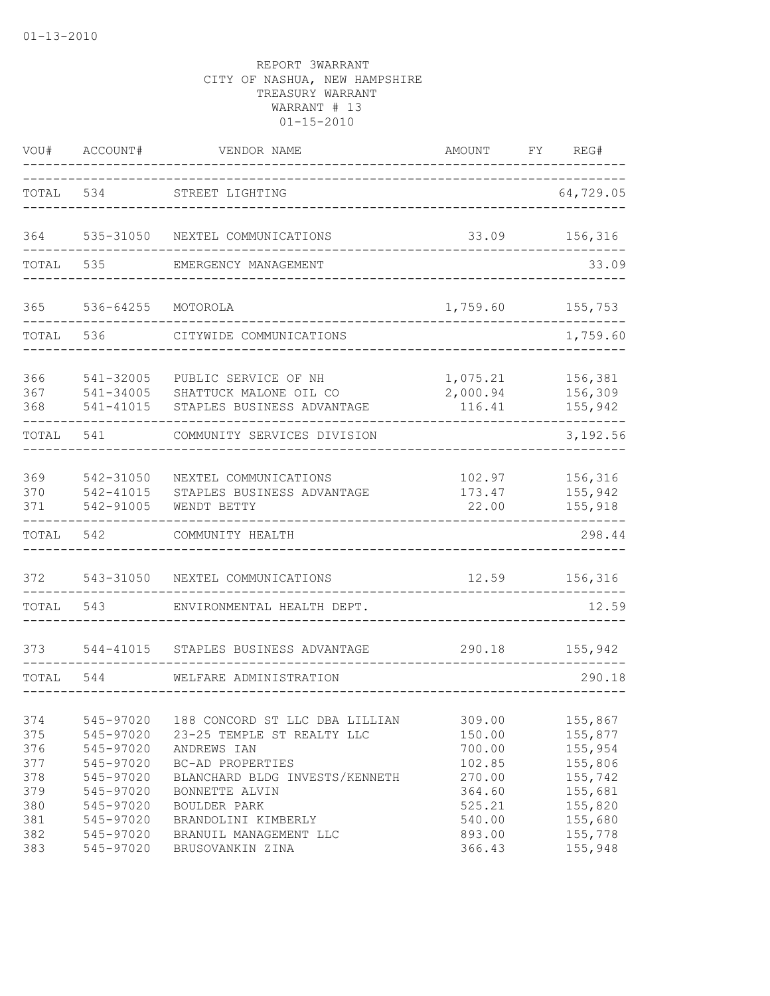| VOU#                            | ACCOUNT#                                                      | VENDOR NAME                                                                                                        | AMOUNT                                         | FΥ | REG#                                                |
|---------------------------------|---------------------------------------------------------------|--------------------------------------------------------------------------------------------------------------------|------------------------------------------------|----|-----------------------------------------------------|
| TOTAL                           | 534                                                           | STREET LIGHTING                                                                                                    |                                                |    | 64,729.05                                           |
| 364                             | 535-31050                                                     | NEXTEL COMMUNICATIONS                                                                                              | 33.09                                          |    | 156,316                                             |
| TOTAL                           | 535                                                           | EMERGENCY MANAGEMENT                                                                                               |                                                |    | 33.09                                               |
| 365                             | 536-64255                                                     | MOTOROLA                                                                                                           | 1,759.60                                       |    | 155,753                                             |
| TOTAL                           | 536                                                           | CITYWIDE COMMUNICATIONS                                                                                            |                                                |    | 1,759.60                                            |
| 366<br>367<br>368               | 541-32005<br>541-34005<br>541-41015                           | PUBLIC SERVICE OF NH<br>SHATTUCK MALONE OIL CO<br>STAPLES BUSINESS ADVANTAGE                                       | 1,075.21<br>2,000.94<br>116.41                 |    | 156,381<br>156,309<br>155,942                       |
| TOTAL                           | 541                                                           | COMMUNITY SERVICES DIVISION                                                                                        |                                                |    | 3,192.56                                            |
| 369<br>370<br>371               | 542-31050<br>542-41015<br>542-91005                           | NEXTEL COMMUNICATIONS<br>STAPLES BUSINESS ADVANTAGE<br>WENDT BETTY                                                 | 102.97<br>173.47<br>22.00                      |    | 156,316<br>155,942<br>155,918                       |
| TOTAL                           | 542                                                           | COMMUNITY HEALTH                                                                                                   |                                                |    | 298.44                                              |
| 372                             | 543-31050                                                     | NEXTEL COMMUNICATIONS                                                                                              | 12.59                                          |    | 156,316                                             |
| TOTAL                           | 543                                                           | ENVIRONMENTAL HEALTH DEPT.                                                                                         |                                                |    | 12.59                                               |
| 373                             | 544-41015                                                     | STAPLES BUSINESS ADVANTAGE                                                                                         | 290.18                                         |    | 155,942                                             |
| TOTAL                           | 544                                                           | WELFARE ADMINISTRATION                                                                                             |                                                |    | 290.18                                              |
| 374<br>375<br>376               | 545-97020<br>545-97020<br>545-97020                           | 188 CONCORD ST LLC DBA LILLIAN<br>23-25 TEMPLE ST REALTY LLC<br>ANDREWS IAN                                        | 309.00<br>150.00<br>700.00                     |    | 155,867<br>155,877<br>155,954                       |
| 377<br>378<br>379<br>380<br>381 | 545-97020<br>545-97020<br>545-97020<br>545-97020<br>545-97020 | BC-AD PROPERTIES<br>BLANCHARD BLDG INVESTS/KENNETH<br>BONNETTE ALVIN<br><b>BOULDER PARK</b><br>BRANDOLINI KIMBERLY | 102.85<br>270.00<br>364.60<br>525.21<br>540.00 |    | 155,806<br>155,742<br>155,681<br>155,820<br>155,680 |
| 382<br>383                      | 545-97020<br>545-97020                                        | BRANUIL MANAGEMENT LLC<br>BRUSOVANKIN ZINA                                                                         | 893.00<br>366.43                               |    | 155,778<br>155,948                                  |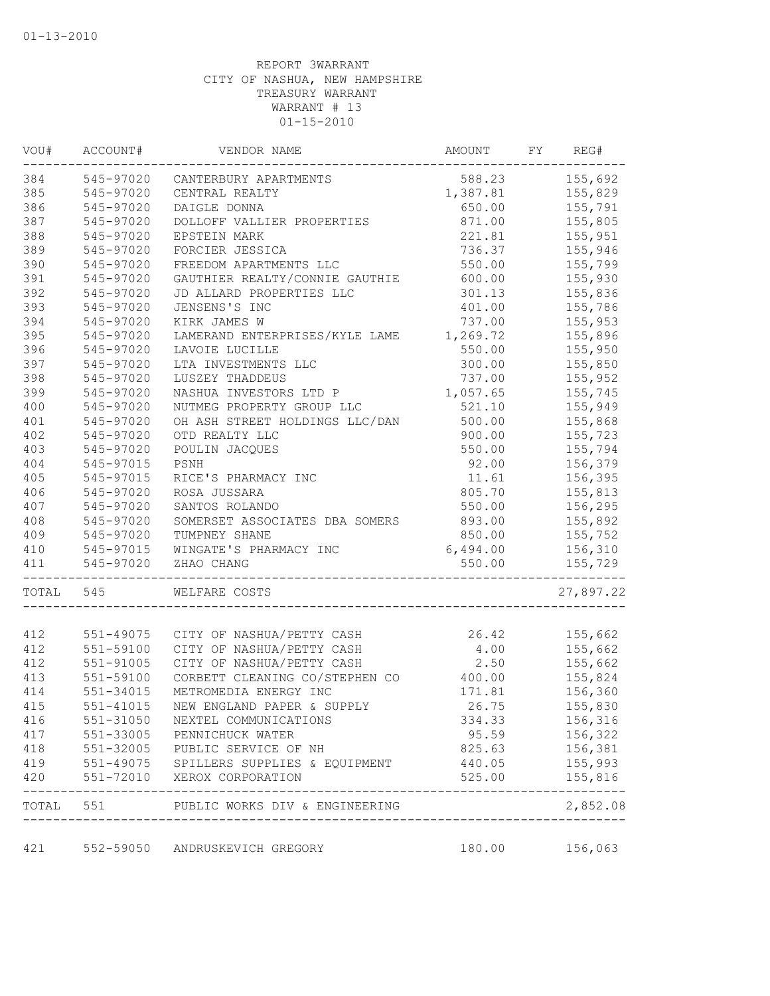| VOU#       | ACCOUNT#      | VENDOR NAME                                                            | AMOUNT           | FY | REG#                   |
|------------|---------------|------------------------------------------------------------------------|------------------|----|------------------------|
| 384        |               | 545-97020 CANTERBURY APARTMENTS                                        | 588.23           |    | 155,692                |
| 385        | 545-97020     | CENTRAL REALTY                                                         | 1,387.81         |    | 155,829                |
| 386        | 545-97020     | DAIGLE DONNA                                                           | 650.00           |    | 155,791                |
| 387        | 545-97020     | DOLLOFF VALLIER PROPERTIES                                             | 871.00           |    | 155,805                |
| 388        | 545-97020     | EPSTEIN MARK                                                           | 221.81           |    | 155,951                |
| 389        | 545-97020     | FORCIER JESSICA                                                        | 736.37           |    | 155,946                |
| 390        | 545-97020     | FREEDOM APARTMENTS LLC                                                 | 550.00           |    | 155,799                |
| 391        | 545-97020     | GAUTHIER REALTY/CONNIE GAUTHIE                                         | 600.00           |    | 155,930                |
| 392        | 545-97020     | JD ALLARD PROPERTIES LLC                                               | 301.13           |    | 155,836                |
| 393        | 545-97020     | JENSENS'S INC                                                          | 401.00           |    | 155,786                |
| 394        | 545-97020     | KIRK JAMES W                                                           | 737.00           |    | 155,953                |
| 395        | 545-97020     | LAMERAND ENTERPRISES/KYLE LAME                                         | 1,269.72         |    | 155,896                |
| 396        | 545-97020     | LAVOIE LUCILLE                                                         | 550.00           |    | 155,950                |
| 397        | 545-97020     | LTA INVESTMENTS LLC                                                    | 300.00           |    | 155,850                |
| 398        | 545-97020     | LUSZEY THADDEUS                                                        | 737.00           |    | 155,952                |
| 399        | 545-97020     | NASHUA INVESTORS LTD P                                                 | 1,057.65         |    | 155,745                |
| 400        | 545-97020     | NUTMEG PROPERTY GROUP LLC                                              | 521.10           |    | 155,949                |
| 401        | 545-97020     | OH ASH STREET HOLDINGS LLC/DAN                                         | 500.00           |    | 155,868                |
| 402        | 545-97020     | OTD REALTY LLC                                                         | 900.00           |    | 155,723                |
| 403        | 545-97020     | POULIN JACQUES                                                         | 550.00           |    | 155,794                |
| 404        | 545-97015     | PSNH                                                                   | 92.00            |    | 156,379                |
| 405        | 545-97015     | RICE'S PHARMACY INC                                                    | 11.61            |    | 156,395                |
| 406        | 545-97020     | ROSA JUSSARA                                                           | 805.70           |    | 155,813                |
| 407        | 545-97020     | SANTOS ROLANDO                                                         | 550.00           |    | 156,295                |
| 408        | 545-97020     | SOMERSET ASSOCIATES DBA SOMERS                                         | 893.00           |    | 155,892                |
| 409        | 545-97020     | TUMPNEY SHANE                                                          | 850.00           |    | 155,752                |
| 410        | 545-97015     | WINGATE'S PHARMACY INC                                                 | 6,494.00         |    | 156,310                |
| 411        | 545-97020     | ZHAO CHANG                                                             | 550.00           |    | 155,729                |
| TOTAL      | 545           | WELFARE COSTS                                                          |                  |    | 27,897.22              |
| 412        | 551-49075     | CITY OF NASHUA/PETTY CASH                                              | 26.42            |    | 155,662                |
| 412        | 551-59100     | CITY OF NASHUA/PETTY CASH                                              | 4.00             |    | 155,662                |
| 412        | $551 - 91005$ | CITY OF NASHUA/PETTY CASH                                              | 2.50             |    | 155,662                |
| 413        | 551-59100     | CORBETT CLEANING CO/STEPHEN CO                                         | 400.00           |    | 155,824                |
| 414        | 551-34015     | METROMEDIA ENERGY INC                                                  | 171.81           |    | 156,360                |
| 415        |               | 551-41015 NEW ENGLAND PAPER & SUPPLY                                   | 26.75            |    | 155,830                |
|            |               |                                                                        |                  |    |                        |
| 416<br>417 | 551-31050     | NEXTEL COMMUNICATIONS<br>551-33005 PENNICHUCK WATER                    | 334.33           |    | 156,316<br>156,322     |
|            |               |                                                                        | 95.59            |    |                        |
| 418<br>419 |               | 551-32005 PUBLIC SERVICE OF NH                                         | 825.63           |    | 156,381                |
| 420        |               | 551-49075 SPILLERS SUPPLIES & EQUIPMENT<br>551-72010 XEROX CORPORATION | 440.05<br>525.00 |    | 155,993<br>155,816     |
|            |               | TOTAL 551 PUBLIC WORKS DIV & ENGINEERING                               |                  |    | ----------<br>2,852.08 |
|            |               |                                                                        |                  |    |                        |
| 421        |               | 552-59050 ANDRUSKEVICH GREGORY                                         |                  |    | 180.00 156,063         |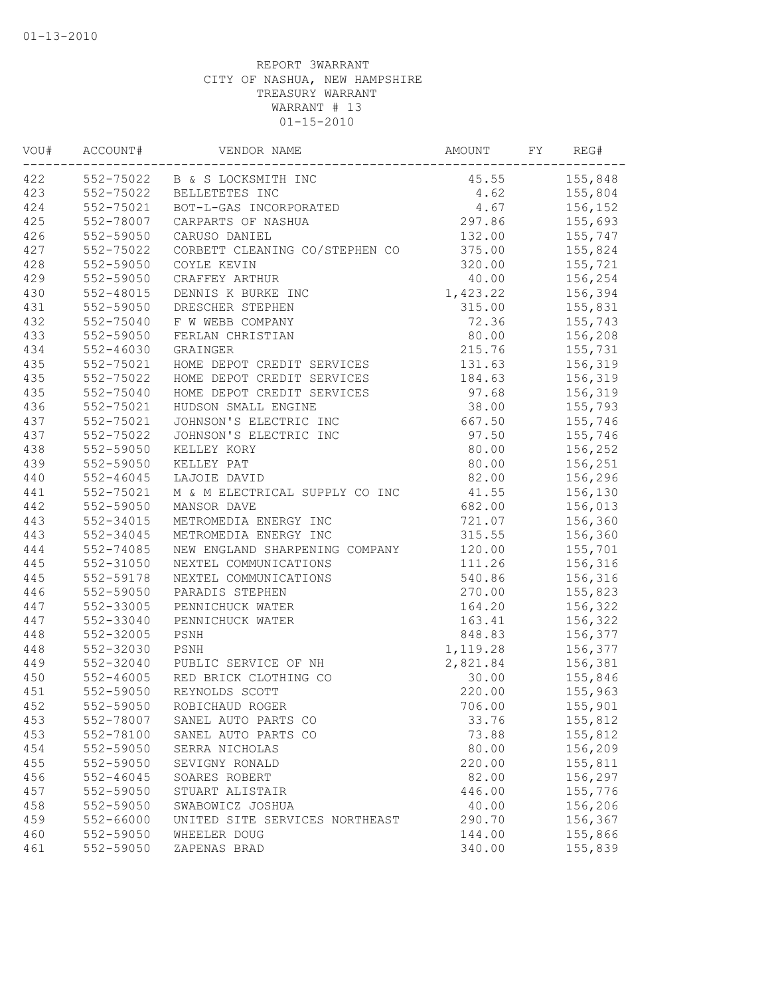| VOU# | ACCOUNT#      | VENDOR NAME                    | AMOUNT   | FY | REG#    |
|------|---------------|--------------------------------|----------|----|---------|
| 422  |               | 552-75022 B & S LOCKSMITH INC  | 45.55    |    | 155,848 |
| 423  | 552-75022     | BELLETETES INC                 | 4.62     |    | 155,804 |
| 424  | 552-75021     | BOT-L-GAS INCORPORATED         | 4.67     |    | 156,152 |
| 425  | 552-78007     | CARPARTS OF NASHUA             | 297.86   |    | 155,693 |
| 426  | 552-59050     | CARUSO DANIEL                  | 132.00   |    | 155,747 |
| 427  | 552-75022     | CORBETT CLEANING CO/STEPHEN CO | 375.00   |    | 155,824 |
| 428  | 552-59050     | COYLE KEVIN                    | 320.00   |    | 155,721 |
| 429  | 552-59050     | CRAFFEY ARTHUR                 | 40.00    |    | 156,254 |
| 430  | 552-48015     | DENNIS K BURKE INC             | 1,423.22 |    | 156,394 |
| 431  | 552-59050     | DRESCHER STEPHEN               | 315.00   |    | 155,831 |
| 432  | 552-75040     | F W WEBB COMPANY               | 72.36    |    | 155,743 |
| 433  | 552-59050     | FERLAN CHRISTIAN               | 80.00    |    | 156,208 |
| 434  | $552 - 46030$ | GRAINGER                       | 215.76   |    | 155,731 |
| 435  | 552-75021     | HOME DEPOT CREDIT SERVICES     | 131.63   |    | 156,319 |
| 435  | 552-75022     | HOME DEPOT CREDIT SERVICES     | 184.63   |    | 156,319 |
| 435  | $552 - 75040$ | HOME DEPOT CREDIT SERVICES     | 97.68    |    | 156,319 |
| 436  | 552-75021     | HUDSON SMALL ENGINE            | 38.00    |    | 155,793 |
| 437  | 552-75021     | JOHNSON'S ELECTRIC INC         | 667.50   |    | 155,746 |
| 437  | 552-75022     | JOHNSON'S ELECTRIC INC         | 97.50    |    | 155,746 |
| 438  | 552-59050     | KELLEY KORY                    | 80.00    |    | 156,252 |
| 439  | 552-59050     | KELLEY PAT                     | 80.00    |    | 156,251 |
| 440  | $552 - 46045$ | LAJOIE DAVID                   | 82.00    |    | 156,296 |
| 441  | 552-75021     | M & M ELECTRICAL SUPPLY CO INC | 41.55    |    | 156,130 |
| 442  | 552-59050     | MANSOR DAVE                    | 682.00   |    | 156,013 |
| 443  | 552-34015     | METROMEDIA ENERGY INC          | 721.07   |    | 156,360 |
| 443  | 552-34045     | METROMEDIA ENERGY INC          | 315.55   |    | 156,360 |
| 444  | 552-74085     | NEW ENGLAND SHARPENING COMPANY | 120.00   |    | 155,701 |
| 445  | 552-31050     | NEXTEL COMMUNICATIONS          | 111.26   |    | 156,316 |
| 445  | 552-59178     | NEXTEL COMMUNICATIONS          | 540.86   |    | 156,316 |
| 446  | 552-59050     | PARADIS STEPHEN                | 270.00   |    | 155,823 |
| 447  | 552-33005     | PENNICHUCK WATER               | 164.20   |    | 156,322 |
| 447  | 552-33040     | PENNICHUCK WATER               | 163.41   |    | 156,322 |
| 448  | 552-32005     | PSNH                           | 848.83   |    | 156,377 |
| 448  | 552-32030     | PSNH                           | 1,119.28 |    | 156,377 |
| 449  | 552-32040     | PUBLIC SERVICE OF NH           | 2,821.84 |    | 156,381 |
| 450  | 552-46005     | RED BRICK CLOTHING CO          | 30.00    |    | 155,846 |
| 451  | 552-59050     | REYNOLDS SCOTT                 | 220.00   |    | 155,963 |
| 452  | 552-59050     | ROBICHAUD ROGER                | 706.00   |    | 155,901 |
| 453  | 552-78007     | SANEL AUTO PARTS CO            | 33.76    |    | 155,812 |
| 453  | 552-78100     | SANEL AUTO PARTS CO            | 73.88    |    | 155,812 |
| 454  | 552-59050     | SERRA NICHOLAS                 | 80.00    |    | 156,209 |
| 455  | 552-59050     | SEVIGNY RONALD                 | 220.00   |    | 155,811 |
| 456  | $552 - 46045$ | SOARES ROBERT                  | 82.00    |    | 156,297 |
| 457  | 552-59050     | STUART ALISTAIR                | 446.00   |    | 155,776 |
| 458  | 552-59050     | SWABOWICZ JOSHUA               | 40.00    |    | 156,206 |
| 459  | 552-66000     | UNITED SITE SERVICES NORTHEAST | 290.70   |    | 156,367 |
| 460  | 552-59050     | WHEELER DOUG                   | 144.00   |    | 155,866 |
| 461  | 552-59050     | ZAPENAS BRAD                   | 340.00   |    | 155,839 |
|      |               |                                |          |    |         |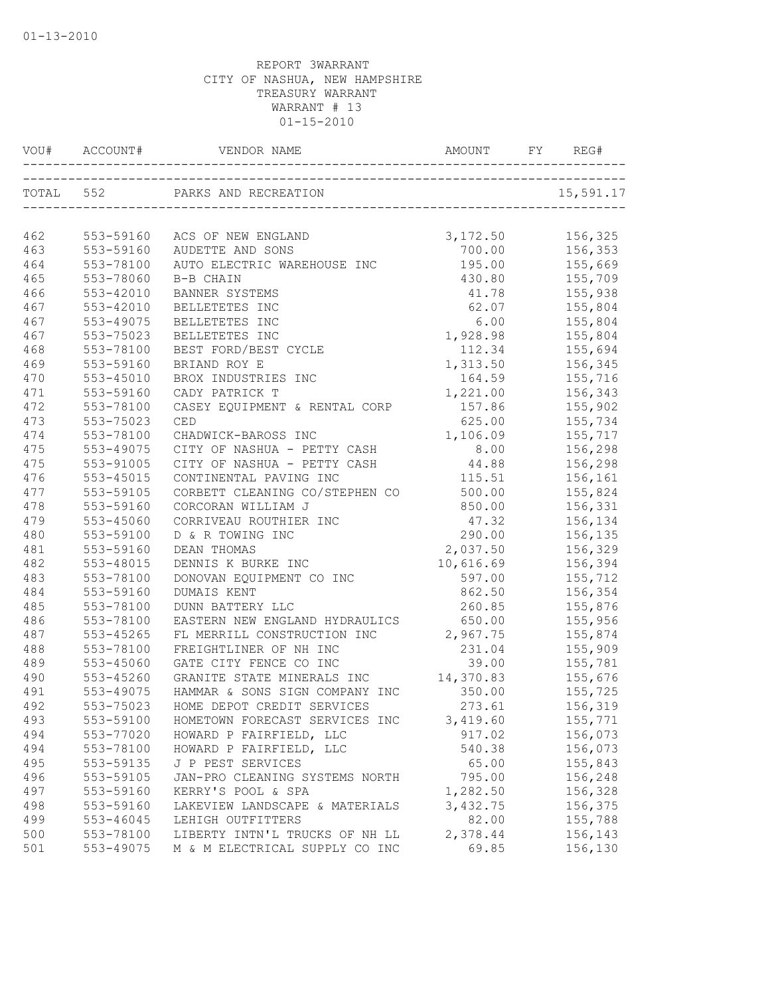| VOU#      |               |                                                              |           | REG#      |
|-----------|---------------|--------------------------------------------------------------|-----------|-----------|
| TOTAL 552 |               | PARKS AND RECREATION<br>ON<br>______________________________ |           | 15,591.17 |
|           |               |                                                              |           |           |
| 462       | 553-59160     | ACS OF NEW ENGLAND                                           | 3,172.50  | 156,325   |
| 463       | 553-59160     | AUDETTE AND SONS                                             | 700.00    | 156,353   |
| 464       | 553-78100     | AUTO ELECTRIC WAREHOUSE INC                                  | 195.00    | 155,669   |
| 465       | 553-78060     | B-B CHAIN                                                    | 430.80    | 155,709   |
| 466       | $553 - 42010$ | BANNER SYSTEMS                                               | 41.78     | 155,938   |
| 467       | 553-42010     | BELLETETES INC                                               | 62.07     | 155,804   |
| 467       | 553-49075     | BELLETETES INC                                               | 6.00      | 155,804   |
| 467       | 553-75023     | BELLETETES INC                                               | 1,928.98  | 155,804   |
| 468       | 553-78100     | BEST FORD/BEST CYCLE                                         | 112.34    | 155,694   |
| 469       | 553-59160     | BRIAND ROY E                                                 | 1,313.50  | 156,345   |
| 470       | $553 - 45010$ | BROX INDUSTRIES INC                                          | 164.59    | 155,716   |
| 471       | 553-59160     | CADY PATRICK T                                               | 1,221.00  | 156,343   |
| 472       | 553-78100     | CASEY EQUIPMENT & RENTAL CORP                                | 157.86    | 155,902   |
| 473       | 553-75023     | CED                                                          | 625.00    | 155,734   |
| 474       | 553-78100     | CHADWICK-BAROSS INC                                          | 1,106.09  | 155,717   |
| 475       | 553-49075     | CITY OF NASHUA - PETTY CASH                                  | 8.00      | 156,298   |
| 475       | 553-91005     | CITY OF NASHUA - PETTY CASH                                  | 44.88     | 156,298   |
| 476       | 553-45015     | CONTINENTAL PAVING INC                                       | 115.51    | 156,161   |
| 477       | 553-59105     | CORBETT CLEANING CO/STEPHEN CO                               | 500.00    | 155,824   |
| 478       | 553-59160     | CORCORAN WILLIAM J                                           | 850.00    | 156,331   |
| 479       | 553-45060     | CORRIVEAU ROUTHIER INC                                       | 47.32     | 156,134   |
| 480       | 553-59100     | D & R TOWING INC                                             | 290.00    | 156,135   |
| 481       | 553-59160     | DEAN THOMAS                                                  | 2,037.50  | 156,329   |
| 482       | 553-48015     | DENNIS K BURKE INC                                           | 10,616.69 | 156,394   |
| 483       | 553-78100     | DONOVAN EQUIPMENT CO INC                                     | 597.00    | 155,712   |
| 484       | 553-59160     | DUMAIS KENT                                                  | 862.50    | 156,354   |
| 485       | 553-78100     | DUNN BATTERY LLC                                             | 260.85    | 155,876   |
| 486       | 553-78100     | EASTERN NEW ENGLAND HYDRAULICS                               | 650.00    | 155,956   |
| 487       | 553-45265     | FL MERRILL CONSTRUCTION INC                                  | 2,967.75  | 155,874   |
| 488       | 553-78100     | FREIGHTLINER OF NH INC                                       | 231.04    | 155,909   |
| 489       | 553-45060     | GATE CITY FENCE CO INC                                       | 39.00     | 155,781   |
| 490       | 553-45260     | GRANITE STATE MINERALS INC                                   | 14,370.83 | 155,676   |
| 491       | 553-49075     | HAMMAR & SONS SIGN COMPANY INC                               | 350.00    | 155,725   |
| 492       | 553-75023     | HOME DEPOT CREDIT SERVICES                                   | 273.61    | 156,319   |
| 493       | 553-59100     | HOMETOWN FORECAST SERVICES INC                               | 3,419.60  | 155,771   |
| 494       | 553-77020     | HOWARD P FAIRFIELD, LLC                                      | 917.02    | 156,073   |
| 494       | 553-78100     | HOWARD P FAIRFIELD, LLC                                      | 540.38    | 156,073   |
| 495       | 553-59135     | J P PEST SERVICES                                            | 65.00     | 155,843   |
| 496       | 553-59105     | JAN-PRO CLEANING SYSTEMS NORTH                               | 795.00    | 156,248   |
| 497       | 553-59160     | KERRY'S POOL & SPA                                           | 1,282.50  | 156,328   |
| 498       | 553-59160     | LAKEVIEW LANDSCAPE & MATERIALS                               | 3,432.75  | 156,375   |
| 499       | 553-46045     | LEHIGH OUTFITTERS                                            | 82.00     | 155,788   |
| 500       | 553-78100     | LIBERTY INTN'L TRUCKS OF NH LL                               | 2,378.44  | 156,143   |
| 501       | 553-49075     | M & M ELECTRICAL SUPPLY CO INC                               | 69.85     | 156,130   |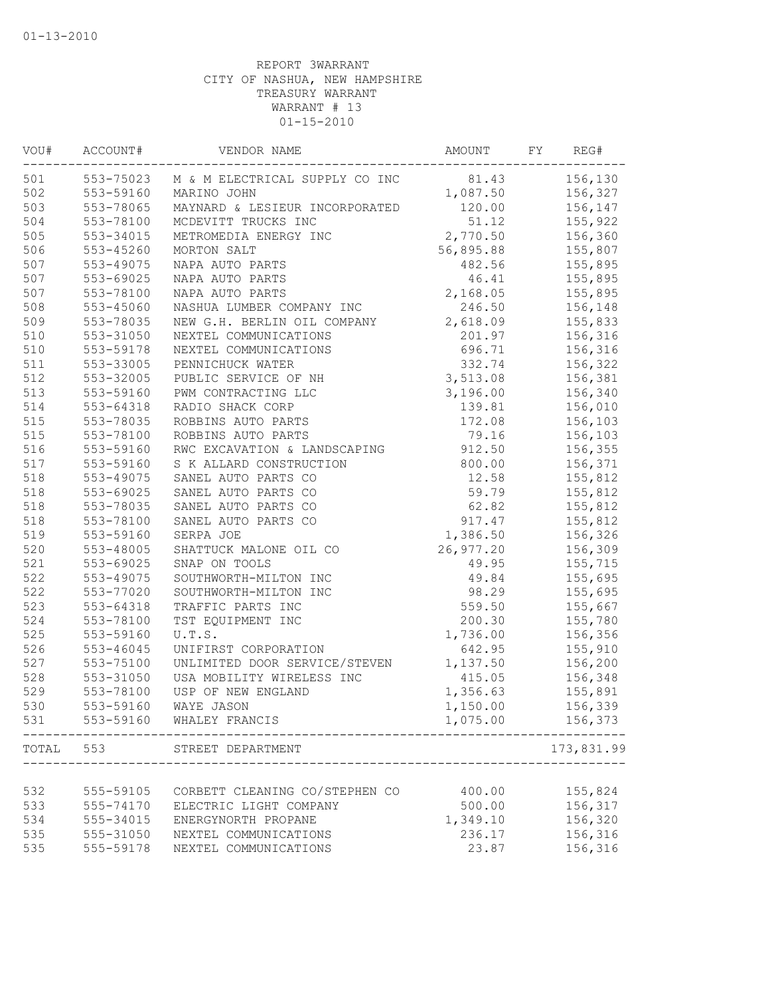| VOU#  | ACCOUNT#  | VENDOR NAME                              | AMOUNT    | FY | REG#               |
|-------|-----------|------------------------------------------|-----------|----|--------------------|
| 501   |           | 553-75023 M & M ELECTRICAL SUPPLY CO INC | 81.43     |    | 156,130            |
| 502   | 553-59160 | MARINO JOHN                              | 1,087.50  |    | 156,327            |
| 503   | 553-78065 | MAYNARD & LESIEUR INCORPORATED           | 120.00    |    | 156,147            |
| 504   | 553-78100 | MCDEVITT TRUCKS INC                      | 51.12     |    | 155,922            |
| 505   | 553-34015 | METROMEDIA ENERGY INC                    | 2,770.50  |    | 156,360            |
| 506   | 553-45260 | MORTON SALT                              | 56,895.88 |    | 155,807            |
| 507   | 553-49075 | NAPA AUTO PARTS                          | 482.56    |    | 155,895            |
| 507   | 553-69025 | NAPA AUTO PARTS                          | 46.41     |    | 155,895            |
| 507   | 553-78100 | NAPA AUTO PARTS                          | 2,168.05  |    | 155,895            |
| 508   | 553-45060 | NASHUA LUMBER COMPANY INC                | 246.50    |    | 156,148            |
| 509   | 553-78035 | NEW G.H. BERLIN OIL COMPANY              | 2,618.09  |    | 155,833            |
| 510   | 553-31050 | NEXTEL COMMUNICATIONS                    | 201.97    |    | 156,316            |
| 510   | 553-59178 | NEXTEL COMMUNICATIONS                    | 696.71    |    | 156,316            |
| 511   | 553-33005 | PENNICHUCK WATER                         | 332.74    |    | 156,322            |
| 512   | 553-32005 | PUBLIC SERVICE OF NH                     | 3,513.08  |    | 156,381            |
| 513   | 553-59160 | PWM CONTRACTING LLC                      | 3,196.00  |    | 156,340            |
| 514   | 553-64318 | RADIO SHACK CORP                         | 139.81    |    | 156,010            |
| 515   | 553-78035 | ROBBINS AUTO PARTS                       | 172.08    |    | 156,103            |
| 515   | 553-78100 | ROBBINS AUTO PARTS                       | 79.16     |    | 156,103            |
| 516   | 553-59160 | RWC EXCAVATION & LANDSCAPING             | 912.50    |    | 156,355            |
| 517   | 553-59160 | S K ALLARD CONSTRUCTION                  | 800.00    |    | 156,371            |
| 518   | 553-49075 | SANEL AUTO PARTS CO                      | 12.58     |    | 155,812            |
| 518   | 553-69025 | SANEL AUTO PARTS CO                      | 59.79     |    | 155,812            |
| 518   | 553-78035 | SANEL AUTO PARTS CO                      | 62.82     |    | 155,812            |
| 518   | 553-78100 | SANEL AUTO PARTS CO                      | 917.47    |    | 155,812            |
| 519   | 553-59160 | SERPA JOE                                | 1,386.50  |    | 156,326            |
| 520   | 553-48005 | SHATTUCK MALONE OIL CO                   | 26,977.20 |    | 156,309            |
| 521   | 553-69025 | SNAP ON TOOLS                            | 49.95     |    | 155,715            |
| 522   | 553-49075 | SOUTHWORTH-MILTON INC                    | 49.84     |    | 155,695            |
| 522   | 553-77020 | SOUTHWORTH-MILTON INC                    | 98.29     |    | 155,695            |
| 523   | 553-64318 | TRAFFIC PARTS INC                        | 559.50    |    | 155,667            |
| 524   | 553-78100 | TST EQUIPMENT INC                        | 200.30    |    | 155,780            |
| 525   | 553-59160 | U.T.S.                                   | 1,736.00  |    | 156,356            |
| 526   | 553-46045 | UNIFIRST CORPORATION                     | 642.95    |    | 155,910            |
| 527   | 553-75100 | UNLIMITED DOOR SERVICE/STEVEN            | 1,137.50  |    | 156,200            |
| 528   | 553-31050 | USA MOBILITY WIRELESS INC                | 415.05    |    | 156,348            |
| 529   | 553-78100 | USP OF NEW ENGLAND                       | 1,356.63  |    | 155,891            |
| 530   | 553-59160 | WAYE JASON                               | 1,150.00  |    | 156,339            |
| 531   | 553-59160 | WHALEY FRANCIS                           | 1,075.00  |    | 156,373            |
| TOTAL | 553       | STREET DEPARTMENT                        |           |    | 173,831.99<br>---- |
|       |           |                                          |           |    |                    |
| 532   | 555-59105 | CORBETT CLEANING CO/STEPHEN CO           | 400.00    |    | 155,824            |
| 533   | 555-74170 | ELECTRIC LIGHT COMPANY                   | 500.00    |    | 156,317            |
| 534   | 555-34015 | ENERGYNORTH PROPANE                      | 1,349.10  |    | 156,320            |
| 535   | 555-31050 | NEXTEL COMMUNICATIONS                    | 236.17    |    | 156,316            |
| 535   | 555-59178 | NEXTEL COMMUNICATIONS                    | 23.87     |    | 156,316            |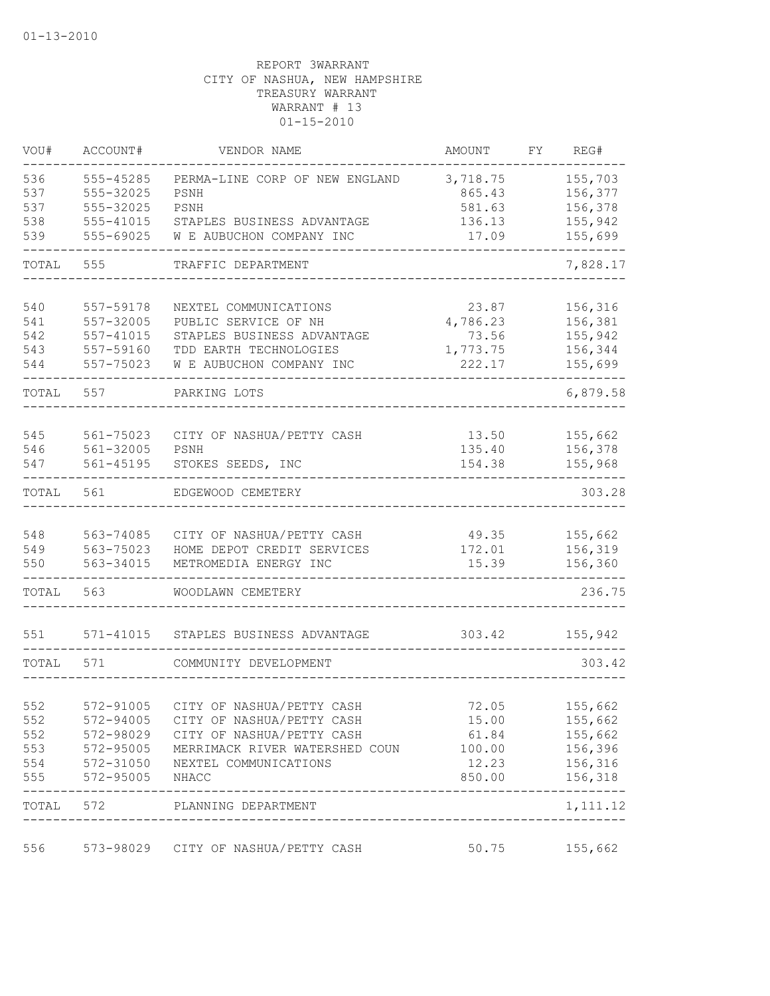| VOU#  | ACCOUNT#      | VENDOR NAME                                | AMOUNT   | FΥ | REG#      |
|-------|---------------|--------------------------------------------|----------|----|-----------|
| 536   | 555-45285     | PERMA-LINE CORP OF NEW ENGLAND             | 3,718.75 |    | 155,703   |
| 537   | 555-32025     | PSNH                                       | 865.43   |    | 156,377   |
| 537   | 555-32025     | PSNH                                       | 581.63   |    | 156,378   |
| 538   | 555-41015     | STAPLES BUSINESS ADVANTAGE                 | 136.13   |    | 155,942   |
| 539   | 555-69025     | W E AUBUCHON COMPANY INC                   | 17.09    |    | 155,699   |
| TOTAL | 555           | TRAFFIC DEPARTMENT                         |          |    | 7,828.17  |
| 540   | 557-59178     | NEXTEL COMMUNICATIONS                      | 23.87    |    | 156,316   |
| 541   | 557-32005     | PUBLIC SERVICE OF NH                       | 4,786.23 |    | 156,381   |
| 542   | $557 - 41015$ | STAPLES BUSINESS ADVANTAGE                 | 73.56    |    | 155,942   |
| 543   | 557-59160     | TDD EARTH TECHNOLOGIES                     | 1,773.75 |    | 156,344   |
| 544   | 557-75023     | W E AUBUCHON COMPANY INC                   | 222.17   |    | 155,699   |
| TOTAL | 557           | PARKING LOTS                               |          |    | 6,879.58  |
|       |               |                                            |          |    |           |
| 545   | 561-75023     | CITY OF NASHUA/PETTY CASH                  | 13.50    |    | 155,662   |
| 546   | 561-32005     | PSNH                                       | 135.40   |    | 156,378   |
| 547   | $561 - 45195$ | STOKES SEEDS, INC                          | 154.38   |    | 155,968   |
| TOTAL | 561           | EDGEWOOD CEMETERY                          |          |    | 303.28    |
| 548   | 563-74085     | CITY OF NASHUA/PETTY CASH                  | 49.35    |    | 155,662   |
| 549   | 563-75023     | HOME DEPOT CREDIT SERVICES                 | 172.01   |    | 156,319   |
| 550   | 563-34015     | METROMEDIA ENERGY INC                      | 15.39    |    | 156,360   |
| TOTAL | 563           | WOODLAWN CEMETERY                          |          |    | 236.75    |
| 551   | $571 - 41015$ | STAPLES BUSINESS ADVANTAGE                 | 303.42   |    | 155,942   |
| TOTAL | 571           | COMMUNITY DEVELOPMENT                      |          |    | 303.42    |
|       |               |                                            |          |    |           |
| 552   |               | 572-91005 CITY OF NASHUA/PETTY CASH        | 72.05    |    | 155,662   |
| 552   | 572-94005     | CITY OF NASHUA/PETTY CASH                  | 15.00    |    | 155,662   |
| 552   | 572-98029     | CITY OF NASHUA/PETTY CASH                  | 61.84    |    | 155,662   |
| 553   | 572-95005     | MERRIMACK RIVER WATERSHED COUN             | 100.00   |    | 156,396   |
| 554   | 572-31050     | NEXTEL COMMUNICATIONS                      | 12.23    |    | 156,316   |
| 555   | 572-95005     | NHACC                                      | 850.00   |    | 156,318   |
| TOTAL | 572           | PLANNING DEPARTMENT<br>___________________ |          |    | 1, 111.12 |
| 556   |               | 573-98029 CITY OF NASHUA/PETTY CASH        | 50.75    |    | 155,662   |
|       |               |                                            |          |    |           |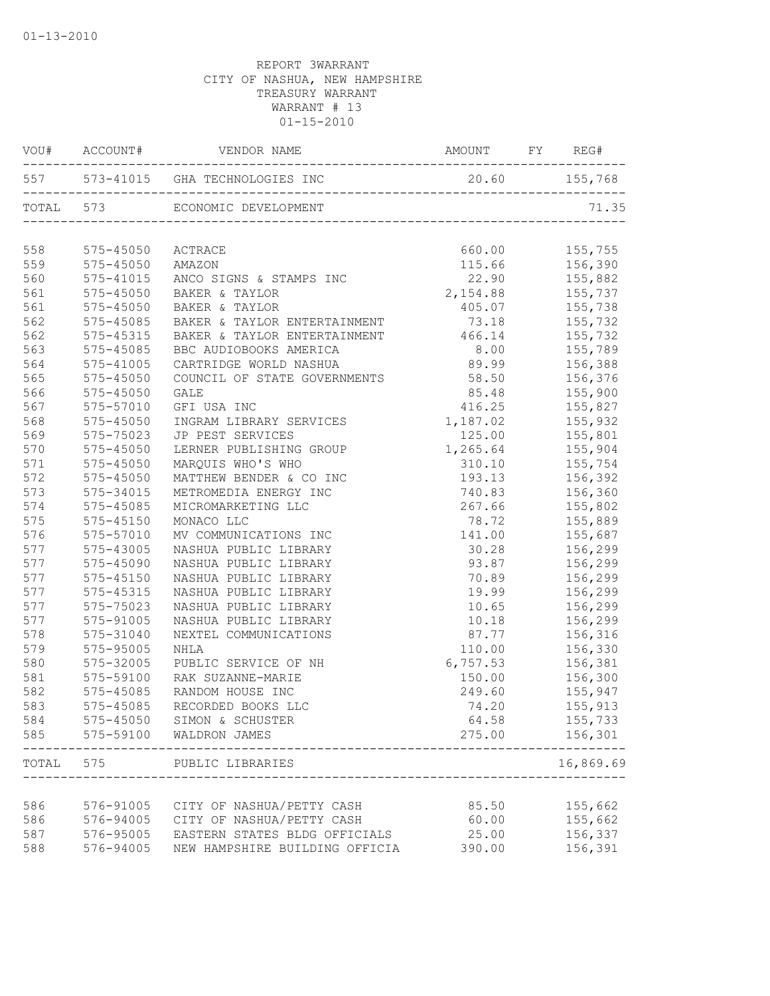|       |               | AMOUNT FY REG#<br>VOU# ACCOUNT# VENDOR NAME      |                  |                    |
|-------|---------------|--------------------------------------------------|------------------|--------------------|
|       |               | 557 573-41015 GHA TECHNOLOGIES INC 20.60 155,768 |                  |                    |
|       |               | TOTAL 573 ECONOMIC DEVELOPMENT                   |                  | 71.35              |
| 558   | 575-45050     | ACTRACE                                          | 660.00           | 155,755            |
| 559   | 575-45050     | AMAZON                                           |                  | 115.66 156,390     |
| 560   | 575-41015     | ANCO SIGNS & STAMPS INC                          | 22.90            |                    |
| 561   | $575 - 45050$ | BAKER & TAYLOR                                   | 2,154.88         | 155,882<br>155,737 |
| 561   | 575-45050     | BAKER & TAYLOR                                   |                  | $405.07$ $155,738$ |
| 562   | 575-45085     | BAKER & TAYLOR ENTERTAINMENT                     | 73.18 155,732    |                    |
| 562   | 575-45315     | BAKER & TAYLOR ENTERTAINMENT 466.14 155,732      |                  |                    |
| 563   | 575-45085     | BBC AUDIOBOOKS AMERICA                           | 8.00 155,789     |                    |
| 564   | 575-41005     | CARTRIDGE WORLD NASHUA                           | 89.99            | 156,388            |
| 565   | 575-45050     | COUNCIL OF STATE GOVERNMENTS                     | 58.50            | 156,376            |
| 566   | 575-45050     | GALE                                             | 85.48            | 155,900            |
| 567   | 575-57010     | GFI USA INC                                      | 416.25           | 155,827            |
| 568   | 575-45050     | INGRAM LIBRARY SERVICES                          | 1,187.02         | 155,932            |
| 569   | 575-75023     | JP PEST SERVICES                                 | 125.00           | 155,801            |
| 570   | 575-45050     | LERNER PUBLISHING GROUP                          | 1,265.64 155,904 |                    |
| 571   | 575-45050     | MARQUIS WHO'S WHO                                | 310.10           | 155,754            |
| 572   | 575-45050     | MATTHEW BENDER & CO INC                          |                  | 193.13 156,392     |
| 573   | 575-34015     | METROMEDIA ENERGY INC                            |                  | 740.83 156,360     |
| 574   | 575-45085     | MICROMARKETING LLC                               | 267.66           | 155,802            |
| 575   | $575 - 45150$ | MONACO LLC                                       | 78.72            | 155,889            |
| 576   | 575-57010     | MV COMMUNICATIONS INC                            | 141.00           | 155,687            |
| 577   | 575-43005     | NASHUA PUBLIC LIBRARY                            | 30.28            | 156,299            |
| 577   | 575-45090     | NASHUA PUBLIC LIBRARY                            |                  | 93.87 156,299      |
| 577   | 575-45150     | NASHUA PUBLIC LIBRARY                            | 70.89 156,299    |                    |
| 577   | 575-45315     | NASHUA PUBLIC LIBRARY                            |                  | 19.99 156,299      |
| 577   | 575-75023     | NASHUA PUBLIC LIBRARY                            |                  | 10.65 156,299      |
| 577   | 575-91005     | NASHUA PUBLIC LIBRARY                            | 10.18            | 156,299            |
| 578   | 575-31040     | NEXTEL COMMUNICATIONS                            | 87.77            | 156,316            |
| 579   | 575-95005     | NHLA                                             | 110.00           | 156,330            |
| 580   | 575-32005     | PUBLIC SERVICE OF NH                             | 6,757.53         |                    |
| 581   | 575-59100     | RAK SUZANNE-MARIE                                | 150.00           | 156,381<br>156,300 |
| 582   | 575-45085     | RANDOM HOUSE INC                                 |                  | 249.60 155,947     |
| 583   |               | 575-45085 RECORDED BOOKS LLC                     | 74.20            | 155,913            |
| 584   |               | 575-45050 SIMON & SCHUSTER                       | 64.58            | 155,733            |
| 585   | 575-59100     | WALDRON JAMES                                    | 275.00           | 156,301            |
| TOTAL | 575           | PUBLIC LIBRARIES                                 |                  | 16,869.69          |
|       |               |                                                  |                  |                    |
| 586   |               | 576-91005 CITY OF NASHUA/PETTY CASH              | 85.50            | 155,662            |
| 586   | 576-94005     | CITY OF NASHUA/PETTY CASH                        | 60.00            | 155,662            |
| 587   | 576-95005     | EASTERN STATES BLDG OFFICIALS                    | 25.00            | 156,337            |
| 588   | 576-94005     | NEW HAMPSHIRE BUILDING OFFICIA                   | 390.00           | 156,391            |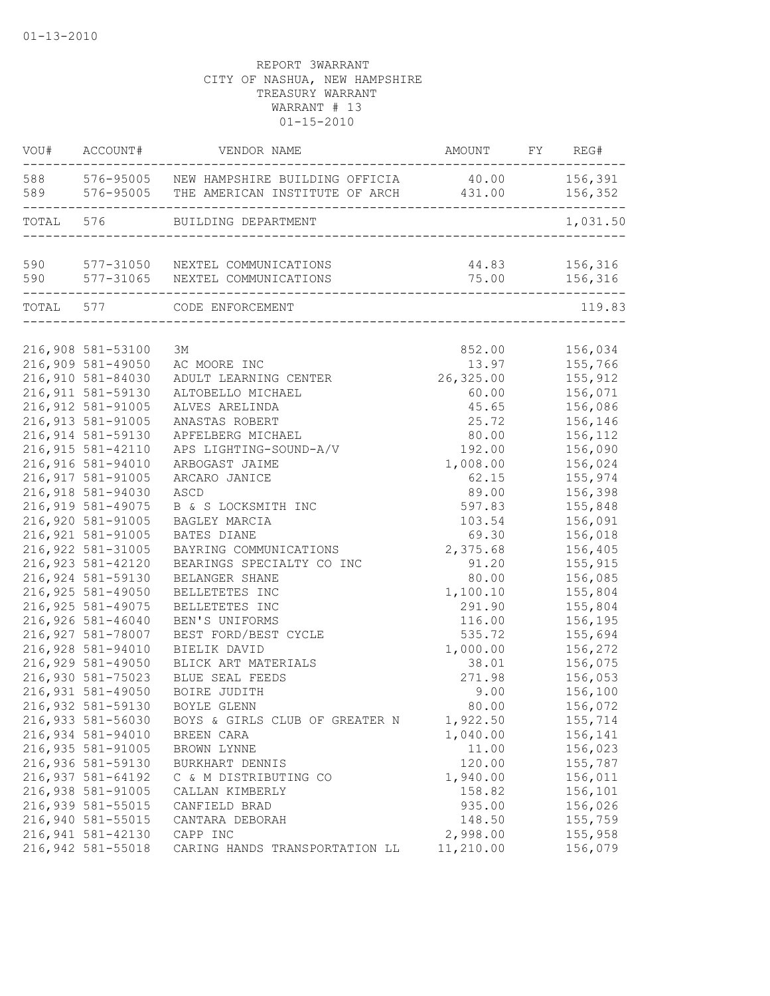| VOU#  | ACCOUNT#           | VENDOR NAME                                                                                  | AMOUNT FY REG#         |                    |
|-------|--------------------|----------------------------------------------------------------------------------------------|------------------------|--------------------|
|       |                    | 588 576-95005 NEW HAMPSHIRE BUILDING OFFICIA<br>589 576-95005 THE AMERICAN INSTITUTE OF ARCH | 40.00<br>431.00        | 156,391<br>156,352 |
| TOTAL | 576                | BUILDING DEPARTMENT                                                                          |                        | 1,031.50           |
| 590   |                    | 577-31050 NEXTEL COMMUNICATIONS                                                              | 44.83                  | 156,316            |
| 590   | -----------------  | 577-31065 NEXTEL COMMUNICATIONS<br>__________________________________                        | 75.00                  | 156,316            |
|       | TOTAL 577          | CODE ENFORCEMENT                                                                             | ______________________ | 119.83             |
|       |                    |                                                                                              |                        |                    |
|       | 216,908 581-53100  | ЗМ                                                                                           | 852.00                 | 156,034            |
|       | 216,909 581-49050  | AC MOORE INC                                                                                 | 13.97                  | 155,766            |
|       | 216,910 581-84030  | ADULT LEARNING CENTER                                                                        | 26,325.00              | 155,912            |
|       | 216, 911 581-59130 | ALTOBELLO MICHAEL                                                                            | 60.00                  | 156,071            |
|       | 216,912 581-91005  | ALVES ARELINDA                                                                               | 45.65                  | 156,086            |
|       | 216, 913 581-91005 | ANASTAS ROBERT                                                                               | 25.72                  | 156,146            |
|       | 216,914 581-59130  | APFELBERG MICHAEL                                                                            | 80.00                  | 156,112            |
|       | 216, 915 581-42110 | APS LIGHTING-SOUND-A/V                                                                       | 192.00                 | 156,090            |
|       | 216,916 581-94010  | ARBOGAST JAIME                                                                               | 1,008.00               | 156,024            |
|       | 216, 917 581-91005 | ARCARO JANICE                                                                                | 62.15                  | 155,974            |
|       | 216,918 581-94030  | ASCD                                                                                         | 89.00                  | 156,398            |
|       | 216,919 581-49075  | B & S LOCKSMITH INC                                                                          | 597.83                 | 155,848            |
|       | 216,920 581-91005  | BAGLEY MARCIA                                                                                | 103.54                 | 156,091            |
|       | 216,921 581-91005  | BATES DIANE                                                                                  | 69.30                  | 156,018            |
|       | 216, 922 581-31005 | BAYRING COMMUNICATIONS                                                                       | 2,375.68               | 156,405            |
|       | 216, 923 581-42120 | BEARINGS SPECIALTY CO INC                                                                    | 91.20                  | 155,915            |
|       | 216,924 581-59130  | BELANGER SHANE                                                                               | 80.00                  | 156,085            |
|       | 216,925 581-49050  | BELLETETES INC                                                                               | 1,100.10               | 155,804            |
|       | 216, 925 581-49075 | BELLETETES INC                                                                               | 291.90                 | 155,804            |
|       | 216,926 581-46040  | BEN'S UNIFORMS                                                                               | 116.00                 | 156,195            |
|       | 216,927 581-78007  | BEST FORD/BEST CYCLE                                                                         | 535.72                 | 155,694            |
|       | 216,928 581-94010  | BIELIK DAVID                                                                                 | 1,000.00               | 156,272            |
|       | 216,929 581-49050  | BLICK ART MATERIALS                                                                          | 38.01                  | 156,075            |
|       | 216,930 581-75023  | BLUE SEAL FEEDS                                                                              | 271.98                 | 156,053            |
|       | 216,931 581-49050  | BOIRE JUDITH                                                                                 | 9.00                   | 156,100            |
|       | 216,932 581-59130  | BOYLE GLENN                                                                                  | 80.00                  | 156,072            |
|       | 216,933 581-56030  | BOYS & GIRLS CLUB OF GREATER N                                                               | 1,922.50               | 155,714            |
|       | 216,934 581-94010  | BREEN CARA                                                                                   | 1,040.00               | 156,141            |
|       | 216,935 581-91005  | BROWN LYNNE                                                                                  | 11.00                  | 156,023            |
|       | 216,936 581-59130  | BURKHART DENNIS                                                                              | 120.00                 | 155,787            |
|       | 216,937 581-64192  | C & M DISTRIBUTING CO                                                                        | 1,940.00               | 156,011            |
|       | 216,938 581-91005  | CALLAN KIMBERLY                                                                              | 158.82                 | 156,101            |
|       | 216,939 581-55015  | CANFIELD BRAD                                                                                | 935.00                 | 156,026            |
|       | 216,940 581-55015  | CANTARA DEBORAH                                                                              | 148.50                 | 155,759            |
|       | 216,941 581-42130  | CAPP INC                                                                                     | 2,998.00               | 155,958            |
|       | 216,942 581-55018  | CARING HANDS TRANSPORTATION LL                                                               | 11,210.00              | 156,079            |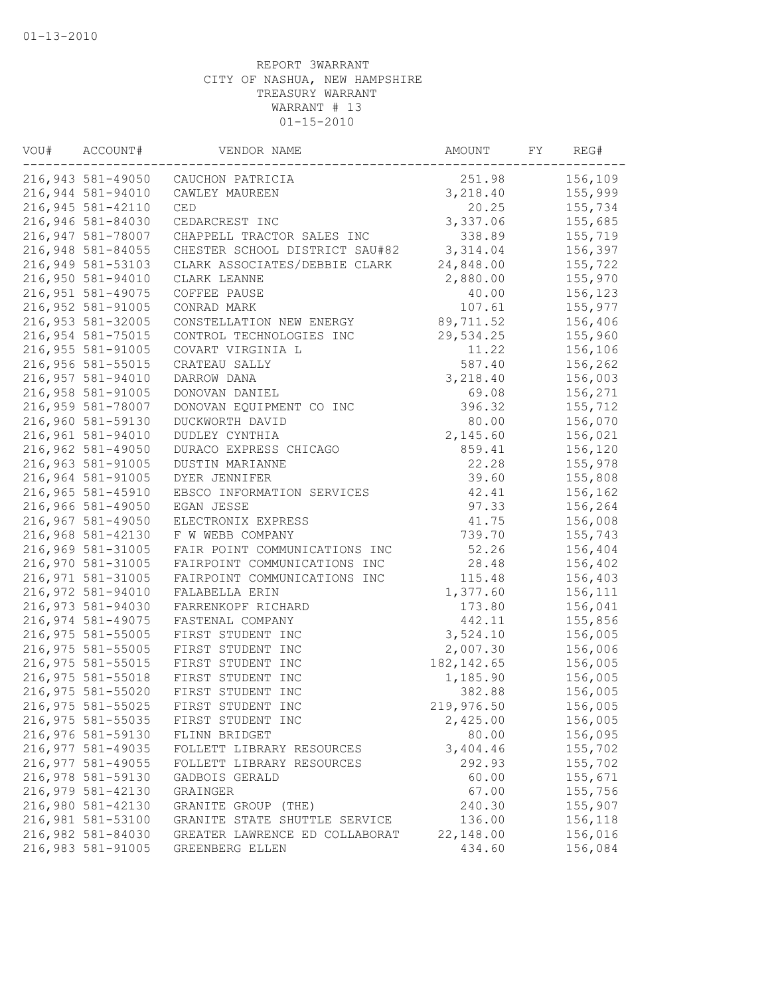| VOU# | ACCOUNT#          | VENDOR NAME                    | AMOUNT      | FY | REG#    |
|------|-------------------|--------------------------------|-------------|----|---------|
|      | 216,943 581-49050 | CAUCHON PATRICIA               | 251.98      |    | 156,109 |
|      | 216,944 581-94010 | CAWLEY MAUREEN                 | 3,218.40    |    | 155,999 |
|      | 216,945 581-42110 | CED                            | 20.25       |    | 155,734 |
|      | 216,946 581-84030 | CEDARCREST INC                 | 3,337.06    |    | 155,685 |
|      | 216,947 581-78007 | CHAPPELL TRACTOR SALES INC     | 338.89      |    | 155,719 |
|      | 216,948 581-84055 | CHESTER SCHOOL DISTRICT SAU#82 | 3,314.04    |    | 156,397 |
|      | 216,949 581-53103 | CLARK ASSOCIATES/DEBBIE CLARK  | 24,848.00   |    | 155,722 |
|      | 216,950 581-94010 | CLARK LEANNE                   | 2,880.00    |    | 155,970 |
|      | 216,951 581-49075 | COFFEE PAUSE                   | 40.00       |    | 156,123 |
|      | 216,952 581-91005 | CONRAD MARK                    | 107.61      |    | 155,977 |
|      | 216,953 581-32005 | CONSTELLATION NEW ENERGY       | 89,711.52   |    | 156,406 |
|      | 216,954 581-75015 | CONTROL TECHNOLOGIES INC       | 29,534.25   |    | 155,960 |
|      | 216,955 581-91005 | COVART VIRGINIA L              | 11.22       |    | 156,106 |
|      | 216,956 581-55015 | CRATEAU SALLY                  | 587.40      |    | 156,262 |
|      | 216,957 581-94010 | DARROW DANA                    | 3,218.40    |    | 156,003 |
|      | 216,958 581-91005 | DONOVAN DANIEL                 | 69.08       |    | 156,271 |
|      | 216,959 581-78007 | DONOVAN EQUIPMENT CO INC       | 396.32      |    | 155,712 |
|      | 216,960 581-59130 | DUCKWORTH DAVID                | 80.00       |    | 156,070 |
|      | 216,961 581-94010 | DUDLEY CYNTHIA                 | 2,145.60    |    | 156,021 |
|      | 216,962 581-49050 | DURACO EXPRESS CHICAGO         | 859.41      |    | 156,120 |
|      | 216,963 581-91005 | <b>DUSTIN MARIANNE</b>         | 22.28       |    | 155,978 |
|      | 216,964 581-91005 | DYER JENNIFER                  | 39.60       |    | 155,808 |
|      | 216,965 581-45910 | EBSCO INFORMATION SERVICES     | 42.41       |    | 156,162 |
|      | 216,966 581-49050 | EGAN JESSE                     | 97.33       |    | 156,264 |
|      | 216,967 581-49050 | ELECTRONIX EXPRESS             | 41.75       |    | 156,008 |
|      | 216,968 581-42130 | F W WEBB COMPANY               | 739.70      |    | 155,743 |
|      | 216,969 581-31005 | FAIR POINT COMMUNICATIONS INC  | 52.26       |    | 156,404 |
|      | 216,970 581-31005 | FAIRPOINT COMMUNICATIONS INC   | 28.48       |    | 156,402 |
|      | 216,971 581-31005 | FAIRPOINT COMMUNICATIONS INC   | 115.48      |    | 156,403 |
|      | 216,972 581-94010 | FALABELLA ERIN                 | 1,377.60    |    | 156,111 |
|      | 216,973 581-94030 | FARRENKOPF RICHARD             | 173.80      |    | 156,041 |
|      | 216,974 581-49075 | FASTENAL COMPANY               | 442.11      |    | 155,856 |
|      | 216,975 581-55005 | FIRST STUDENT INC              | 3,524.10    |    | 156,005 |
|      | 216,975 581-55005 | FIRST STUDENT INC              | 2,007.30    |    | 156,006 |
|      | 216,975 581-55015 | FIRST STUDENT INC              | 182, 142.65 |    | 156,005 |
|      | 216,975 581-55018 | FIRST STUDENT INC              | 1,185.90    |    | 156,005 |
|      | 216,975 581-55020 | FIRST STUDENT INC              | 382.88      |    | 156,005 |
|      | 216,975 581-55025 | FIRST STUDENT INC              | 219,976.50  |    | 156,005 |
|      | 216,975 581-55035 | FIRST STUDENT INC              | 2,425.00    |    | 156,005 |
|      | 216,976 581-59130 | FLINN BRIDGET                  | 80.00       |    | 156,095 |
|      | 216,977 581-49035 | FOLLETT LIBRARY RESOURCES      | 3,404.46    |    | 155,702 |
|      | 216,977 581-49055 | FOLLETT LIBRARY RESOURCES      | 292.93      |    | 155,702 |
|      | 216,978 581-59130 | GADBOIS GERALD                 | 60.00       |    | 155,671 |
|      | 216,979 581-42130 | GRAINGER                       | 67.00       |    | 155,756 |
|      | 216,980 581-42130 | GRANITE GROUP (THE)            | 240.30      |    | 155,907 |
|      | 216,981 581-53100 | GRANITE STATE SHUTTLE SERVICE  | 136.00      |    | 156,118 |
|      | 216,982 581-84030 | GREATER LAWRENCE ED COLLABORAT | 22,148.00   |    | 156,016 |
|      | 216,983 581-91005 | GREENBERG ELLEN                | 434.60      |    | 156,084 |
|      |                   |                                |             |    |         |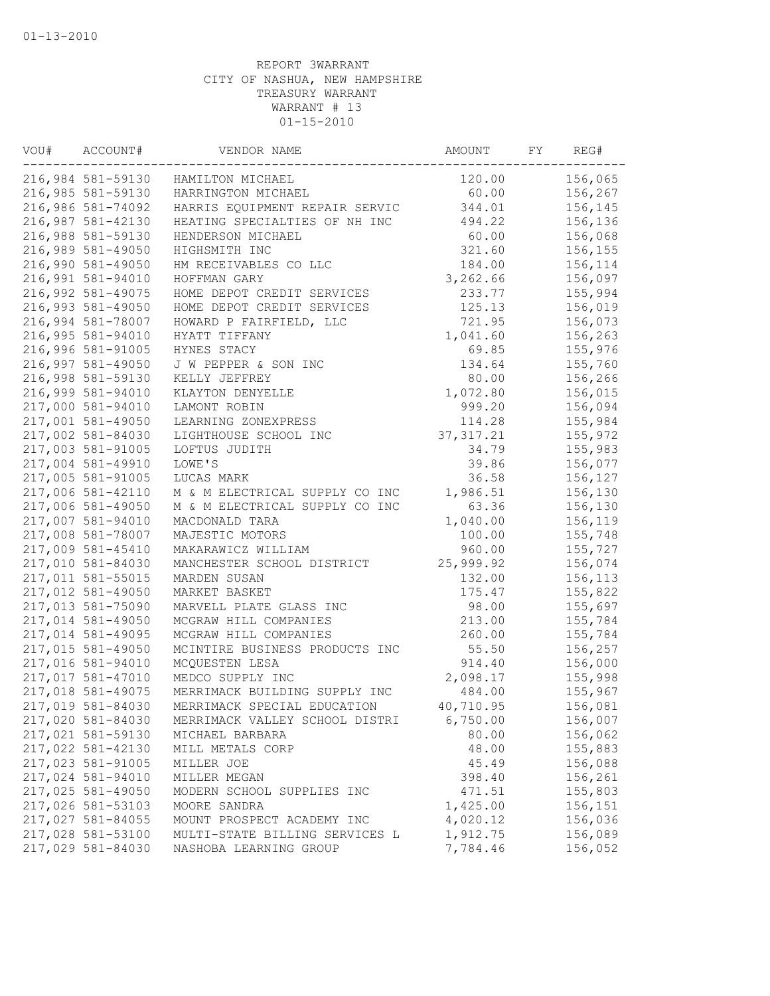| VOU# | ACCOUNT#          | VENDOR NAME                    | AMOUNT     | FY | REG#    |
|------|-------------------|--------------------------------|------------|----|---------|
|      | 216,984 581-59130 | HAMILTON MICHAEL               | 120.00     |    | 156,065 |
|      | 216,985 581-59130 | HARRINGTON MICHAEL             | 60.00      |    | 156,267 |
|      | 216,986 581-74092 | HARRIS EQUIPMENT REPAIR SERVIC | 344.01     |    | 156,145 |
|      | 216,987 581-42130 | HEATING SPECIALTIES OF NH INC  | 494.22     |    | 156,136 |
|      | 216,988 581-59130 | HENDERSON MICHAEL              | 60.00      |    | 156,068 |
|      | 216,989 581-49050 | HIGHSMITH INC                  | 321.60     |    | 156,155 |
|      | 216,990 581-49050 | HM RECEIVABLES CO LLC          | 184.00     |    | 156,114 |
|      | 216,991 581-94010 | HOFFMAN GARY                   | 3,262.66   |    | 156,097 |
|      | 216,992 581-49075 | HOME DEPOT CREDIT SERVICES     | 233.77     |    | 155,994 |
|      | 216,993 581-49050 | HOME DEPOT CREDIT SERVICES     | 125.13     |    | 156,019 |
|      | 216,994 581-78007 | HOWARD P FAIRFIELD, LLC        | 721.95     |    | 156,073 |
|      | 216,995 581-94010 | HYATT TIFFANY                  | 1,041.60   |    | 156,263 |
|      | 216,996 581-91005 | HYNES STACY                    | 69.85      |    | 155,976 |
|      | 216,997 581-49050 | J W PEPPER & SON INC           | 134.64     |    | 155,760 |
|      | 216,998 581-59130 | KELLY JEFFREY                  | 80.00      |    | 156,266 |
|      | 216,999 581-94010 | KLAYTON DENYELLE               | 1,072.80   |    | 156,015 |
|      | 217,000 581-94010 | LAMONT ROBIN                   | 999.20     |    | 156,094 |
|      | 217,001 581-49050 | LEARNING ZONEXPRESS            | 114.28     |    | 155,984 |
|      | 217,002 581-84030 | LIGHTHOUSE SCHOOL INC          | 37, 317.21 |    | 155,972 |
|      | 217,003 581-91005 | LOFTUS JUDITH                  | 34.79      |    | 155,983 |
|      | 217,004 581-49910 | LOWE'S                         | 39.86      |    | 156,077 |
|      | 217,005 581-91005 | LUCAS MARK                     | 36.58      |    | 156,127 |
|      | 217,006 581-42110 | M & M ELECTRICAL SUPPLY CO INC | 1,986.51   |    | 156,130 |
|      | 217,006 581-49050 | M & M ELECTRICAL SUPPLY CO INC | 63.36      |    | 156,130 |
|      | 217,007 581-94010 | MACDONALD TARA                 | 1,040.00   |    | 156,119 |
|      | 217,008 581-78007 | MAJESTIC MOTORS                | 100.00     |    | 155,748 |
|      | 217,009 581-45410 | MAKARAWICZ WILLIAM             | 960.00     |    | 155,727 |
|      | 217,010 581-84030 | MANCHESTER SCHOOL DISTRICT     | 25,999.92  |    | 156,074 |
|      | 217,011 581-55015 | MARDEN SUSAN                   | 132.00     |    | 156,113 |
|      | 217,012 581-49050 | MARKET BASKET                  | 175.47     |    | 155,822 |
|      | 217,013 581-75090 | MARVELL PLATE GLASS INC        | 98.00      |    | 155,697 |
|      | 217,014 581-49050 | MCGRAW HILL COMPANIES          | 213.00     |    | 155,784 |
|      | 217,014 581-49095 | MCGRAW HILL COMPANIES          | 260.00     |    | 155,784 |
|      | 217,015 581-49050 | MCINTIRE BUSINESS PRODUCTS INC | 55.50      |    | 156,257 |
|      | 217,016 581-94010 | MCQUESTEN LESA                 | 914.40     |    | 156,000 |
|      | 217,017 581-47010 | MEDCO SUPPLY INC               | 2,098.17   |    | 155,998 |
|      | 217,018 581-49075 | MERRIMACK BUILDING SUPPLY INC  | 484.00     |    | 155,967 |
|      | 217,019 581-84030 | MERRIMACK SPECIAL EDUCATION    | 40,710.95  |    | 156,081 |
|      | 217,020 581-84030 | MERRIMACK VALLEY SCHOOL DISTRI | 6,750.00   |    | 156,007 |
|      | 217,021 581-59130 | MICHAEL BARBARA                | 80.00      |    | 156,062 |
|      | 217,022 581-42130 | MILL METALS CORP               | 48.00      |    | 155,883 |
|      | 217,023 581-91005 | MILLER JOE                     | 45.49      |    | 156,088 |
|      | 217,024 581-94010 | MILLER MEGAN                   | 398.40     |    | 156,261 |
|      | 217,025 581-49050 | MODERN SCHOOL SUPPLIES INC     | 471.51     |    | 155,803 |
|      | 217,026 581-53103 | MOORE SANDRA                   | 1,425.00   |    | 156,151 |
|      | 217,027 581-84055 | MOUNT PROSPECT ACADEMY INC     | 4,020.12   |    | 156,036 |
|      | 217,028 581-53100 | MULTI-STATE BILLING SERVICES L | 1,912.75   |    | 156,089 |
|      | 217,029 581-84030 | NASHOBA LEARNING GROUP         | 7,784.46   |    | 156,052 |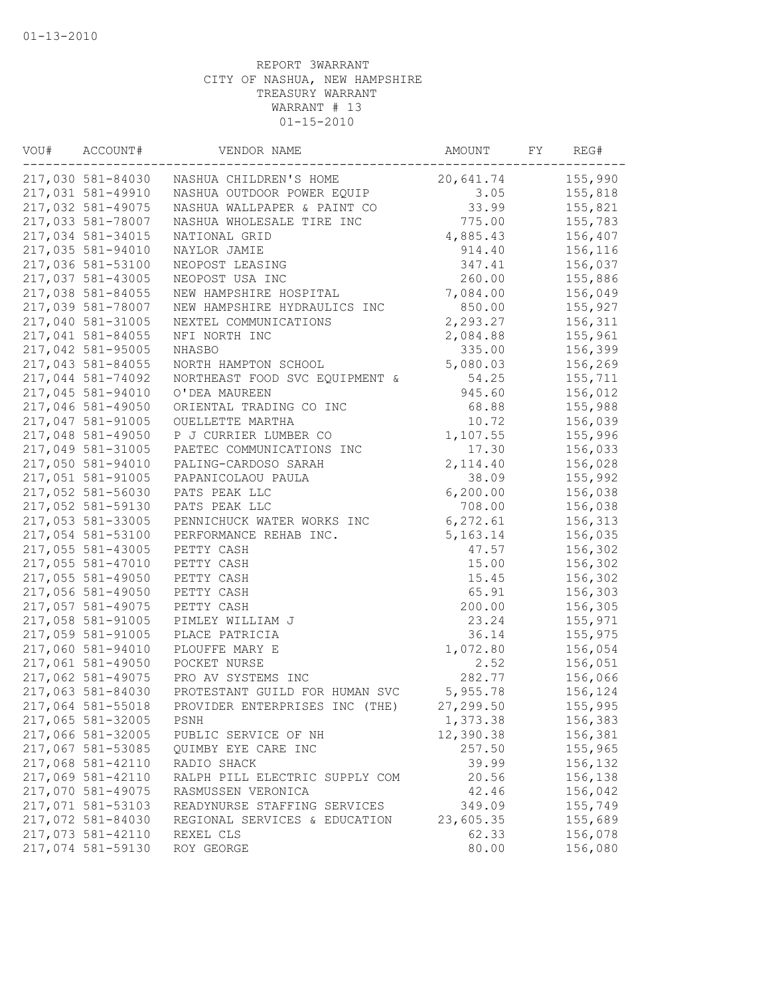| VOU# | ACCOUNT#          | VENDOR NAME                    | AMOUNT     | FY | REG#    |
|------|-------------------|--------------------------------|------------|----|---------|
|      | 217,030 581-84030 | NASHUA CHILDREN'S HOME         | 20,641.74  |    | 155,990 |
|      | 217,031 581-49910 | NASHUA OUTDOOR POWER EQUIP     | 3.05       |    | 155,818 |
|      | 217,032 581-49075 | NASHUA WALLPAPER & PAINT CO    | 33.99      |    | 155,821 |
|      | 217,033 581-78007 | NASHUA WHOLESALE TIRE INC      | 775.00     |    | 155,783 |
|      | 217,034 581-34015 | NATIONAL GRID                  | 4,885.43   |    | 156,407 |
|      | 217,035 581-94010 | NAYLOR JAMIE                   | 914.40     |    | 156,116 |
|      | 217,036 581-53100 | NEOPOST LEASING                | 347.41     |    | 156,037 |
|      | 217,037 581-43005 | NEOPOST USA INC                | 260.00     |    | 155,886 |
|      | 217,038 581-84055 | NEW HAMPSHIRE HOSPITAL         | 7,084.00   |    | 156,049 |
|      | 217,039 581-78007 | NEW HAMPSHIRE HYDRAULICS INC   | 850.00     |    | 155,927 |
|      | 217,040 581-31005 | NEXTEL COMMUNICATIONS          | 2,293.27   |    | 156,311 |
|      | 217,041 581-84055 | NFI NORTH INC                  | 2,084.88   |    | 155,961 |
|      | 217,042 581-95005 | NHASBO                         | 335.00     |    | 156,399 |
|      | 217,043 581-84055 | NORTH HAMPTON SCHOOL           | 5,080.03   |    | 156,269 |
|      | 217,044 581-74092 | NORTHEAST FOOD SVC EQUIPMENT & | 54.25      |    | 155,711 |
|      | 217,045 581-94010 | O'DEA MAUREEN                  | 945.60     |    | 156,012 |
|      | 217,046 581-49050 | ORIENTAL TRADING CO INC        | 68.88      |    | 155,988 |
|      | 217,047 581-91005 | OUELLETTE MARTHA               | 10.72      |    | 156,039 |
|      | 217,048 581-49050 | P J CURRIER LUMBER CO          | 1,107.55   |    | 155,996 |
|      | 217,049 581-31005 | PAETEC COMMUNICATIONS INC      | 17.30      |    | 156,033 |
|      | 217,050 581-94010 | PALING-CARDOSO SARAH           | 2,114.40   |    | 156,028 |
|      | 217,051 581-91005 | PAPANICOLAOU PAULA             | 38.09      |    | 155,992 |
|      | 217,052 581-56030 | PATS PEAK LLC                  | 6, 200.00  |    | 156,038 |
|      | 217,052 581-59130 | PATS PEAK LLC                  | 708.00     |    | 156,038 |
|      | 217,053 581-33005 | PENNICHUCK WATER WORKS INC     | 6,272.61   |    | 156,313 |
|      | 217,054 581-53100 | PERFORMANCE REHAB INC.         | 5, 163. 14 |    | 156,035 |
|      | 217,055 581-43005 |                                | 47.57      |    | 156,302 |
|      | 217,055 581-47010 | PETTY CASH<br>PETTY CASH       | 15.00      |    | 156,302 |
|      | 217,055 581-49050 |                                |            |    |         |
|      |                   | PETTY CASH                     | 15.45      |    | 156,302 |
|      | 217,056 581-49050 | PETTY CASH                     | 65.91      |    | 156,303 |
|      | 217,057 581-49075 | PETTY CASH                     | 200.00     |    | 156,305 |
|      | 217,058 581-91005 | PIMLEY WILLIAM J               | 23.24      |    | 155,971 |
|      | 217,059 581-91005 | PLACE PATRICIA                 | 36.14      |    | 155,975 |
|      | 217,060 581-94010 | PLOUFFE MARY E                 | 1,072.80   |    | 156,054 |
|      | 217,061 581-49050 | POCKET NURSE                   | 2.52       |    | 156,051 |
|      | 217,062 581-49075 | PRO AV SYSTEMS INC             | 282.77     |    | 156,066 |
|      | 217,063 581-84030 | PROTESTANT GUILD FOR HUMAN SVC | 5,955.78   |    | 156,124 |
|      | 217,064 581-55018 | PROVIDER ENTERPRISES INC (THE) | 27,299.50  |    | 155,995 |
|      | 217,065 581-32005 | PSNH                           | 1,373.38   |    | 156,383 |
|      | 217,066 581-32005 | PUBLIC SERVICE OF NH           | 12,390.38  |    | 156,381 |
|      | 217,067 581-53085 | QUIMBY EYE CARE INC            | 257.50     |    | 155,965 |
|      | 217,068 581-42110 | RADIO SHACK                    | 39.99      |    | 156,132 |
|      | 217,069 581-42110 | RALPH PILL ELECTRIC SUPPLY COM | 20.56      |    | 156,138 |
|      | 217,070 581-49075 | RASMUSSEN VERONICA             | 42.46      |    | 156,042 |
|      | 217,071 581-53103 | READYNURSE STAFFING SERVICES   | 349.09     |    | 155,749 |
|      | 217,072 581-84030 | REGIONAL SERVICES & EDUCATION  | 23,605.35  |    | 155,689 |
|      | 217,073 581-42110 | REXEL CLS                      | 62.33      |    | 156,078 |
|      | 217,074 581-59130 | ROY GEORGE                     | 80.00      |    | 156,080 |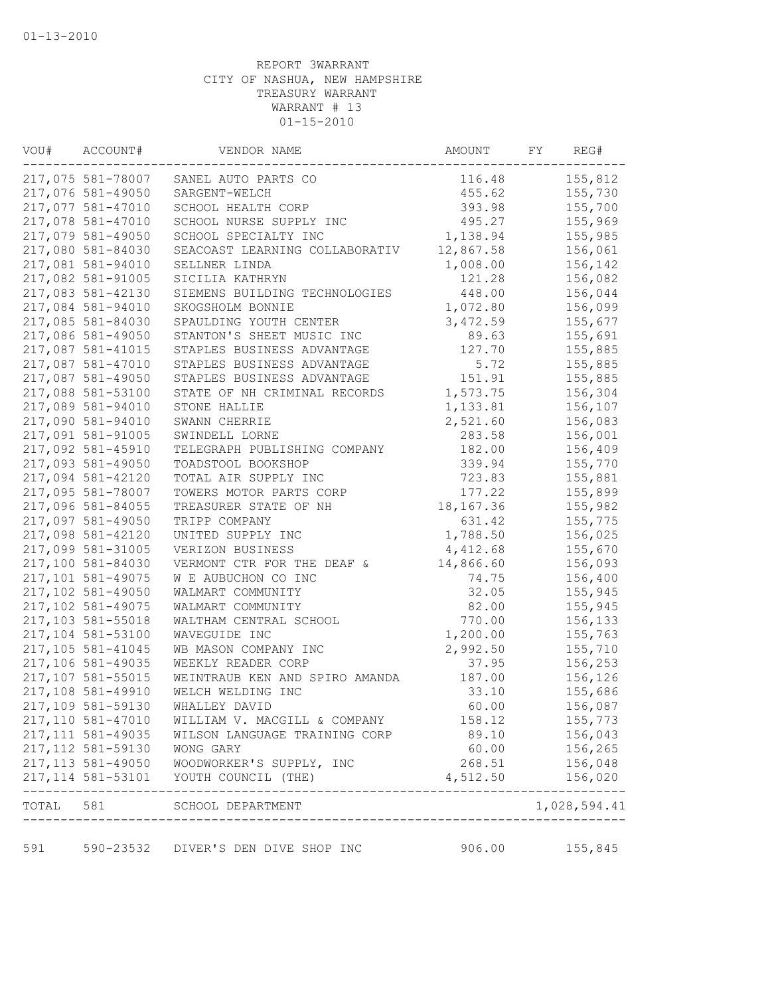| WOU# | ACCOUNT#           | VENDOR NAME                                                                                                | AMOUNT      | FY | REG#                                                         |
|------|--------------------|------------------------------------------------------------------------------------------------------------|-------------|----|--------------------------------------------------------------|
|      | 217,075 581-78007  | SANEL AUTO PARTS CO                                                                                        | 116.48      |    | 155,812                                                      |
|      | 217,076 581-49050  | SARGENT-WELCH                                                                                              | 455.62      |    | 155,730                                                      |
|      | 217,077 581-47010  | SCHOOL HEALTH CORP                                                                                         | 393.98      |    | 155,700                                                      |
|      | 217,078 581-47010  | SCHOOL NURSE SUPPLY INC                                                                                    | 495.27      |    | 155,969                                                      |
|      | 217,079 581-49050  | SCHOOL SPECIALTY INC                                                                                       | 1,138.94    |    | 155,985                                                      |
|      | 217,080 581-84030  | SEACOAST LEARNING COLLABORATIV                                                                             | 12,867.58   |    | 156,061                                                      |
|      | 217,081 581-94010  | SELLNER LINDA                                                                                              | 1,008.00    |    | 156,142                                                      |
|      | 217,082 581-91005  | SICILIA KATHRYN                                                                                            | 121.28      |    | 156,082                                                      |
|      | 217,083 581-42130  | SIEMENS BUILDING TECHNOLOGIES                                                                              | 448.00      |    | 156,044                                                      |
|      | 217,084 581-94010  | SKOGSHOLM BONNIE                                                                                           | 1,072.80    |    | 156,099                                                      |
|      | 217,085 581-84030  | SPAULDING YOUTH CENTER                                                                                     | 3,472.59    |    | 155,677                                                      |
|      | 217,086 581-49050  | STANTON'S SHEET MUSIC INC                                                                                  | 89.63       |    | 155,691                                                      |
|      | 217,087 581-41015  | STAPLES BUSINESS ADVANTAGE                                                                                 | 127.70      |    | 155,885                                                      |
|      | 217,087 581-47010  | STAPLES BUSINESS ADVANTAGE                                                                                 | 5.72        |    | 155,885                                                      |
|      | 217,087 581-49050  | STAPLES BUSINESS ADVANTAGE                                                                                 | 151.91      |    | 155,885                                                      |
|      | 217,088 581-53100  | STATE OF NH CRIMINAL RECORDS                                                                               | 1,573.75    |    | 156,304                                                      |
|      | 217,089 581-94010  | STONE HALLIE                                                                                               | 1,133.81    |    | 156,107                                                      |
|      | 217,090 581-94010  | SWANN CHERRIE                                                                                              | 2,521.60    |    | 156,083                                                      |
|      | 217,091 581-91005  | SWINDELL LORNE                                                                                             | 283.58      |    | 156,001                                                      |
|      | 217,092 581-45910  | TELEGRAPH PUBLISHING COMPANY                                                                               | 182.00      |    | 156,409                                                      |
|      | 217,093 581-49050  | TOADSTOOL BOOKSHOP                                                                                         | 339.94      |    | 155,770                                                      |
|      | 217,094 581-42120  | TOTAL AIR SUPPLY INC                                                                                       | 723.83      |    | 155,881                                                      |
|      | 217,095 581-78007  | TOWERS MOTOR PARTS CORP                                                                                    | 177.22      |    | 155,899                                                      |
|      | 217,096 581-84055  | TREASURER STATE OF NH                                                                                      | 18, 167. 36 |    | 155,982                                                      |
|      | 217,097 581-49050  | TRIPP COMPANY                                                                                              | 631.42      |    | 155,775                                                      |
|      | 217,098 581-42120  |                                                                                                            | 1,788.50    |    |                                                              |
|      |                    | UNITED SUPPLY INC                                                                                          |             |    | 156,025                                                      |
|      | 217,099 581-31005  | VERIZON BUSINESS                                                                                           | 4,412.68    |    | 155,670                                                      |
|      | 217,100 581-84030  | VERMONT CTR FOR THE DEAF &                                                                                 | 14,866.60   |    | 156,093                                                      |
|      | 217,101 581-49075  | W E AUBUCHON CO INC                                                                                        | 74.75       |    | 156,400                                                      |
|      | 217,102 581-49050  | WALMART COMMUNITY                                                                                          | 32.05       |    | 155,945                                                      |
|      | 217,102 581-49075  | WALMART COMMUNITY                                                                                          | 82.00       |    | 155,945                                                      |
|      | 217,103 581-55018  | WALTHAM CENTRAL SCHOOL                                                                                     | 770.00      |    | 156,133                                                      |
|      | 217,104 581-53100  | WAVEGUIDE INC                                                                                              | 1,200.00    |    | 155,763                                                      |
|      | 217,105 581-41045  | WB MASON COMPANY INC                                                                                       | 2,992.50    |    | 155,710                                                      |
|      | 217,106 581-49035  | WEEKLY READER CORP                                                                                         | 37.95       |    | 156,253                                                      |
|      | 217,107 581-55015  | WEINTRAUB KEN AND SPIRO AMANDA                                                                             | 187.00      |    | 156,126                                                      |
|      | 217,108 581-49910  | WELCH WELDING INC                                                                                          | 33.10       |    | 155,686                                                      |
|      | 217,109 581-59130  | WHALLEY DAVID                                                                                              | 60.00       |    | 156,087                                                      |
|      | 217,110 581-47010  | WILLIAM V. MACGILL & COMPANY                                                                               | 158.12      |    | 155,773                                                      |
|      | 217, 111 581-49035 | WILSON LANGUAGE TRAINING CORP                                                                              | 89.10       |    | 156,043                                                      |
|      | 217, 112 581-59130 | WONG GARY                                                                                                  | 60.00       |    |                                                              |
|      |                    | 217,113 581-49050 WOODWORKER'S SUPPLY, INC                                                                 | 268.51      |    |                                                              |
|      |                    | 217, 114 581-53101 YOUTH COUNCIL (THE)<br>--------------------------------------<br>---------------------- | 4,512.50    |    | 156,265<br>156,048<br>156,020<br>. _ _ _ _ _ _ _ _ _ _ _ _ _ |
|      |                    | TOTAL 581 SCHOOL DEPARTMENT                                                                                |             |    | 1,028,594.41                                                 |
|      |                    |                                                                                                            |             |    |                                                              |
| 591  |                    | 590-23532 DIVER'S DEN DIVE SHOP INC                                                                        | 906.00      |    | 155,845                                                      |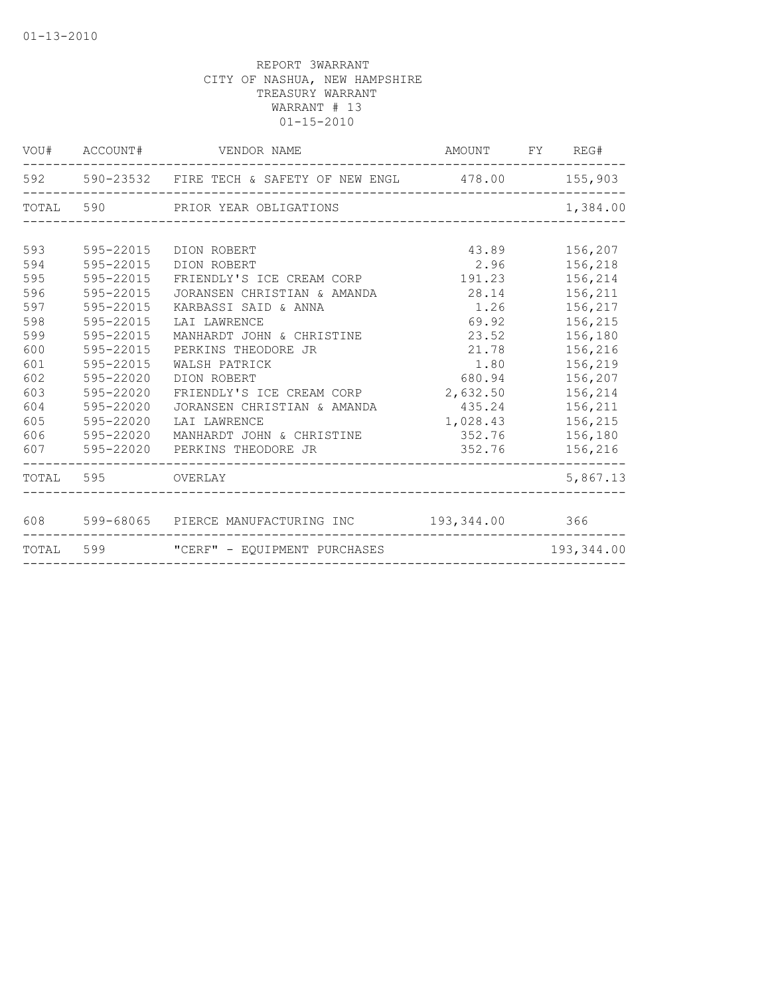|     |                   | VOU# ACCOUNT# VENDOR NAME                                   | AMOUNT FY REG#   |            |
|-----|-------------------|-------------------------------------------------------------|------------------|------------|
|     |                   | 592 590-23532 FIRE TECH & SAFETY OF NEW ENGL 478.00 155,903 |                  |            |
|     |                   | TOTAL 590 PRIOR YEAR OBLIGATIONS                            |                  | 1,384.00   |
|     |                   |                                                             |                  |            |
| 593 | 595-22015         | DION ROBERT                                                 | 43.89            | 156,207    |
| 594 | 595-22015         | DION ROBERT                                                 | 2.96 156,218     |            |
| 595 | 595-22015         | FRIENDLY'S ICE CREAM CORP 191.23                            |                  | 156,214    |
| 596 | 595-22015         | JORANSEN CHRISTIAN & AMANDA                                 | 28.14            | 156,211    |
| 597 | 595-22015         | KARBASSI SAID & ANNA                                        | 1.26             | 156,217    |
| 598 | 595-22015         | LAI LAWRENCE                                                | 69.92            | 156,215    |
| 599 | 595-22015         | MANHARDT JOHN & CHRISTINE                                   | 23.52            | 156,180    |
| 600 | 595-22015         | PERKINS THEODORE JR                                         | 21.78            | 156,216    |
| 601 | 595-22015         | WALSH PATRICK                                               | 1.80             | 156,219    |
| 602 | 595-22020         | DION ROBERT                                                 | 680.94           | 156,207    |
| 603 | 595-22020         | FRIENDLY'S ICE CREAM CORP 2,632.50                          |                  | 156,214    |
| 604 | 595-22020         | JORANSEN CHRISTIAN & AMANDA 435.24 156,211                  |                  |            |
| 605 | 595-22020         | LAI LAWRENCE                                                | 1,028.43 156,215 |            |
| 606 | 595-22020         | MANHARDT JOHN & CHRISTINE 352.76 156,180                    |                  |            |
| 607 |                   | 595-22020 PERKINS THEODORE JR                               | 352.76 156,216   |            |
|     | TOTAL 595 OVERLAY |                                                             |                  | 5,867.13   |
|     |                   |                                                             |                  |            |
|     |                   | 608 599-68065 PIERCE MANUFACTURING INC 193,344.00 366       |                  |            |
|     |                   | TOTAL 599 "CERF" - EQUIPMENT PURCHASES                      |                  | 193,344.00 |
|     |                   |                                                             |                  |            |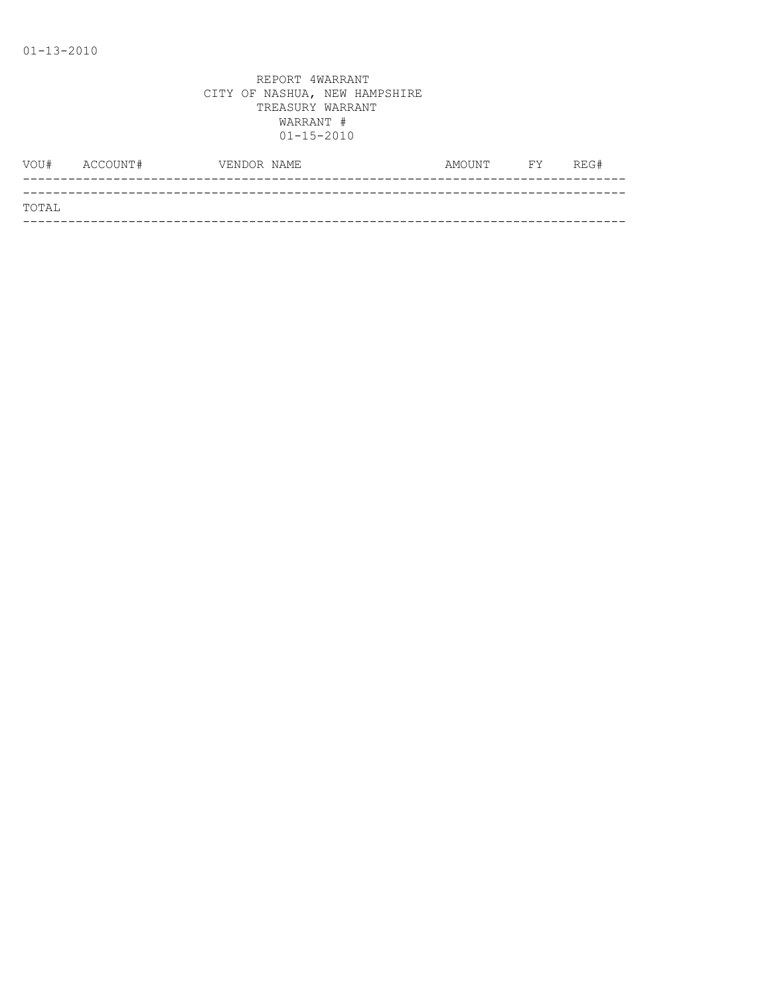|       | VOU# ACCOUNT# | VENDOR NAME | AMOUNT FY REG# |  |
|-------|---------------|-------------|----------------|--|
|       |               |             |                |  |
| TOTAL |               |             |                |  |
|       |               |             |                |  |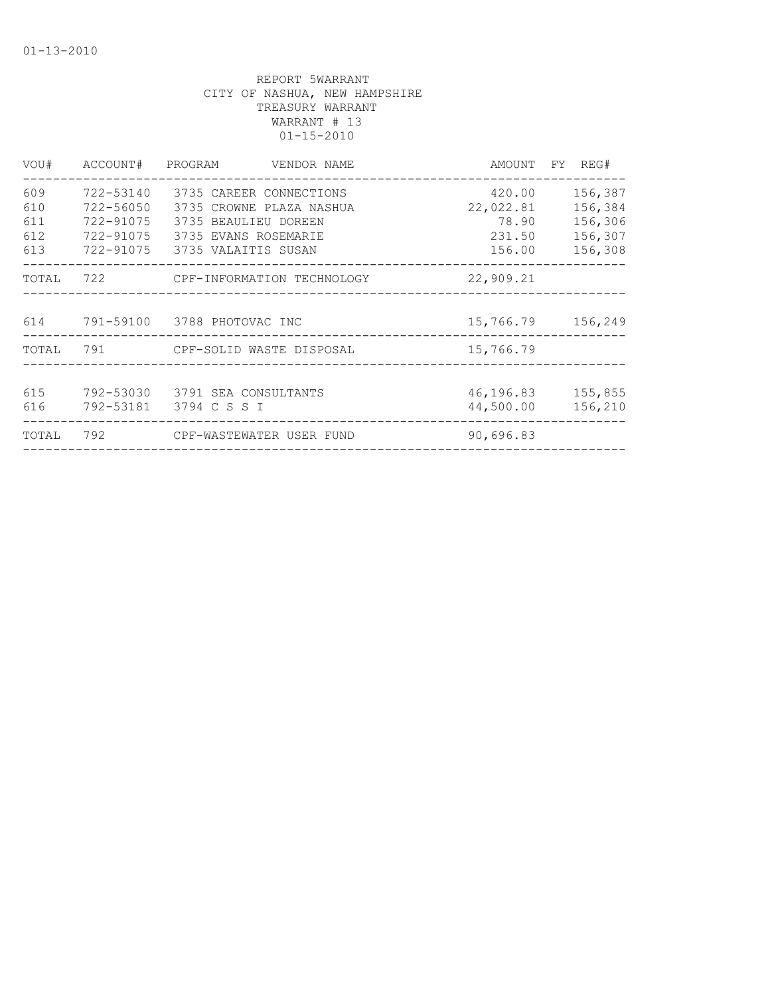| VOU#                     |                                                  | ACCOUNT# PROGRAM VENDOR NAME                                                                                                             |                                                  | AMOUNT FY REG#                                      |
|--------------------------|--------------------------------------------------|------------------------------------------------------------------------------------------------------------------------------------------|--------------------------------------------------|-----------------------------------------------------|
| 609<br>610<br>611<br>612 | 722-53140<br>722-56050<br>722-91075<br>722-91075 | 3735 CAREER CONNECTIONS<br>3735 CROWNE PLAZA NASHUA<br>3735 BEAULIEU DOREEN<br>3735 EVANS ROSEMARIE<br>613 722-91075 3735 VALAITIS SUSAN | 420.00<br>22,022.81<br>78.90<br>231.50<br>156.00 | 156,387<br>156,384<br>156,306<br>156,307<br>156,308 |
| TOTAL                    |                                                  | 722 CPF-INFORMATION TECHNOLOGY                                                                                                           | 22,909.21                                        |                                                     |
|                          |                                                  | 614 791-59100 3788 PHOTOVAC INC                                                                                                          | 15,766.79 156,249                                |                                                     |
|                          |                                                  | TOTAL 791 CPF-SOLID WASTE DISPOSAL                                                                                                       | 15,766.79                                        |                                                     |
| 615<br>616               |                                                  | 792-53030 - 3791 SEA CONSULTANTS<br>792-53181 3794 C S S I                                                                               | 46, 196.83 155, 855<br>44,500.00                 | 156,210                                             |
| TOTAL                    |                                                  | 792                   CPF-WASTEWATER USER FUND                                                                                           | 90,696.83                                        |                                                     |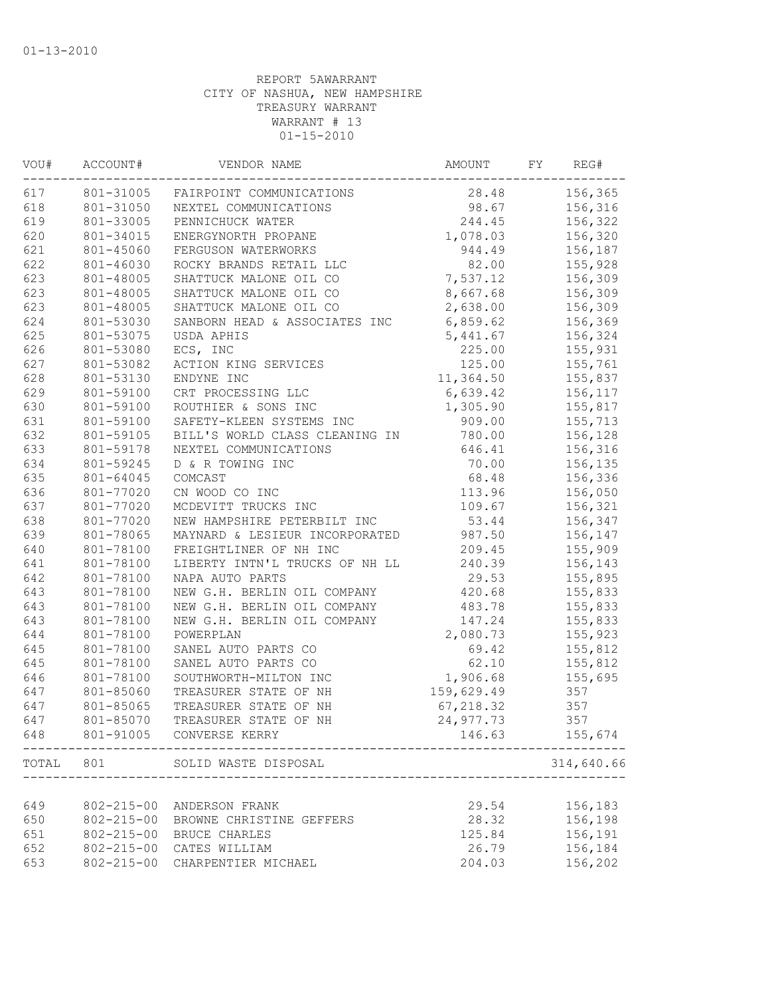| VOU#  | ACCOUNT#         | VENDOR NAME                    | AMOUNT     | FY | REG#       |
|-------|------------------|--------------------------------|------------|----|------------|
| 617   | 801-31005        | FAIRPOINT COMMUNICATIONS       | 28.48      |    | 156,365    |
| 618   | 801-31050        | NEXTEL COMMUNICATIONS          | 98.67      |    | 156,316    |
| 619   | 801-33005        | PENNICHUCK WATER               | 244.45     |    | 156,322    |
| 620   | 801-34015        | ENERGYNORTH PROPANE            | 1,078.03   |    | 156,320    |
| 621   | 801-45060        | FERGUSON WATERWORKS            | 944.49     |    | 156,187    |
| 622   | 801-46030        | ROCKY BRANDS RETAIL LLC        | 82.00      |    | 155,928    |
| 623   | 801-48005        | SHATTUCK MALONE OIL CO         | 7,537.12   |    | 156,309    |
| 623   | 801-48005        | SHATTUCK MALONE OIL CO         | 8,667.68   |    | 156,309    |
| 623   | 801-48005        | SHATTUCK MALONE OIL CO         | 2,638.00   |    | 156,309    |
| 624   | 801-53030        | SANBORN HEAD & ASSOCIATES INC  | 6,859.62   |    | 156,369    |
| 625   | 801-53075        | USDA APHIS                     | 5,441.67   |    | 156,324    |
| 626   | 801-53080        | ECS, INC                       | 225.00     |    | 155,931    |
| 627   | 801-53082        | ACTION KING SERVICES           | 125.00     |    | 155,761    |
| 628   | 801-53130        | ENDYNE INC                     | 11,364.50  |    | 155,837    |
| 629   | 801-59100        | CRT PROCESSING LLC             | 6,639.42   |    | 156,117    |
| 630   | 801-59100        | ROUTHIER & SONS INC            | 1,305.90   |    | 155,817    |
| 631   | 801-59100        | SAFETY-KLEEN SYSTEMS INC       | 909.00     |    | 155,713    |
| 632   | 801-59105        | BILL'S WORLD CLASS CLEANING IN | 780.00     |    | 156,128    |
| 633   | 801-59178        | NEXTEL COMMUNICATIONS          | 646.41     |    | 156,316    |
| 634   | 801-59245        | D & R TOWING INC               | 70.00      |    | 156,135    |
| 635   | 801-64045        | COMCAST                        | 68.48      |    | 156,336    |
| 636   | 801-77020        | CN WOOD CO INC                 | 113.96     |    | 156,050    |
| 637   | 801-77020        | MCDEVITT TRUCKS INC            | 109.67     |    | 156,321    |
| 638   | 801-77020        | NEW HAMPSHIRE PETERBILT INC    | 53.44      |    | 156,347    |
| 639   | 801-78065        | MAYNARD & LESIEUR INCORPORATED | 987.50     |    | 156,147    |
| 640   | 801-78100        | FREIGHTLINER OF NH INC         | 209.45     |    | 155,909    |
| 641   | 801-78100        | LIBERTY INTN'L TRUCKS OF NH LL | 240.39     |    | 156,143    |
| 642   | 801-78100        | NAPA AUTO PARTS                | 29.53      |    | 155,895    |
| 643   | 801-78100        | NEW G.H. BERLIN OIL COMPANY    | 420.68     |    | 155,833    |
| 643   | 801-78100        | NEW G.H. BERLIN OIL COMPANY    | 483.78     |    | 155,833    |
| 643   | 801-78100        | NEW G.H. BERLIN OIL COMPANY    | 147.24     |    | 155,833    |
| 644   | 801-78100        | POWERPLAN                      | 2,080.73   |    | 155,923    |
| 645   | 801-78100        | SANEL AUTO PARTS CO            | 69.42      |    | 155,812    |
| 645   | 801-78100        | SANEL AUTO PARTS CO            | 62.10      |    | 155,812    |
| 646   | 801-78100        | SOUTHWORTH-MILTON INC          | 1,906.68   |    | 155,695    |
| 647   | 801-85060        | TREASURER STATE OF NH          | 159,629.49 |    | 357        |
| 647   | 801-85065        | TREASURER STATE OF NH          | 67, 218.32 |    | 357        |
| 647   | 801-85070        | TREASURER STATE OF NH          | 24,977.73  |    | 357        |
| 648   |                  | 801-91005 CONVERSE KERRY       | 146.63     |    | 155,674    |
| TOTAL | 801              | SOLID WASTE DISPOSAL           |            |    | 314,640.66 |
|       |                  |                                |            |    |            |
| 649   | $802 - 215 - 00$ | ANDERSON FRANK                 | 29.54      |    | 156,183    |
| 650   | $802 - 215 - 00$ | BROWNE CHRISTINE GEFFERS       | 28.32      |    | 156,198    |
| 651   | $802 - 215 - 00$ | BRUCE CHARLES                  | 125.84     |    | 156,191    |
| 652   | $802 - 215 - 00$ | CATES WILLIAM                  | 26.79      |    | 156,184    |
| 653   | $802 - 215 - 00$ | CHARPENTIER MICHAEL            | 204.03     |    | 156,202    |
|       |                  |                                |            |    |            |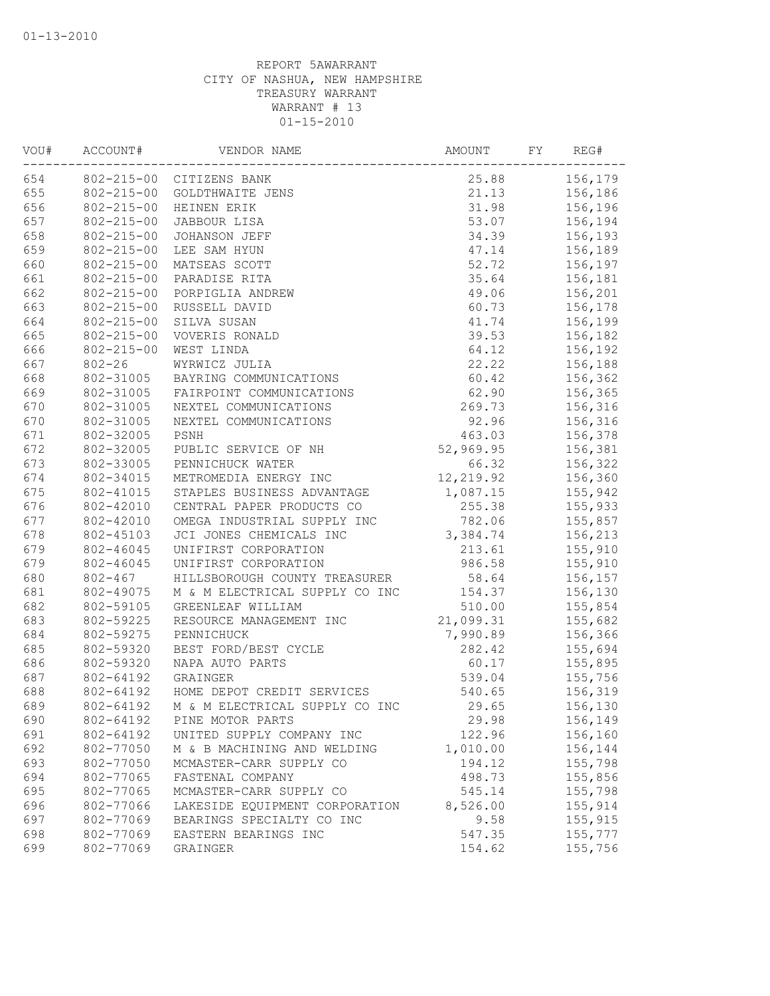| VOU# | ACCOUNT#         | VENDOR NAME                    | AMOUNT    | FY | REG#    |
|------|------------------|--------------------------------|-----------|----|---------|
| 654  |                  | 802-215-00 CITIZENS BANK       | 25.88     |    | 156,179 |
| 655  | $802 - 215 - 00$ | GOLDTHWAITE JENS               | 21.13     |    | 156,186 |
| 656  | $802 - 215 - 00$ | HEINEN ERIK                    | 31.98     |    | 156,196 |
| 657  | $802 - 215 - 00$ | JABBOUR LISA                   | 53.07     |    | 156,194 |
| 658  | $802 - 215 - 00$ | JOHANSON JEFF                  | 34.39     |    | 156,193 |
| 659  | $802 - 215 - 00$ | LEE SAM HYUN                   | 47.14     |    | 156,189 |
| 660  | $802 - 215 - 00$ | MATSEAS SCOTT                  | 52.72     |    | 156,197 |
| 661  | $802 - 215 - 00$ | PARADISE RITA                  | 35.64     |    | 156,181 |
| 662  | $802 - 215 - 00$ | PORPIGLIA ANDREW               | 49.06     |    | 156,201 |
| 663  | $802 - 215 - 00$ | RUSSELL DAVID                  | 60.73     |    | 156,178 |
| 664  | $802 - 215 - 00$ | SILVA SUSAN                    | 41.74     |    | 156,199 |
| 665  | $802 - 215 - 00$ | VOVERIS RONALD                 | 39.53     |    | 156,182 |
| 666  | $802 - 215 - 00$ | WEST LINDA                     | 64.12     |    | 156,192 |
| 667  | $802 - 26$       | WYRWICZ JULIA                  | 22.22     |    | 156,188 |
| 668  | 802-31005        | BAYRING COMMUNICATIONS         | 60.42     |    | 156,362 |
| 669  | 802-31005        | FAIRPOINT COMMUNICATIONS       | 62.90     |    | 156,365 |
| 670  | 802-31005        | NEXTEL COMMUNICATIONS          | 269.73    |    | 156,316 |
| 670  | 802-31005        | NEXTEL COMMUNICATIONS          | 92.96     |    | 156,316 |
| 671  | 802-32005        | PSNH                           | 463.03    |    | 156,378 |
| 672  | 802-32005        | PUBLIC SERVICE OF NH           | 52,969.95 |    | 156,381 |
| 673  | 802-33005        | PENNICHUCK WATER               | 66.32     |    | 156,322 |
| 674  | 802-34015        | METROMEDIA ENERGY INC          | 12,219.92 |    | 156,360 |
| 675  | 802-41015        | STAPLES BUSINESS ADVANTAGE     | 1,087.15  |    | 155,942 |
| 676  | 802-42010        | CENTRAL PAPER PRODUCTS CO      | 255.38    |    | 155,933 |
| 677  | 802-42010        | OMEGA INDUSTRIAL SUPPLY INC    | 782.06    |    | 155,857 |
| 678  | 802-45103        | JCI JONES CHEMICALS INC        | 3,384.74  |    | 156,213 |
| 679  | 802-46045        | UNIFIRST CORPORATION           | 213.61    |    | 155,910 |
| 679  | 802-46045        | UNIFIRST CORPORATION           | 986.58    |    | 155,910 |
| 680  | $802 - 467$      | HILLSBOROUGH COUNTY TREASURER  | 58.64     |    | 156,157 |
| 681  | 802-49075        | M & M ELECTRICAL SUPPLY CO INC | 154.37    |    | 156,130 |
| 682  | 802-59105        | GREENLEAF WILLIAM              | 510.00    |    | 155,854 |
| 683  | 802-59225        | RESOURCE MANAGEMENT INC        | 21,099.31 |    | 155,682 |
| 684  | 802-59275        | PENNICHUCK                     | 7,990.89  |    | 156,366 |
| 685  | 802-59320        | BEST FORD/BEST CYCLE           | 282.42    |    |         |
|      | 802-59320        |                                |           |    | 155,694 |
| 686  |                  | NAPA AUTO PARTS<br>GRAINGER    | 60.17     |    | 155,895 |
| 687  | 802-64192        |                                | 539.04    |    | 155,756 |
| 688  | 802-64192        | HOME DEPOT CREDIT SERVICES     | 540.65    |    | 156,319 |
| 689  | 802-64192        | M & M ELECTRICAL SUPPLY CO INC | 29.65     |    | 156,130 |
| 690  | 802-64192        | PINE MOTOR PARTS               | 29.98     |    | 156,149 |
| 691  | 802-64192        | UNITED SUPPLY COMPANY INC      | 122.96    |    | 156,160 |
| 692  | 802-77050        | M & B MACHINING AND WELDING    | 1,010.00  |    | 156,144 |
| 693  | 802-77050        | MCMASTER-CARR SUPPLY CO        | 194.12    |    | 155,798 |
| 694  | 802-77065        | FASTENAL COMPANY               | 498.73    |    | 155,856 |
| 695  | 802-77065        | MCMASTER-CARR SUPPLY CO        | 545.14    |    | 155,798 |
| 696  | 802-77066        | LAKESIDE EQUIPMENT CORPORATION | 8,526.00  |    | 155,914 |
| 697  | 802-77069        | BEARINGS SPECIALTY CO INC      | 9.58      |    | 155,915 |
| 698  | 802-77069        | EASTERN BEARINGS INC           | 547.35    |    | 155,777 |
| 699  | 802-77069        | GRAINGER                       | 154.62    |    | 155,756 |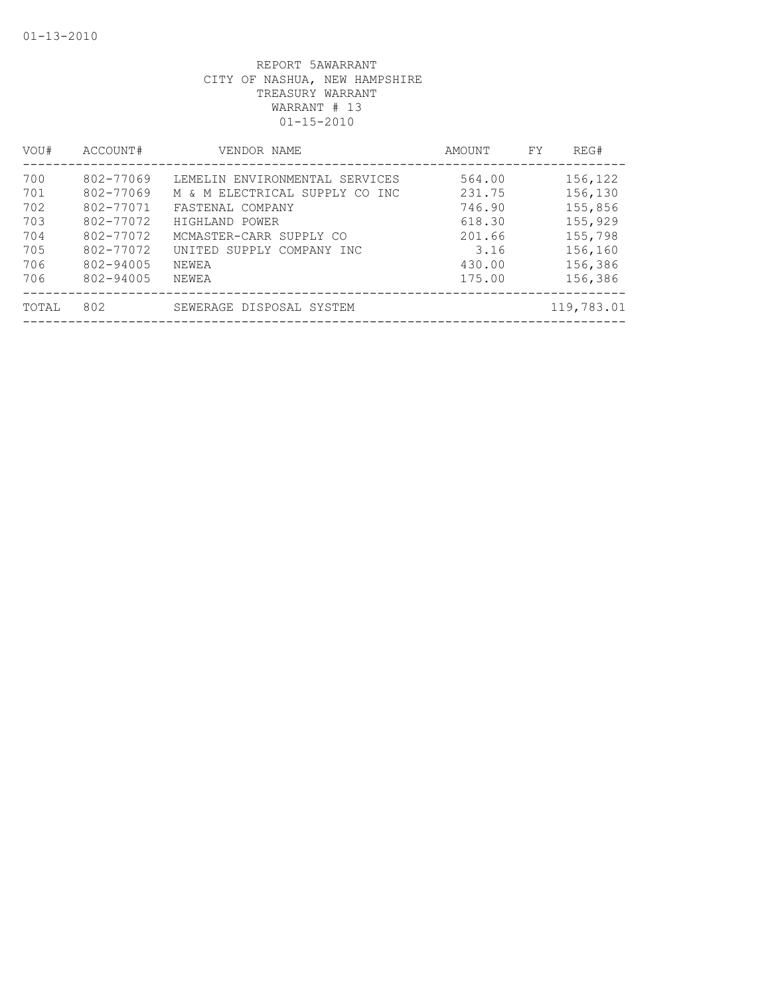| VOU#                                   | ACCOUNT#                                                                   | VENDOR NAME                                                                                                                                                    | AMOUNT                                                 | FY | REG#                                                           |
|----------------------------------------|----------------------------------------------------------------------------|----------------------------------------------------------------------------------------------------------------------------------------------------------------|--------------------------------------------------------|----|----------------------------------------------------------------|
| 700<br>701<br>702<br>703<br>704<br>705 | 802-77069<br>802-77069<br>802-77071<br>802-77072<br>802-77072<br>802-77072 | LEMELIN ENVIRONMENTAL SERVICES<br>M & M ELECTRICAL SUPPLY CO INC<br>FASTENAL COMPANY<br>HIGHLAND POWER<br>MCMASTER-CARR SUPPLY CO<br>UNITED SUPPLY COMPANY INC | 564.00<br>231.75<br>746.90<br>618.30<br>201.66<br>3.16 |    | 156,122<br>156,130<br>155,856<br>155,929<br>155,798<br>156,160 |
| 706<br>706<br>TOTAL                    | 802-94005<br>802-94005<br>802                                              | NEWEA<br>NEWEA<br>SEWERAGE DISPOSAL SYSTEM                                                                                                                     | 430.00<br>175.00                                       |    | 156,386<br>156,386<br>119,783.01                               |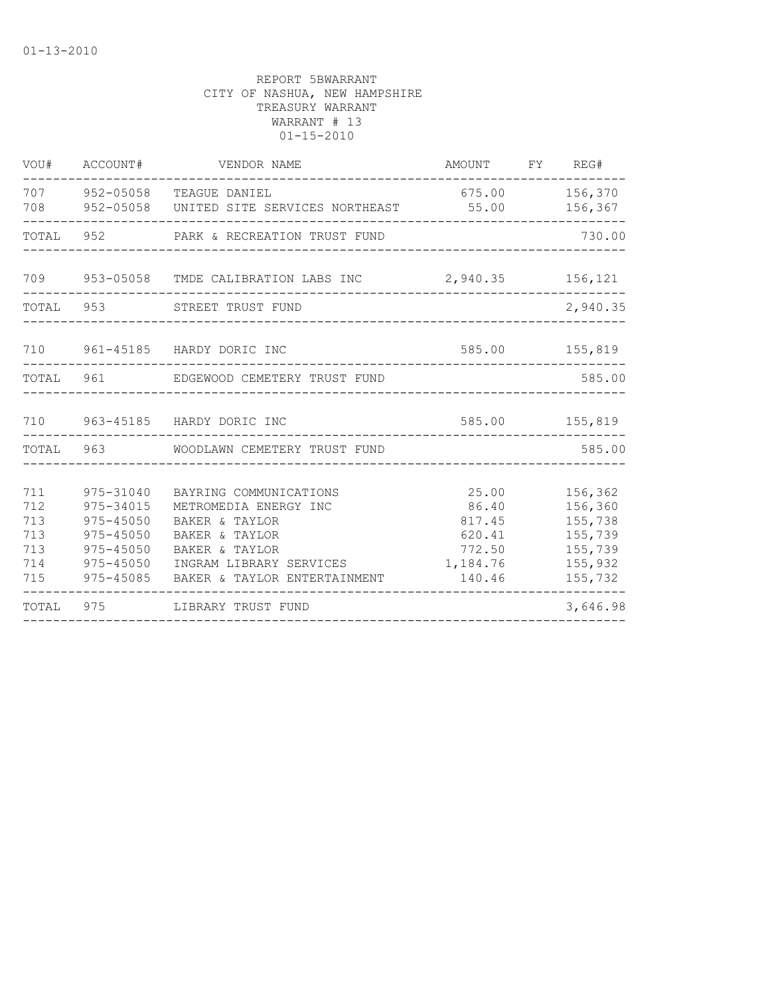| VOU#                                          | ACCOUNT#                                                                                        | VENDOR NAME                                                                                                                                                      | AMOUNT FY REG#                                                     |                                                                           |
|-----------------------------------------------|-------------------------------------------------------------------------------------------------|------------------------------------------------------------------------------------------------------------------------------------------------------------------|--------------------------------------------------------------------|---------------------------------------------------------------------------|
| 708                                           |                                                                                                 | 707 952-05058 TEAGUE DANIEL<br>952-05058 UNITED SITE SERVICES NORTHEAST                                                                                          | 675.00<br>55.00                                                    | 156,370<br>156,367                                                        |
| TOTAL                                         |                                                                                                 | 952 PARK & RECREATION TRUST FUND                                                                                                                                 |                                                                    | 730.00                                                                    |
|                                               |                                                                                                 | 709  953-05058  TMDE CALIBRATION LABS INC  2,940.35  156,121                                                                                                     |                                                                    |                                                                           |
| TOTAL                                         |                                                                                                 | 953 STREET TRUST FUND                                                                                                                                            | _____________________________                                      | 2,940.35                                                                  |
| 710                                           |                                                                                                 | 961-45185 HARDY DORIC INC                                                                                                                                        |                                                                    | 585.00 155,819                                                            |
| TOTAL 961                                     |                                                                                                 | EDGEWOOD CEMETERY TRUST FUND                                                                                                                                     |                                                                    | 585.00                                                                    |
|                                               |                                                                                                 | 710 963-45185 HARDY DORIC INC                                                                                                                                    |                                                                    | 585.00 155,819                                                            |
|                                               |                                                                                                 | TOTAL 963 WOODLAWN CEMETERY TRUST FUND                                                                                                                           |                                                                    | 585.00                                                                    |
| 711<br>712<br>713<br>713<br>713<br>714<br>715 | 975-31040<br>975-34015<br>$975 - 45050$<br>$975 - 45050$<br>975-45050<br>975-45050<br>975-45085 | BAYRING COMMUNICATIONS<br>METROMEDIA ENERGY INC<br>BAKER & TAYLOR<br>BAKER & TAYLOR<br>BAKER & TAYLOR<br>INGRAM LIBRARY SERVICES<br>BAKER & TAYLOR ENTERTAINMENT | 25.00<br>86.40<br>817.45<br>620.41<br>772.50<br>1,184.76<br>140.46 | 156,362<br>156,360<br>155,738<br>155,739<br>155,739<br>155,932<br>155,732 |
| TOTAL                                         | 975                                                                                             | LIBRARY TRUST FUND                                                                                                                                               |                                                                    | 3,646.98                                                                  |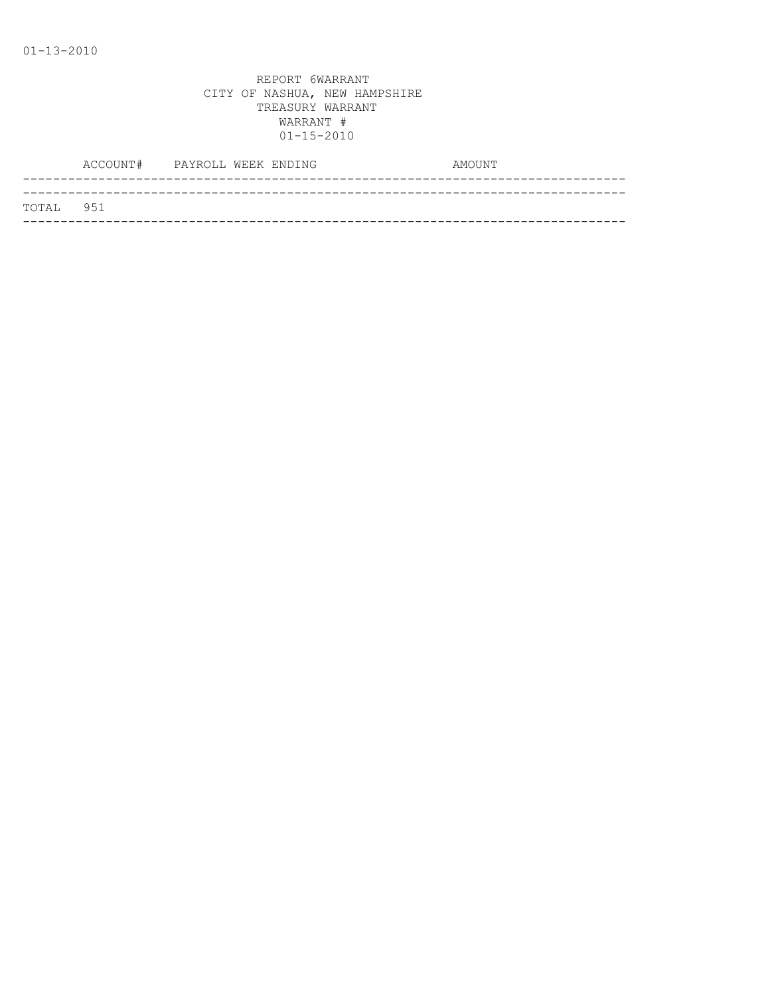|           | ACCOUNT# PAYROLL WEEK ENDING |  | AMOUNT |
|-----------|------------------------------|--|--------|
|           |                              |  |        |
| TOTAL 951 |                              |  |        |
|           |                              |  |        |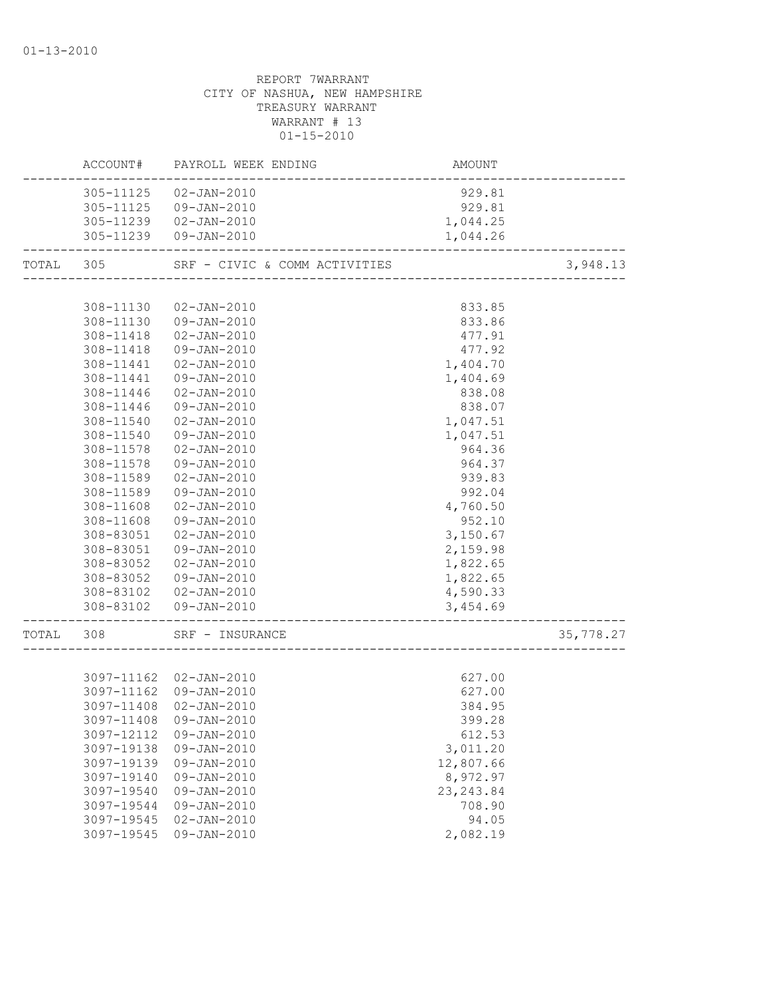| 305-11125  02-JAN-2010<br>929.81<br>305-11125  09-JAN-2010<br>929.81<br>1,044.25<br>305-11239  02-JAN-2010<br>305-11239 09-JAN-2010<br>1,044.26<br>SRF - CIVIC & COMM ACTIVITIES<br>TOTAL 305<br>3,948.13<br>TIVITIES<br>-------------------------------<br>308-11130<br>02-JAN-2010<br>833.85<br>308-11130 09-JAN-2010<br>833.86<br>308-11418  02-JAN-2010<br>477.91<br>308-11418<br>09-JAN-2010<br>477.92<br>308-11441<br>02-JAN-2010<br>1,404.70<br>1,404.69<br>308-11441<br>09-JAN-2010<br>308-11446<br>02-JAN-2010<br>838.08<br>308-11446<br>09-JAN-2010<br>838.07<br>308-11540<br>02-JAN-2010<br>1,047.51<br>09-JAN-2010<br>308-11540<br>1,047.51<br>308-11578<br>02-JAN-2010<br>964.36<br>308-11578<br>09-JAN-2010<br>964.37<br>308-11589<br>$02 - JAN - 2010$<br>939.83<br>308-11589<br>09-JAN-2010<br>992.04<br>4,760.50<br>308-11608<br>$02 - JAN - 2010$<br>952.10<br>308-11608<br>09-JAN-2010<br>3,150.67<br>308-83051<br>02-JAN-2010<br>308-83051<br>09-JAN-2010<br>2,159.98<br>308-83052<br>$02 - JAN - 2010$<br>1,822.65<br>1,822.65<br>308-83052 09-JAN-2010<br>4,590.33<br>308-83102  02-JAN-2010<br>308-83102  09-JAN-2010<br>3,454.69<br>35,778.27<br>TOTAL 308<br>SRF - INSURANCE<br>627.00<br>3097-11162 02-JAN-2010<br>3097-11162 09-JAN-2010<br>627.00<br>3097-11408<br>02-JAN-2010<br>384.95<br>3097-11408 09-JAN-2010<br>399.28<br>3097-12112<br>$09 - JAN - 2010$<br>612.53<br>3097-19138<br>$09 - JAN - 2010$<br>3,011.20<br>12,807.66<br>3097-19139<br>09-JAN-2010<br>8,972.97<br>3097-19140<br>09-JAN-2010<br>$09 - JAN - 2010$<br>23, 243.84<br>3097-19540<br>09-JAN-2010<br>3097-19544<br>708.90<br>3097-19545<br>$02 - JAN - 2010$<br>94.05<br>3097-19545<br>$09 - JAN - 2010$<br>2,082.19 |  | ACCOUNT# PAYROLL WEEK ENDING | AMOUNT |  |
|----------------------------------------------------------------------------------------------------------------------------------------------------------------------------------------------------------------------------------------------------------------------------------------------------------------------------------------------------------------------------------------------------------------------------------------------------------------------------------------------------------------------------------------------------------------------------------------------------------------------------------------------------------------------------------------------------------------------------------------------------------------------------------------------------------------------------------------------------------------------------------------------------------------------------------------------------------------------------------------------------------------------------------------------------------------------------------------------------------------------------------------------------------------------------------------------------------------------------------------------------------------------------------------------------------------------------------------------------------------------------------------------------------------------------------------------------------------------------------------------------------------------------------------------------------------------------------------------------------------------------------------------------------------------------------------------------------------------------|--|------------------------------|--------|--|
|                                                                                                                                                                                                                                                                                                                                                                                                                                                                                                                                                                                                                                                                                                                                                                                                                                                                                                                                                                                                                                                                                                                                                                                                                                                                                                                                                                                                                                                                                                                                                                                                                                                                                                                            |  |                              |        |  |
|                                                                                                                                                                                                                                                                                                                                                                                                                                                                                                                                                                                                                                                                                                                                                                                                                                                                                                                                                                                                                                                                                                                                                                                                                                                                                                                                                                                                                                                                                                                                                                                                                                                                                                                            |  |                              |        |  |
|                                                                                                                                                                                                                                                                                                                                                                                                                                                                                                                                                                                                                                                                                                                                                                                                                                                                                                                                                                                                                                                                                                                                                                                                                                                                                                                                                                                                                                                                                                                                                                                                                                                                                                                            |  |                              |        |  |
|                                                                                                                                                                                                                                                                                                                                                                                                                                                                                                                                                                                                                                                                                                                                                                                                                                                                                                                                                                                                                                                                                                                                                                                                                                                                                                                                                                                                                                                                                                                                                                                                                                                                                                                            |  |                              |        |  |
|                                                                                                                                                                                                                                                                                                                                                                                                                                                                                                                                                                                                                                                                                                                                                                                                                                                                                                                                                                                                                                                                                                                                                                                                                                                                                                                                                                                                                                                                                                                                                                                                                                                                                                                            |  |                              |        |  |
|                                                                                                                                                                                                                                                                                                                                                                                                                                                                                                                                                                                                                                                                                                                                                                                                                                                                                                                                                                                                                                                                                                                                                                                                                                                                                                                                                                                                                                                                                                                                                                                                                                                                                                                            |  |                              |        |  |
|                                                                                                                                                                                                                                                                                                                                                                                                                                                                                                                                                                                                                                                                                                                                                                                                                                                                                                                                                                                                                                                                                                                                                                                                                                                                                                                                                                                                                                                                                                                                                                                                                                                                                                                            |  |                              |        |  |
|                                                                                                                                                                                                                                                                                                                                                                                                                                                                                                                                                                                                                                                                                                                                                                                                                                                                                                                                                                                                                                                                                                                                                                                                                                                                                                                                                                                                                                                                                                                                                                                                                                                                                                                            |  |                              |        |  |
|                                                                                                                                                                                                                                                                                                                                                                                                                                                                                                                                                                                                                                                                                                                                                                                                                                                                                                                                                                                                                                                                                                                                                                                                                                                                                                                                                                                                                                                                                                                                                                                                                                                                                                                            |  |                              |        |  |
|                                                                                                                                                                                                                                                                                                                                                                                                                                                                                                                                                                                                                                                                                                                                                                                                                                                                                                                                                                                                                                                                                                                                                                                                                                                                                                                                                                                                                                                                                                                                                                                                                                                                                                                            |  |                              |        |  |
|                                                                                                                                                                                                                                                                                                                                                                                                                                                                                                                                                                                                                                                                                                                                                                                                                                                                                                                                                                                                                                                                                                                                                                                                                                                                                                                                                                                                                                                                                                                                                                                                                                                                                                                            |  |                              |        |  |
|                                                                                                                                                                                                                                                                                                                                                                                                                                                                                                                                                                                                                                                                                                                                                                                                                                                                                                                                                                                                                                                                                                                                                                                                                                                                                                                                                                                                                                                                                                                                                                                                                                                                                                                            |  |                              |        |  |
|                                                                                                                                                                                                                                                                                                                                                                                                                                                                                                                                                                                                                                                                                                                                                                                                                                                                                                                                                                                                                                                                                                                                                                                                                                                                                                                                                                                                                                                                                                                                                                                                                                                                                                                            |  |                              |        |  |
|                                                                                                                                                                                                                                                                                                                                                                                                                                                                                                                                                                                                                                                                                                                                                                                                                                                                                                                                                                                                                                                                                                                                                                                                                                                                                                                                                                                                                                                                                                                                                                                                                                                                                                                            |  |                              |        |  |
|                                                                                                                                                                                                                                                                                                                                                                                                                                                                                                                                                                                                                                                                                                                                                                                                                                                                                                                                                                                                                                                                                                                                                                                                                                                                                                                                                                                                                                                                                                                                                                                                                                                                                                                            |  |                              |        |  |
|                                                                                                                                                                                                                                                                                                                                                                                                                                                                                                                                                                                                                                                                                                                                                                                                                                                                                                                                                                                                                                                                                                                                                                                                                                                                                                                                                                                                                                                                                                                                                                                                                                                                                                                            |  |                              |        |  |
|                                                                                                                                                                                                                                                                                                                                                                                                                                                                                                                                                                                                                                                                                                                                                                                                                                                                                                                                                                                                                                                                                                                                                                                                                                                                                                                                                                                                                                                                                                                                                                                                                                                                                                                            |  |                              |        |  |
|                                                                                                                                                                                                                                                                                                                                                                                                                                                                                                                                                                                                                                                                                                                                                                                                                                                                                                                                                                                                                                                                                                                                                                                                                                                                                                                                                                                                                                                                                                                                                                                                                                                                                                                            |  |                              |        |  |
|                                                                                                                                                                                                                                                                                                                                                                                                                                                                                                                                                                                                                                                                                                                                                                                                                                                                                                                                                                                                                                                                                                                                                                                                                                                                                                                                                                                                                                                                                                                                                                                                                                                                                                                            |  |                              |        |  |
|                                                                                                                                                                                                                                                                                                                                                                                                                                                                                                                                                                                                                                                                                                                                                                                                                                                                                                                                                                                                                                                                                                                                                                                                                                                                                                                                                                                                                                                                                                                                                                                                                                                                                                                            |  |                              |        |  |
|                                                                                                                                                                                                                                                                                                                                                                                                                                                                                                                                                                                                                                                                                                                                                                                                                                                                                                                                                                                                                                                                                                                                                                                                                                                                                                                                                                                                                                                                                                                                                                                                                                                                                                                            |  |                              |        |  |
|                                                                                                                                                                                                                                                                                                                                                                                                                                                                                                                                                                                                                                                                                                                                                                                                                                                                                                                                                                                                                                                                                                                                                                                                                                                                                                                                                                                                                                                                                                                                                                                                                                                                                                                            |  |                              |        |  |
|                                                                                                                                                                                                                                                                                                                                                                                                                                                                                                                                                                                                                                                                                                                                                                                                                                                                                                                                                                                                                                                                                                                                                                                                                                                                                                                                                                                                                                                                                                                                                                                                                                                                                                                            |  |                              |        |  |
|                                                                                                                                                                                                                                                                                                                                                                                                                                                                                                                                                                                                                                                                                                                                                                                                                                                                                                                                                                                                                                                                                                                                                                                                                                                                                                                                                                                                                                                                                                                                                                                                                                                                                                                            |  |                              |        |  |
|                                                                                                                                                                                                                                                                                                                                                                                                                                                                                                                                                                                                                                                                                                                                                                                                                                                                                                                                                                                                                                                                                                                                                                                                                                                                                                                                                                                                                                                                                                                                                                                                                                                                                                                            |  |                              |        |  |
|                                                                                                                                                                                                                                                                                                                                                                                                                                                                                                                                                                                                                                                                                                                                                                                                                                                                                                                                                                                                                                                                                                                                                                                                                                                                                                                                                                                                                                                                                                                                                                                                                                                                                                                            |  |                              |        |  |
|                                                                                                                                                                                                                                                                                                                                                                                                                                                                                                                                                                                                                                                                                                                                                                                                                                                                                                                                                                                                                                                                                                                                                                                                                                                                                                                                                                                                                                                                                                                                                                                                                                                                                                                            |  |                              |        |  |
|                                                                                                                                                                                                                                                                                                                                                                                                                                                                                                                                                                                                                                                                                                                                                                                                                                                                                                                                                                                                                                                                                                                                                                                                                                                                                                                                                                                                                                                                                                                                                                                                                                                                                                                            |  |                              |        |  |
|                                                                                                                                                                                                                                                                                                                                                                                                                                                                                                                                                                                                                                                                                                                                                                                                                                                                                                                                                                                                                                                                                                                                                                                                                                                                                                                                                                                                                                                                                                                                                                                                                                                                                                                            |  |                              |        |  |
|                                                                                                                                                                                                                                                                                                                                                                                                                                                                                                                                                                                                                                                                                                                                                                                                                                                                                                                                                                                                                                                                                                                                                                                                                                                                                                                                                                                                                                                                                                                                                                                                                                                                                                                            |  |                              |        |  |
|                                                                                                                                                                                                                                                                                                                                                                                                                                                                                                                                                                                                                                                                                                                                                                                                                                                                                                                                                                                                                                                                                                                                                                                                                                                                                                                                                                                                                                                                                                                                                                                                                                                                                                                            |  |                              |        |  |
|                                                                                                                                                                                                                                                                                                                                                                                                                                                                                                                                                                                                                                                                                                                                                                                                                                                                                                                                                                                                                                                                                                                                                                                                                                                                                                                                                                                                                                                                                                                                                                                                                                                                                                                            |  |                              |        |  |
|                                                                                                                                                                                                                                                                                                                                                                                                                                                                                                                                                                                                                                                                                                                                                                                                                                                                                                                                                                                                                                                                                                                                                                                                                                                                                                                                                                                                                                                                                                                                                                                                                                                                                                                            |  |                              |        |  |
|                                                                                                                                                                                                                                                                                                                                                                                                                                                                                                                                                                                                                                                                                                                                                                                                                                                                                                                                                                                                                                                                                                                                                                                                                                                                                                                                                                                                                                                                                                                                                                                                                                                                                                                            |  |                              |        |  |
|                                                                                                                                                                                                                                                                                                                                                                                                                                                                                                                                                                                                                                                                                                                                                                                                                                                                                                                                                                                                                                                                                                                                                                                                                                                                                                                                                                                                                                                                                                                                                                                                                                                                                                                            |  |                              |        |  |
|                                                                                                                                                                                                                                                                                                                                                                                                                                                                                                                                                                                                                                                                                                                                                                                                                                                                                                                                                                                                                                                                                                                                                                                                                                                                                                                                                                                                                                                                                                                                                                                                                                                                                                                            |  |                              |        |  |
|                                                                                                                                                                                                                                                                                                                                                                                                                                                                                                                                                                                                                                                                                                                                                                                                                                                                                                                                                                                                                                                                                                                                                                                                                                                                                                                                                                                                                                                                                                                                                                                                                                                                                                                            |  |                              |        |  |
|                                                                                                                                                                                                                                                                                                                                                                                                                                                                                                                                                                                                                                                                                                                                                                                                                                                                                                                                                                                                                                                                                                                                                                                                                                                                                                                                                                                                                                                                                                                                                                                                                                                                                                                            |  |                              |        |  |
|                                                                                                                                                                                                                                                                                                                                                                                                                                                                                                                                                                                                                                                                                                                                                                                                                                                                                                                                                                                                                                                                                                                                                                                                                                                                                                                                                                                                                                                                                                                                                                                                                                                                                                                            |  |                              |        |  |
|                                                                                                                                                                                                                                                                                                                                                                                                                                                                                                                                                                                                                                                                                                                                                                                                                                                                                                                                                                                                                                                                                                                                                                                                                                                                                                                                                                                                                                                                                                                                                                                                                                                                                                                            |  |                              |        |  |
|                                                                                                                                                                                                                                                                                                                                                                                                                                                                                                                                                                                                                                                                                                                                                                                                                                                                                                                                                                                                                                                                                                                                                                                                                                                                                                                                                                                                                                                                                                                                                                                                                                                                                                                            |  |                              |        |  |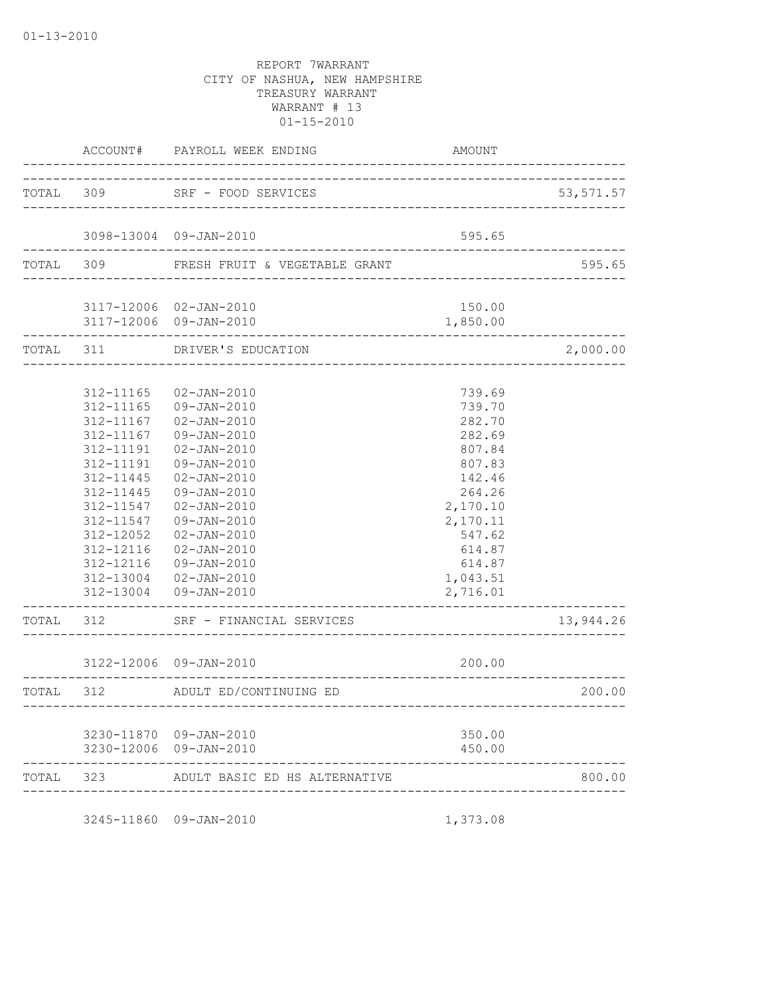|           | ACCOUNT#                                                                                                                                                              | PAYROLL WEEK ENDING                                                                                                                                                                                                                                                                                     | AMOUNT                                                                                                                                                     |           |
|-----------|-----------------------------------------------------------------------------------------------------------------------------------------------------------------------|---------------------------------------------------------------------------------------------------------------------------------------------------------------------------------------------------------------------------------------------------------------------------------------------------------|------------------------------------------------------------------------------------------------------------------------------------------------------------|-----------|
| TOTAL 309 |                                                                                                                                                                       | SRF - FOOD SERVICES<br>____________________________                                                                                                                                                                                                                                                     |                                                                                                                                                            | 53,571.57 |
|           |                                                                                                                                                                       | 3098-13004 09-JAN-2010                                                                                                                                                                                                                                                                                  | 595.65                                                                                                                                                     |           |
| TOTAL 309 |                                                                                                                                                                       | FRESH FRUIT & VEGETABLE GRANT                                                                                                                                                                                                                                                                           |                                                                                                                                                            | 595.65    |
|           |                                                                                                                                                                       | 3117-12006 02-JAN-2010<br>3117-12006 09-JAN-2010                                                                                                                                                                                                                                                        | 150.00<br>1,850.00                                                                                                                                         |           |
|           | TOTAL 311                                                                                                                                                             | DRIVER'S EDUCATION<br>-----------------                                                                                                                                                                                                                                                                 |                                                                                                                                                            | 2,000.00  |
|           | 312-11165<br>312-11165<br>312-11167<br>312-11167<br>312-11191<br>312-11191<br>312-11445<br>312-11445<br>312-11547<br>312-11547<br>312-12052<br>312-12116<br>312-12116 | $02 - JAN - 2010$<br>09-JAN-2010<br>$02 - JAN - 2010$<br>09-JAN-2010<br>$02 - JAN - 2010$<br>09-JAN-2010<br>$02 - JAN - 2010$<br>$09 - JAN - 2010$<br>$02 - JAN - 2010$<br>$09 - JAN - 2010$<br>$02 - JAN - 2010$<br>$02 - JAN - 2010$<br>09-JAN-2010<br>312-13004 02-JAN-2010<br>312-13004 09-JAN-2010 | 739.69<br>739.70<br>282.70<br>282.69<br>807.84<br>807.83<br>142.46<br>264.26<br>2,170.10<br>2,170.11<br>547.62<br>614.87<br>614.87<br>1,043.51<br>2,716.01 |           |
| TOTAL     | 312                                                                                                                                                                   | SRF - FINANCIAL SERVICES                                                                                                                                                                                                                                                                                |                                                                                                                                                            | 13,944.26 |
|           |                                                                                                                                                                       | 3122-12006 09-JAN-2010                                                                                                                                                                                                                                                                                  | 200.00<br>_________________________                                                                                                                        |           |
| TOTAL 312 |                                                                                                                                                                       | ADULT ED/CONTINUING ED                                                                                                                                                                                                                                                                                  |                                                                                                                                                            | 200.00    |
|           |                                                                                                                                                                       | 3230-11870 09-JAN-2010<br>3230-12006 09-JAN-2010                                                                                                                                                                                                                                                        | 350.00<br>450.00                                                                                                                                           |           |
| TOTAL     | 323                                                                                                                                                                   | ADULT BASIC ED HS ALTERNATIVE<br>_____________________                                                                                                                                                                                                                                                  |                                                                                                                                                            | 800.00    |

3245-11860 09-JAN-2010 1,373.08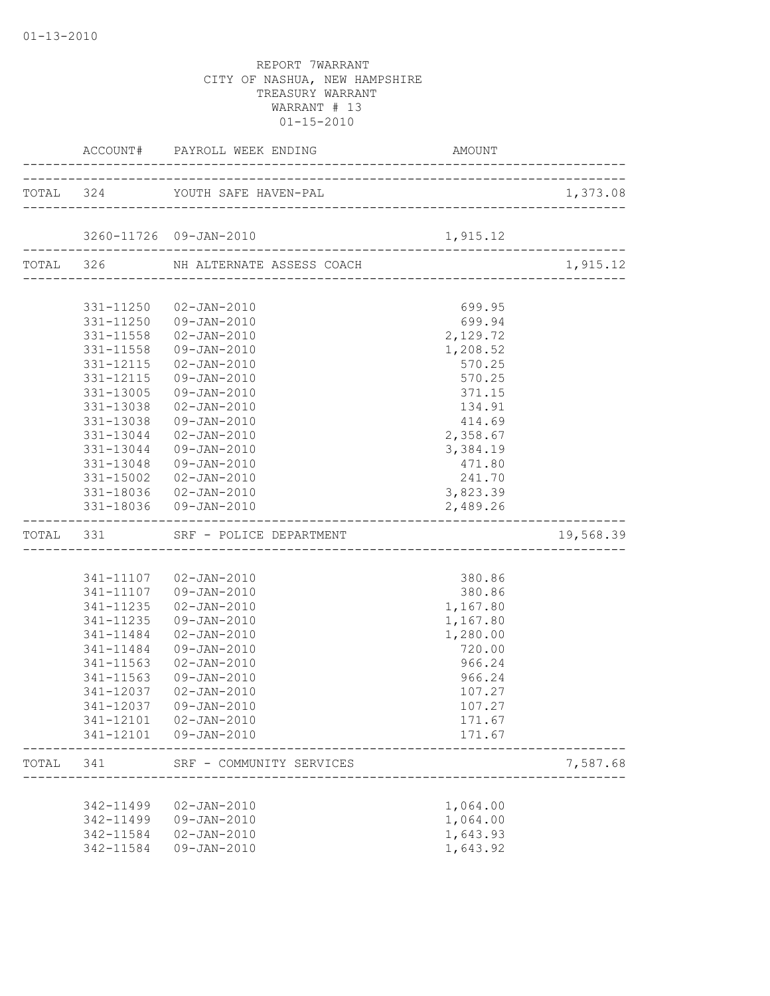|           |           | ACCOUNT# PAYROLL WEEK ENDING AMO    | AMOUNT                                            |           |
|-----------|-----------|-------------------------------------|---------------------------------------------------|-----------|
|           |           | TOTAL 324 YOUTH SAFE HAVEN-PAL      |                                                   | 1,373.08  |
|           |           |                                     |                                                   |           |
|           |           | 3260-11726 09-JAN-2010              | 1,915.12                                          |           |
|           |           | TOTAL 326 NH ALTERNATE ASSESS COACH |                                                   | 1,915.12  |
|           |           |                                     |                                                   |           |
|           |           | 331-11250 02-JAN-2010               | 699.95                                            |           |
|           |           | 331-11250 09-JAN-2010               | 699.94                                            |           |
|           |           | 331-11558  02-JAN-2010              | 2,129.72                                          |           |
|           |           | 331-11558 09-JAN-2010               | 1,208.52                                          |           |
|           | 331-12115 | 02-JAN-2010                         | 570.25                                            |           |
|           | 331-12115 | 09-JAN-2010                         | 570.25                                            |           |
|           | 331-13005 | 09-JAN-2010                         | 371.15                                            |           |
|           | 331-13038 | 02-JAN-2010                         | 134.91                                            |           |
|           | 331-13038 | 09-JAN-2010                         | 414.69                                            |           |
|           | 331-13044 | 02-JAN-2010                         | 2,358.67                                          |           |
|           | 331-13044 | 09-JAN-2010                         | 3,384.19                                          |           |
|           |           | 331-13048 09-JAN-2010               | 471.80                                            |           |
|           |           | 331-15002  02-JAN-2010              | 241.70                                            |           |
|           |           | 331-18036 02-JAN-2010               | 3,823.39                                          |           |
|           |           | 331-18036 09-JAN-2010               | 2,489.26<br>------------------------------------- |           |
| TOTAL 331 |           | SRF - POLICE DEPARTMENT             |                                                   | 19,568.39 |
|           |           |                                     |                                                   |           |
|           |           | 341-11107  02-JAN-2010              | 380.86                                            |           |
|           |           | 341-11107 09-JAN-2010               | 380.86                                            |           |
|           |           | 341-11235 02-JAN-2010               | 1,167.80                                          |           |
|           | 341-11235 | 09-JAN-2010                         | 1,167.80                                          |           |
|           | 341-11484 | 02-JAN-2010                         | 1,280.00                                          |           |
|           | 341-11484 | 09-JAN-2010                         | 720.00                                            |           |
|           | 341-11563 | 02-JAN-2010                         | 966.24                                            |           |
|           | 341-11563 | 09-JAN-2010                         | 966.24                                            |           |
|           | 341-12037 | 02-JAN-2010                         | 107.27                                            |           |
|           |           | 341-12037 09-JAN-2010               | 107.27                                            |           |
|           |           | 341-12101  02-JAN-2010              | 171.67                                            |           |
|           |           | 341-12101  09-JAN-2010              | 171.67                                            |           |
| TOTAL     | 341       | SRF - COMMUNITY SERVICES            |                                                   | 7,587.68  |
|           |           |                                     |                                                   |           |
|           | 342-11499 | 02-JAN-2010                         | 1,064.00                                          |           |
|           |           | 342-11499  09-JAN-2010              | 1,064.00                                          |           |
|           | 342-11584 | 02-JAN-2010                         | 1,643.93                                          |           |
|           | 342-11584 | 09-JAN-2010                         | 1,643.92                                          |           |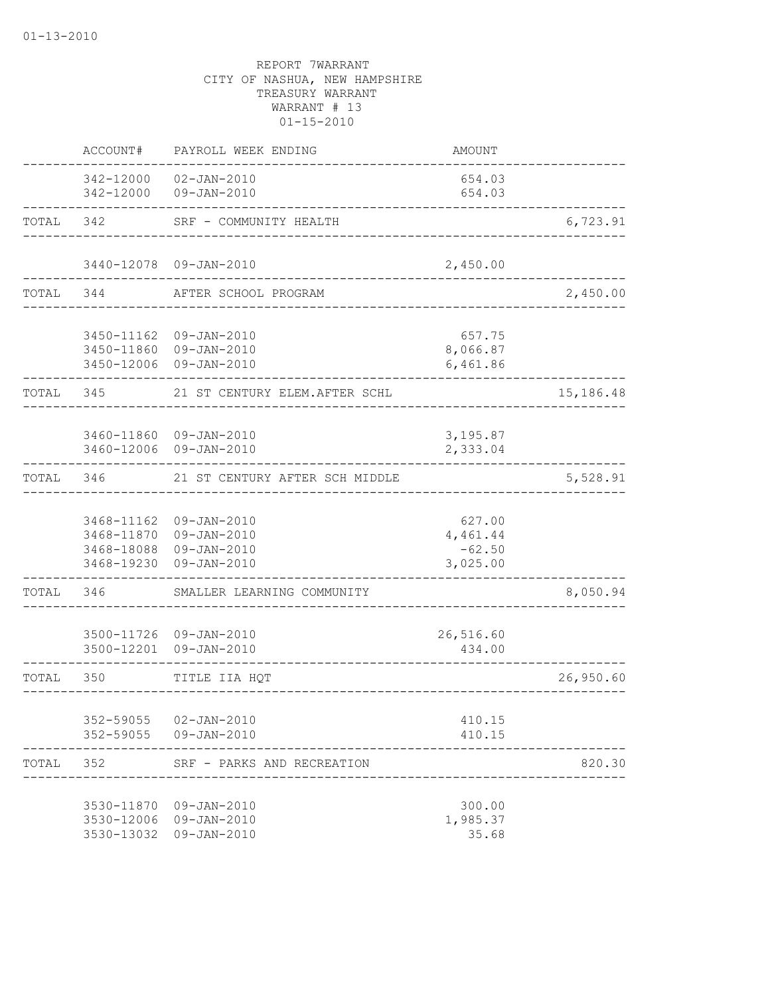|           | ACCOUNT#                 | PAYROLL WEEK ENDING                                                                       | AMOUNT                                     |           |
|-----------|--------------------------|-------------------------------------------------------------------------------------------|--------------------------------------------|-----------|
|           |                          | 342-12000 02-JAN-2010<br>342-12000 09-JAN-2010                                            | 654.03<br>654.03                           |           |
| TOTAL     |                          | 342 SRF - COMMUNITY HEALTH                                                                |                                            | 6,723.91  |
|           |                          | 3440-12078 09-JAN-2010                                                                    | 2,450.00                                   |           |
|           | TOTAL 344                | AFTER SCHOOL PROGRAM                                                                      |                                            | 2,450.00  |
|           |                          | 3450-11162 09-JAN-2010<br>3450-11860 09-JAN-2010<br>3450-12006 09-JAN-2010                | 657.75<br>8,066.87<br>6,461.86             |           |
| TOTAL 345 |                          | 21 ST CENTURY ELEM.AFTER SCHL                                                             |                                            | 15,186.48 |
|           |                          | 3460-11860 09-JAN-2010<br>3460-12006 09-JAN-2010                                          | 3,195.87<br>2,333.04                       |           |
| TOTAL     |                          | 346 21 ST CENTURY AFTER SCH MIDDLE                                                        |                                            | 5,528.91  |
|           | 3468-19230               | 3468-11162 09-JAN-2010<br>3468-11870 09-JAN-2010<br>3468-18088 09-JAN-2010<br>09-JAN-2010 | 627.00<br>4,461.44<br>$-62.50$<br>3,025.00 |           |
| TOTAL     | 346                      | SMALLER LEARNING COMMUNITY                                                                |                                            | 8,050.94  |
|           |                          | 3500-11726 09-JAN-2010<br>3500-12201 09-JAN-2010                                          | 26,516.60<br>434.00                        |           |
| TOTAL     | 350                      | TITLE IIA HQT<br>____________________________                                             |                                            | 26,950.60 |
|           | 352-59055                | 02-JAN-2010<br>352-59055 09-JAN-2010                                                      | 410.15<br>410.15                           |           |
| TOTAL     | 352                      | SRF - PARKS AND RECREATION                                                                |                                            | 820.30    |
|           | 3530-12006<br>3530-13032 | 3530-11870 09-JAN-2010<br>09-JAN-2010<br>09-JAN-2010                                      | 300.00<br>1,985.37<br>35.68                |           |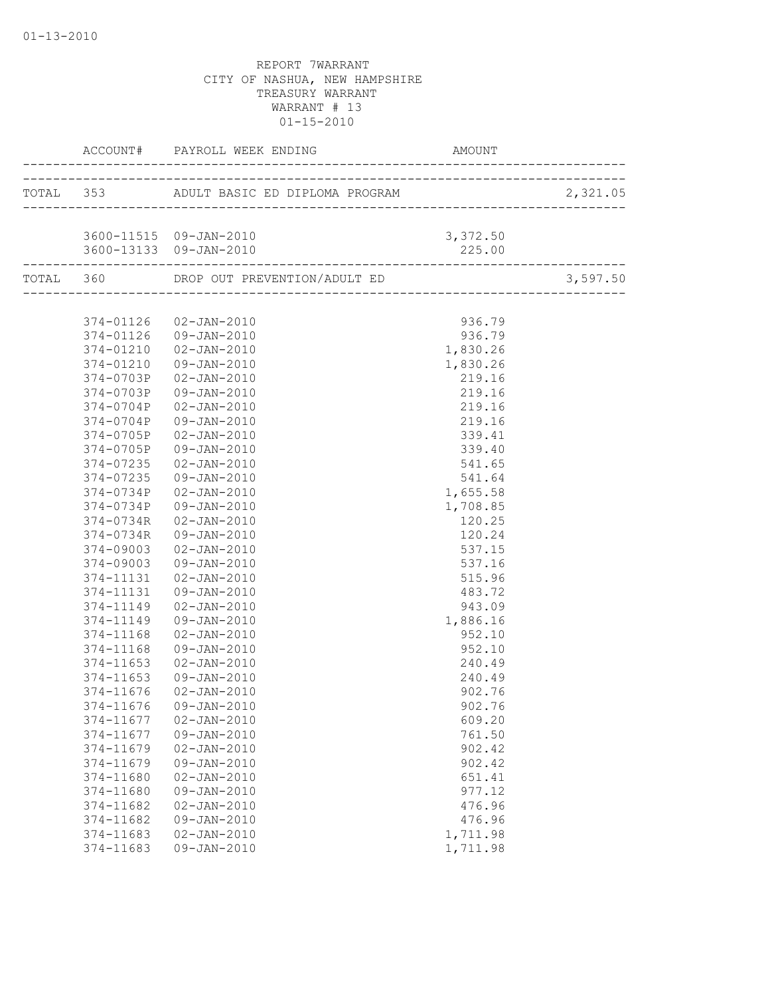|                        | 3600-11515 09-JAN-2010           | 3,372.50 |          |
|------------------------|----------------------------------|----------|----------|
|                        | 3600-13133 09-JAN-2010           | 225.00   |          |
|                        |                                  |          | 3,597.50 |
|                        |                                  |          |          |
|                        | 374-01126 02-JAN-2010            | 936.79   |          |
|                        | 374-01126 09-JAN-2010            | 936.79   |          |
| 374-01210              | $02 - JAN - 2010$                | 1,830.26 |          |
| 374-01210              | 09-JAN-2010                      | 1,830.26 |          |
| 374-0703P              | 02-JAN-2010                      | 219.16   |          |
| 374-0703P              | 09-JAN-2010                      | 219.16   |          |
| 374-0704P              | $02 - JAN - 2010$                | 219.16   |          |
| 374-0704P              | 09-JAN-2010                      | 219.16   |          |
| 374-0705P              | 02-JAN-2010                      | 339.41   |          |
| 374-0705P              | 09-JAN-2010                      | 339.40   |          |
| 374-07235              | 02-JAN-2010                      | 541.65   |          |
| 374-07235              | 09-JAN-2010                      | 541.64   |          |
| 374-0734P              | 02-JAN-2010                      | 1,655.58 |          |
| 374-0734P              | 09-JAN-2010                      | 1,708.85 |          |
| 374-0734R              | 02-JAN-2010                      | 120.25   |          |
| 374-0734R              | 09-JAN-2010                      | 120.24   |          |
| 374-09003              | 02-JAN-2010                      | 537.15   |          |
| 374-09003              | 09-JAN-2010                      | 537.16   |          |
| 374-11131              | 02-JAN-2010                      | 515.96   |          |
| 374-11131              | 09-JAN-2010                      | 483.72   |          |
| 374-11149              | 02-JAN-2010                      | 943.09   |          |
| 374-11149              | 09-JAN-2010                      | 1,886.16 |          |
| 374-11168              | 02-JAN-2010                      | 952.10   |          |
| 374-11168              | 09-JAN-2010                      | 952.10   |          |
| 374-11653              | $02 - JAN - 2010$                | 240.49   |          |
| 374-11653              | 09-JAN-2010                      | 240.49   |          |
| 374-11676              | $02 - JAN - 2010$                | 902.76   |          |
|                        | 374-11676 09-JAN-2010            | 902.76   |          |
| 374-11677              | $02 - JAN - 2010$                |          |          |
|                        |                                  | 609.20   |          |
| 374-11677              | 09-JAN-2010<br>$02 - JAN - 2010$ | 761.50   |          |
| 374-11679              |                                  | 902.42   |          |
| 374-11679<br>374-11680 | 09-JAN-2010                      | 902.42   |          |
|                        | $02 - JAN - 2010$                | 651.41   |          |
| 374-11680              | 09-JAN-2010                      | 977.12   |          |
| 374-11682              | $02 - JAN - 2010$                | 476.96   |          |
| 374-11682              | 09-JAN-2010                      | 476.96   |          |
| 374-11683              | $02 - JAN - 2010$                | 1,711.98 |          |
| 374-11683              | 09-JAN-2010                      | 1,711.98 |          |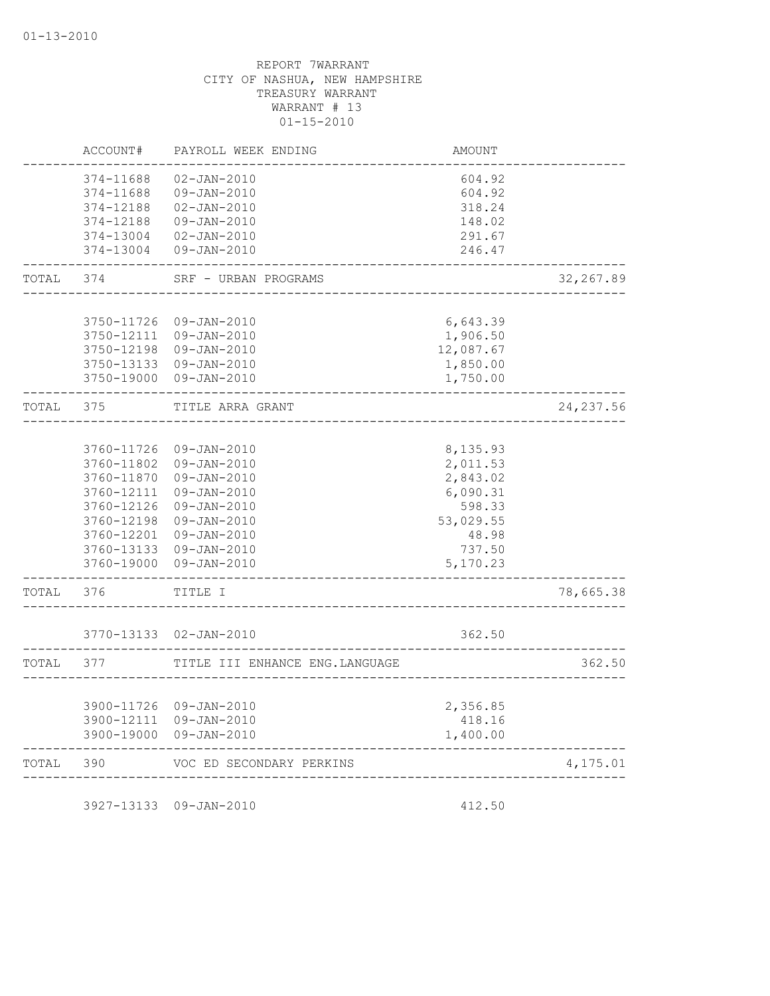|       | ACCOUNT#                            | PAYROLL WEEK ENDING                                         | <b>AMOUNT</b>              |            |
|-------|-------------------------------------|-------------------------------------------------------------|----------------------------|------------|
|       | 374-11688<br>374-11688<br>374-12188 | $02 - JAN - 2010$<br>$09 - JAN - 2010$<br>$02 - JAN - 2010$ | 604.92<br>604.92<br>318.24 |            |
|       | 374-12188                           | $09 - JAN - 2010$                                           | 148.02                     |            |
|       | 374-13004                           | $02 - JAN - 2010$                                           | 291.67                     |            |
|       | 374-13004                           | 09-JAN-2010                                                 | 246.47                     |            |
| TOTAL | 374                                 | SRF - URBAN PROGRAMS                                        |                            | 32,267.89  |
|       |                                     |                                                             |                            |            |
|       | 3750-11726<br>3750-12111            | 09-JAN-2010<br>09-JAN-2010                                  | 6,643.39<br>1,906.50       |            |
|       |                                     | 3750-12198 09-JAN-2010                                      | 12,087.67                  |            |
|       |                                     | 3750-13133 09-JAN-2010                                      | 1,850.00                   |            |
|       |                                     | 3750-19000 09-JAN-2010                                      | 1,750.00                   |            |
| TOTAL | 375                                 | TITLE ARRA GRANT                                            |                            | 24, 237.56 |
|       |                                     |                                                             |                            |            |
|       |                                     | 3760-11726 09-JAN-2010                                      | 8,135.93                   |            |
|       | 3760-11870                          | 3760-11802 09-JAN-2010<br>09-JAN-2010                       | 2,011.53<br>2,843.02       |            |
|       | 3760-12111                          | 09-JAN-2010                                                 | 6,090.31                   |            |
|       | 3760-12126                          | 09-JAN-2010                                                 | 598.33                     |            |
|       |                                     | 3760-12198 09-JAN-2010                                      | 53,029.55                  |            |
|       |                                     | 3760-12201 09-JAN-2010<br>3760-13133 09-JAN-2010            | 48.98<br>737.50            |            |
|       |                                     | 3760-19000 09-JAN-2010                                      | 5,170.23                   |            |
| TOTAL | 376                                 | TITLE I                                                     |                            | 78,665.38  |
|       |                                     |                                                             |                            |            |
|       |                                     | 3770-13133  02-JAN-2010                                     | 362.50                     |            |
| TOTAL | 377                                 | TITLE III ENHANCE ENG. LANGUAGE                             |                            | 362.50     |
|       |                                     |                                                             |                            |            |
|       |                                     | 3900-11726 09-JAN-2010<br>3900-12111 09-JAN-2010            | 2,356.85<br>418.16         |            |
|       |                                     | 3900-19000 09-JAN-2010                                      | 1,400.00                   |            |
| TOTAL | 390                                 | VOC ED SECONDARY PERKINS                                    |                            | 4,175.01   |
|       |                                     | ___________________                                         |                            |            |

3927-13133 09-JAN-2010 412.50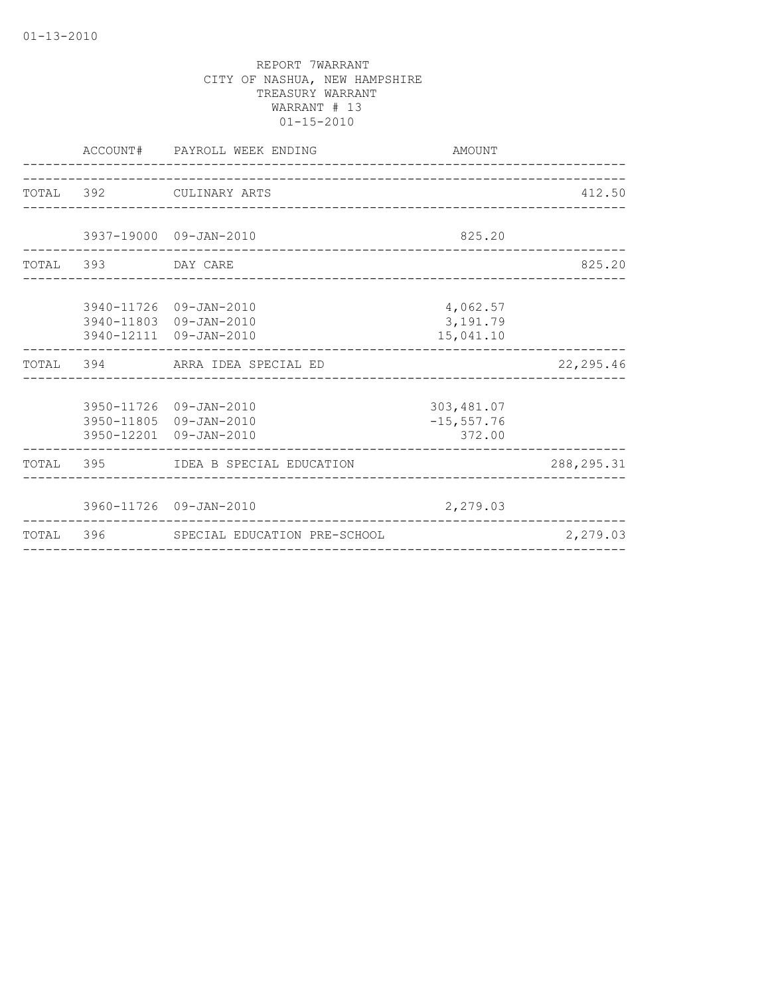|                    | ACCOUNT# PAYROLL WEEK ENDING<br>------------------------------             | AMOUNT                                 |              |
|--------------------|----------------------------------------------------------------------------|----------------------------------------|--------------|
|                    | TOTAL 392 CULINARY ARTS                                                    |                                        | 412.50       |
|                    | 3937-19000 09-JAN-2010                                                     | 825.20                                 |              |
| TOTAL 393 DAY CARE |                                                                            |                                        | 825.20       |
|                    | 3940-11726 09-JAN-2010<br>3940-11803 09-JAN-2010<br>3940-12111 09-JAN-2010 | 4,062.57<br>3,191.79<br>15,041.10      |              |
|                    | TOTAL 394 ARRA IDEA SPECIAL ED                                             |                                        | 22, 295.46   |
|                    | 3950-11726 09-JAN-2010<br>3950-11805 09-JAN-2010<br>3950-12201 09-JAN-2010 | 303, 481.07<br>$-15, 557.76$<br>372.00 |              |
|                    | TOTAL 395 IDEA B SPECIAL EDUCATION                                         |                                        | 288, 295. 31 |
|                    | 3960-11726 09-JAN-2010                                                     | 2,279.03                               |              |
|                    | TOTAL 396 SPECIAL EDUCATION PRE-SCHOOL                                     |                                        | 2,279.03     |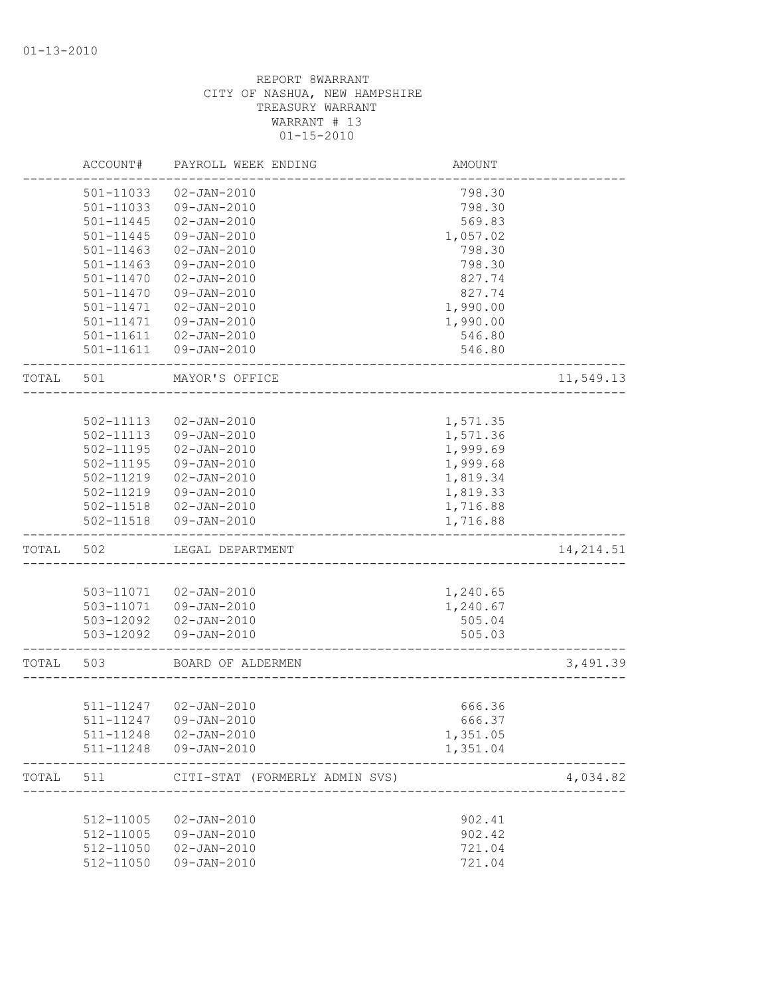|       | ACCOUNT#      | PAYROLL WEEK ENDING            | AMOUNT   |            |
|-------|---------------|--------------------------------|----------|------------|
|       | 501-11033     | $02 - JAN - 2010$              | 798.30   |            |
|       | 501-11033     | 09-JAN-2010                    | 798.30   |            |
|       | 501-11445     | $02 - JAN - 2010$              | 569.83   |            |
|       | 501-11445     | $09 - JAN - 2010$              | 1,057.02 |            |
|       | 501-11463     | $02 - JAN - 2010$              | 798.30   |            |
|       | $501 - 11463$ | 09-JAN-2010                    | 798.30   |            |
|       | 501-11470     | $02 - JAN - 2010$              | 827.74   |            |
|       | 501-11470     | 09-JAN-2010                    | 827.74   |            |
|       | 501-11471     | $02 - JAN - 2010$              | 1,990.00 |            |
|       | 501-11471     | 09-JAN-2010                    | 1,990.00 |            |
|       | 501-11611     | $02 - JAN - 2010$              | 546.80   |            |
|       | 501-11611     | 09-JAN-2010                    | 546.80   |            |
| TOTAL | 501           | MAYOR'S OFFICE                 |          | 11,549.13  |
|       |               |                                |          |            |
|       | 502-11113     | $02 - JAN - 2010$              | 1,571.35 |            |
|       | $502 - 11113$ | 09-JAN-2010                    | 1,571.36 |            |
|       | $502 - 11195$ | $02 - JAN - 2010$              | 1,999.69 |            |
|       | 502-11195     | 09-JAN-2010                    | 1,999.68 |            |
|       | 502-11219     | $02 - JAN - 2010$              | 1,819.34 |            |
|       | 502-11219     | 09-JAN-2010                    | 1,819.33 |            |
|       | 502-11518     | $02 - JAN - 2010$              | 1,716.88 |            |
|       | 502-11518     | 09-JAN-2010                    | 1,716.88 |            |
| TOTAL | 502           | LEGAL DEPARTMENT               |          | 14, 214.51 |
|       |               |                                |          |            |
|       | 503-11071     | $02 - JAN - 2010$              | 1,240.65 |            |
|       | 503-11071     | 09-JAN-2010                    | 1,240.67 |            |
|       | 503-12092     | $02 - JAN - 2010$              | 505.04   |            |
|       | 503-12092     | 09-JAN-2010                    | 505.03   |            |
| TOTAL | 503           | BOARD OF ALDERMEN              |          | 3,491.39   |
|       |               |                                |          |            |
|       | 511-11247     | 02-JAN-2010                    | 666.36   |            |
|       |               | 511-11247 09-JAN-2010          | 666.37   |            |
|       | 511-11248     | $02 - JAN - 2010$              | 1,351.05 |            |
|       | 511-11248     | 09-JAN-2010                    | 1,351.04 |            |
| TOTAL | 511           | CITI-STAT (FORMERLY ADMIN SVS) |          | 4,034.82   |
|       |               |                                |          |            |
|       | 512-11005     | $02 - JAN - 2010$              | 902.41   |            |
|       | 512-11005     | $09 - JAN - 2010$              | 902.42   |            |
|       | 512-11050     | $02 - JAN - 2010$              | 721.04   |            |
|       | 512-11050     | 09-JAN-2010                    | 721.04   |            |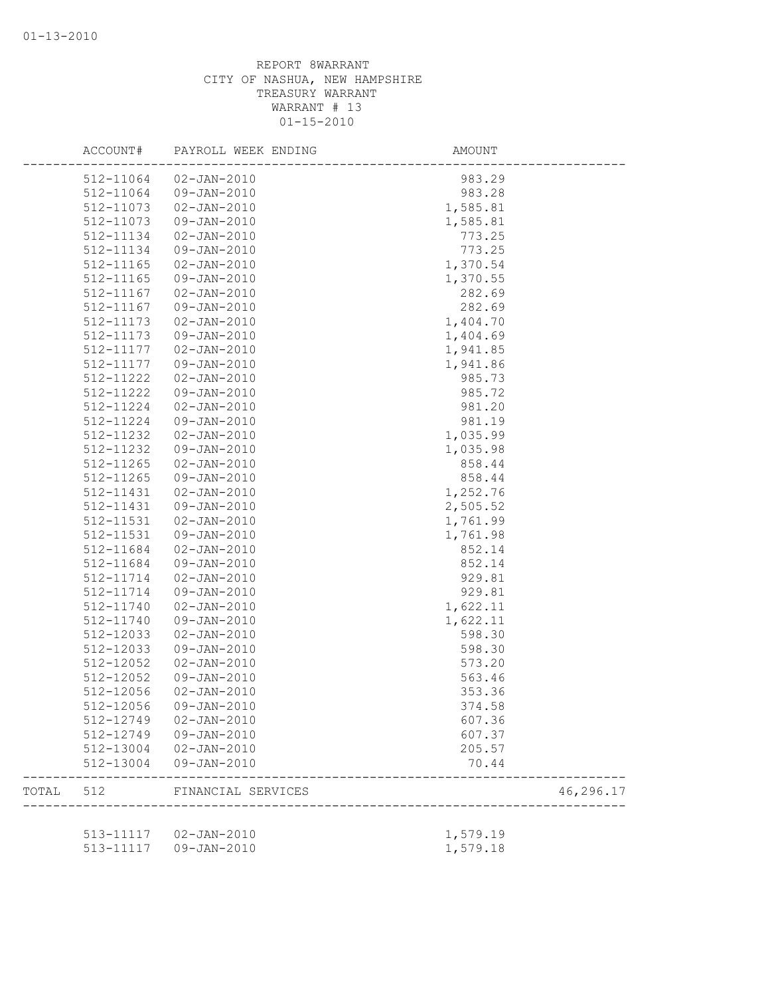|       | ACCOUNT#  | PAYROLL WEEK ENDING    | <b>AMOUNT</b>         |           |
|-------|-----------|------------------------|-----------------------|-----------|
|       | 512-11064 | $02 - JAN - 2010$      | 983.29                |           |
|       | 512-11064 | 09-JAN-2010            | 983.28                |           |
|       | 512-11073 | $02 - JAN - 2010$      | 1,585.81              |           |
|       | 512-11073 | $09 - JAN - 2010$      | 1,585.81              |           |
|       | 512-11134 | $02 - JAN - 2010$      | 773.25                |           |
|       | 512-11134 | 09-JAN-2010            | 773.25                |           |
|       | 512-11165 | $02 - JAN - 2010$      | 1,370.54              |           |
|       | 512-11165 | 09-JAN-2010            | 1,370.55              |           |
|       | 512-11167 | $02 - JAN - 2010$      | 282.69                |           |
|       | 512-11167 | $09 - JAN - 2010$      | 282.69                |           |
|       | 512-11173 | $02 - JAN - 2010$      | 1,404.70              |           |
|       | 512-11173 | 09-JAN-2010            | 1,404.69              |           |
|       | 512-11177 | $02 - JAN - 2010$      | 1,941.85              |           |
|       | 512-11177 | 09-JAN-2010            | 1,941.86              |           |
|       | 512-11222 | $02 - JAN - 2010$      | 985.73                |           |
|       | 512-11222 | 09-JAN-2010            | 985.72                |           |
|       | 512-11224 | $02 - JAN - 2010$      | 981.20                |           |
|       | 512-11224 | $09 - JAN - 2010$      | 981.19                |           |
|       | 512-11232 | $02 - JAN - 2010$      | 1,035.99              |           |
|       | 512-11232 | $09 - JAN - 2010$      | 1,035.98              |           |
|       | 512-11265 | $02 - JAN - 2010$      | 858.44                |           |
|       | 512-11265 | 09-JAN-2010            | 858.44                |           |
|       | 512-11431 | $02 - JAN - 2010$      | 1,252.76              |           |
|       | 512-11431 | $09 - JAN - 2010$      |                       |           |
|       |           |                        | 2,505.52              |           |
|       | 512-11531 | $02 - JAN - 2010$      | 1,761.99              |           |
|       | 512-11531 | 09-JAN-2010            | 1,761.98              |           |
|       | 512-11684 | $02 - JAN - 2010$      | 852.14                |           |
|       | 512-11684 | 09-JAN-2010            | 852.14                |           |
|       | 512-11714 | $02 - JAN - 2010$      | 929.81                |           |
|       | 512-11714 | 09-JAN-2010            | 929.81                |           |
|       | 512-11740 | $02 - JAN - 2010$      | 1,622.11              |           |
|       | 512-11740 | 09-JAN-2010            | 1,622.11              |           |
|       | 512-12033 | $02 - JAN - 2010$      | 598.30                |           |
|       | 512-12033 | $09 - JAN - 2010$      | 598.30                |           |
|       | 512-12052 | $02 - JAN - 2010$      | 573.20                |           |
|       | 512-12052 | $09 - JAN - 2010$      | 563.46                |           |
|       | 512-12056 | $02 - JAN - 2010$      | 353.36                |           |
|       | 512-12056 | $09 - JAN - 2010$      | 374.58                |           |
|       | 512-12749 | 02-JAN-2010            | 607.36                |           |
|       | 512-12749 | 09-JAN-2010            | 607.37                |           |
|       | 512-13004 | 02-JAN-2010            | 205.57                |           |
|       | 512-13004 | 09-JAN-2010            | 70.44                 |           |
| TOTAL | 512       | FINANCIAL SERVICES     | --------------------- | 46,296.17 |
|       |           |                        |                       |           |
|       |           | 513-11117  02-JAN-2010 | 1,579.19              |           |
|       |           | 513-11117  09-JAN-2010 | 1,579.18              |           |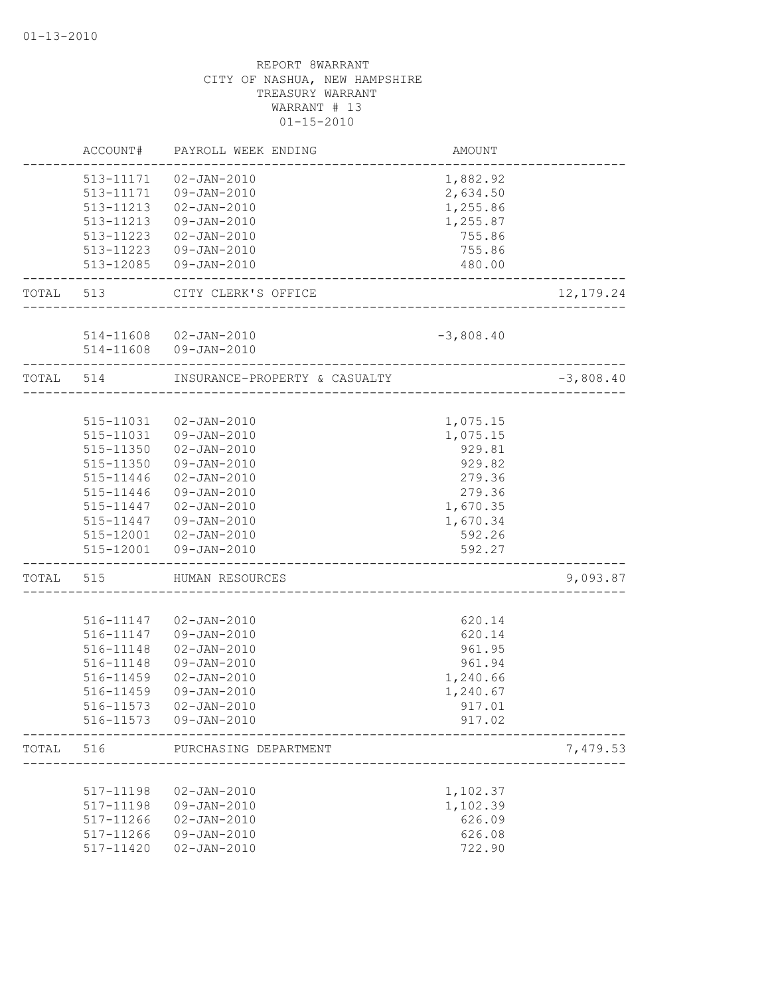|           | ACCOUNT#  | PAYROLL WEEK ENDING                           | AMOUNT      |             |
|-----------|-----------|-----------------------------------------------|-------------|-------------|
|           | 513-11171 | $02 - JAN - 2010$                             | 1,882.92    |             |
|           | 513-11171 | 09-JAN-2010                                   | 2,634.50    |             |
|           | 513-11213 | 02-JAN-2010                                   | 1,255.86    |             |
|           | 513-11213 | 09-JAN-2010                                   | 1,255.87    |             |
|           | 513-11223 | 02-JAN-2010                                   | 755.86      |             |
|           | 513-11223 | 09-JAN-2010                                   | 755.86      |             |
|           | 513-12085 | 09-JAN-2010                                   | 480.00      |             |
| TOTAL 513 |           | CITY CLERK'S OFFICE<br>---------------------- |             | 12, 179.24  |
|           |           |                                               |             |             |
|           |           | 514-11608 02-JAN-2010                         | $-3,808.40$ |             |
|           |           | 514-11608 09-JAN-2010                         |             |             |
| TOTAL 514 |           | INSURANCE-PROPERTY & CASUALTY                 |             | $-3,808.40$ |
|           |           |                                               |             |             |
|           | 515-11031 | 02-JAN-2010                                   | 1,075.15    |             |
|           | 515-11031 | 09-JAN-2010                                   | 1,075.15    |             |
|           | 515-11350 | $02 - JAN - 2010$                             | 929.81      |             |
|           | 515-11350 | 09-JAN-2010                                   | 929.82      |             |
|           | 515-11446 | 02-JAN-2010                                   | 279.36      |             |
|           | 515-11446 | 09-JAN-2010                                   | 279.36      |             |
|           | 515-11447 | $02 - JAN - 2010$                             | 1,670.35    |             |
|           | 515-11447 | 09-JAN-2010                                   | 1,670.34    |             |
|           | 515-12001 | 02-JAN-2010                                   | 592.26      |             |
|           |           | 515-12001  09-JAN-2010                        | 592.27      |             |
| TOTAL     | 515       | HUMAN RESOURCES                               |             | 9,093.87    |
|           |           |                                               |             |             |
|           | 516-11147 | 02-JAN-2010                                   | 620.14      |             |
|           | 516-11147 | 09-JAN-2010                                   | 620.14      |             |
|           | 516-11148 | $02 - JAN - 2010$                             | 961.95      |             |
|           | 516-11148 | 09-JAN-2010                                   | 961.94      |             |
|           | 516-11459 | $02 - JAN - 2010$                             | 1,240.66    |             |
|           | 516-11459 | 09-JAN-2010                                   | 1,240.67    |             |
|           | 516-11573 | $02 - JAN - 2010$                             | 917.01      |             |
|           | 516-11573 | 09-JAN-2010                                   | 917.02      |             |
| TOTAL     | 516       | PURCHASING DEPARTMENT                         |             | 7,479.53    |
|           |           |                                               |             |             |
|           | 517-11198 | $02 - JAN - 2010$                             | 1,102.37    |             |
|           | 517-11198 | 09-JAN-2010                                   | 1,102.39    |             |
|           | 517-11266 | $02 - JAN - 2010$                             | 626.09      |             |
|           | 517-11266 | 09-JAN-2010                                   | 626.08      |             |
|           | 517-11420 | $02 - JAN - 2010$                             | 722.90      |             |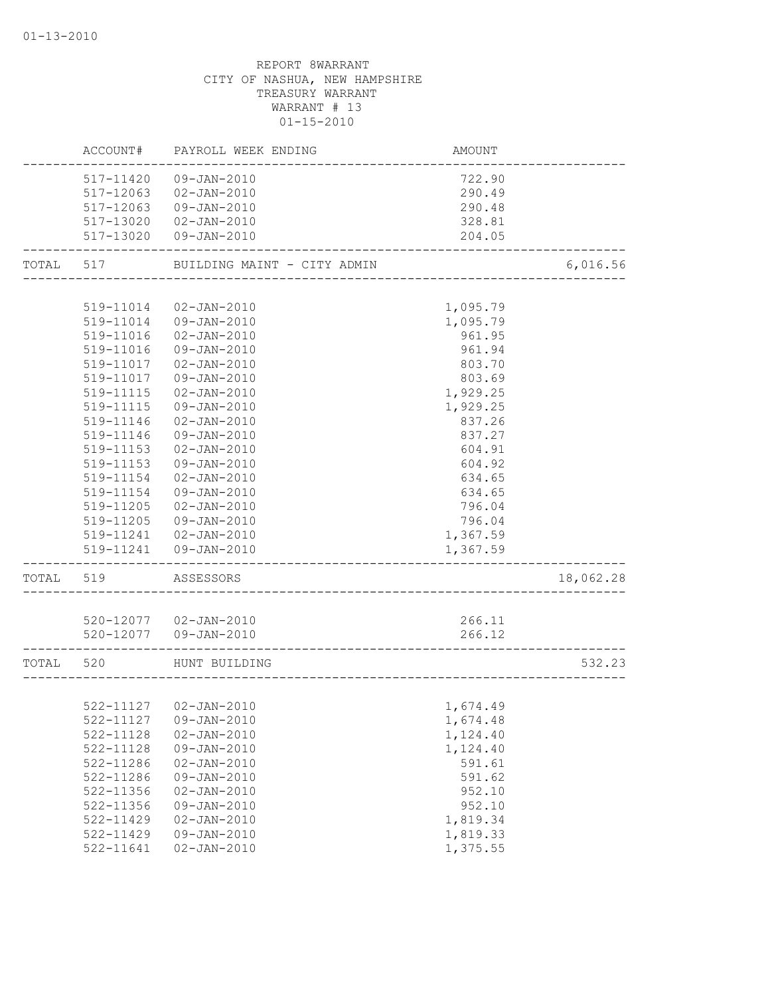|           |           | ACCOUNT# PAYROLL WEEK ENDING                          | AMOUNT   |           |
|-----------|-----------|-------------------------------------------------------|----------|-----------|
|           |           | 517-11420 09-JAN-2010                                 | 722.90   |           |
|           | 517-12063 | 02-JAN-2010                                           | 290.49   |           |
|           |           | 517-12063 09-JAN-2010                                 | 290.48   |           |
|           |           | 517-13020 02-JAN-2010                                 | 328.81   |           |
|           |           | 517-13020 09-JAN-2010                                 | 204.05   |           |
| TOTAL 517 |           | BUILDING MAINT - CITY ADMIN                           |          | 6,016.56  |
|           |           |                                                       |          |           |
|           | 519-11014 | 02-JAN-2010                                           | 1,095.79 |           |
|           |           | 519-11014  09-JAN-2010                                | 1,095.79 |           |
|           | 519-11016 | 02-JAN-2010                                           | 961.95   |           |
|           | 519-11016 | 09-JAN-2010                                           | 961.94   |           |
|           | 519-11017 | $02 - JAN - 2010$                                     | 803.70   |           |
|           | 519-11017 | 09-JAN-2010                                           | 803.69   |           |
|           | 519-11115 | $02 - JAN - 2010$                                     | 1,929.25 |           |
|           | 519-11115 | 09-JAN-2010                                           | 1,929.25 |           |
|           | 519-11146 | $02 - JAN - 2010$                                     | 837.26   |           |
|           | 519-11146 | $09 - JAN - 2010$                                     | 837.27   |           |
|           | 519-11153 | $02 - JAN - 2010$                                     | 604.91   |           |
|           | 519-11153 | 09-JAN-2010                                           | 604.92   |           |
|           | 519-11154 | $02 - JAN - 2010$                                     | 634.65   |           |
|           | 519-11154 | 09-JAN-2010                                           | 634.65   |           |
|           | 519-11205 | 02-JAN-2010                                           | 796.04   |           |
|           | 519-11205 | 09-JAN-2010                                           | 796.04   |           |
|           |           | 519-11241  02-JAN-2010                                | 1,367.59 |           |
|           |           | 519-11241  09-JAN-2010                                | 1,367.59 |           |
| TOTAL 519 |           | ASSESSORS                                             |          | 18,062.28 |
|           |           |                                                       |          |           |
|           |           | 520-12077  02-JAN-2010                                | 266.11   |           |
|           |           | 520-12077  09-JAN-2010<br>___________________________ | 266.12   |           |
| TOTAL 520 |           | HUNT BUILDING                                         |          | 532.23    |
|           |           |                                                       |          |           |
|           |           | 522-11127   02-JAN-2010                               | 1,674.49 |           |
|           | 522-11127 | 09-JAN-2010                                           | 1,674.48 |           |
|           | 522-11128 | $02 - JAN - 2010$                                     | 1,124.40 |           |
|           | 522-11128 | 09-JAN-2010                                           | 1,124.40 |           |
|           | 522-11286 | $02 - JAN - 2010$                                     | 591.61   |           |
|           | 522-11286 | 09-JAN-2010                                           | 591.62   |           |
|           | 522-11356 | $02 - JAN - 2010$                                     | 952.10   |           |
|           | 522-11356 | 09-JAN-2010                                           | 952.10   |           |
|           | 522-11429 | $02 - JAN - 2010$                                     | 1,819.34 |           |
|           | 522-11429 | 09-JAN-2010                                           | 1,819.33 |           |
|           | 522-11641 | $02 - JAN - 2010$                                     | 1,375.55 |           |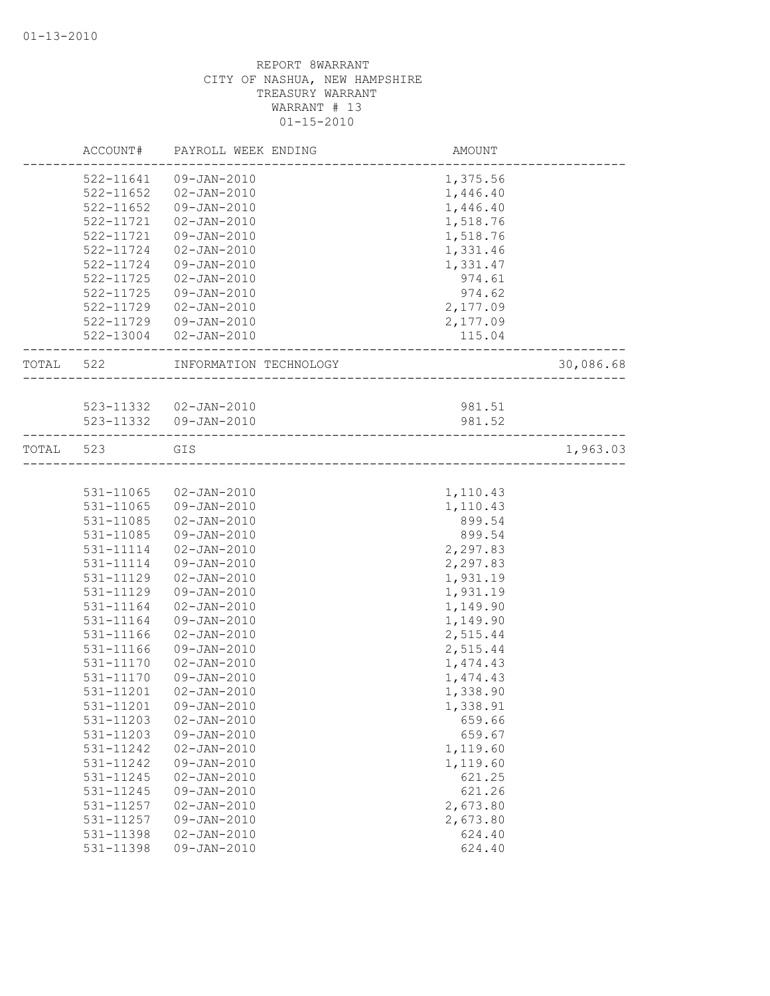|           | ACCOUNT#      | PAYROLL WEEK ENDING    | AMOUNT   |           |
|-----------|---------------|------------------------|----------|-----------|
|           | 522-11641     | 09-JAN-2010            | 1,375.56 |           |
|           | $522 - 11652$ | 02-JAN-2010            | 1,446.40 |           |
|           | 522-11652     | 09-JAN-2010            | 1,446.40 |           |
|           | 522-11721     | $02 - JAN - 2010$      | 1,518.76 |           |
|           | 522-11721     | $09 - JAN - 2010$      | 1,518.76 |           |
|           | 522-11724     | $02 - JAN - 2010$      | 1,331.46 |           |
|           | 522-11724     | 09-JAN-2010            | 1,331.47 |           |
|           | $522 - 11725$ | $02 - JAN - 2010$      | 974.61   |           |
|           | $522 - 11725$ | 09-JAN-2010            | 974.62   |           |
|           | 522-11729     | 02-JAN-2010            | 2,177.09 |           |
|           |               | 522-11729 09-JAN-2010  | 2,177.09 |           |
|           |               | 522-13004 02-JAN-2010  | 115.04   |           |
| TOTAL 522 |               | INFORMATION TECHNOLOGY |          | 30,086.68 |
|           |               |                        |          |           |
|           |               | 523-11332  02-JAN-2010 | 981.51   |           |
|           |               | 523-11332  09-JAN-2010 | 981.52   |           |
| TOTAL     | 523           | GIS                    |          | 1,963.03  |
|           |               |                        |          |           |
|           | 531-11065     | 02-JAN-2010            | 1,110.43 |           |
|           | 531-11065     | 09-JAN-2010            | 1,110.43 |           |
|           | $531 - 11085$ | $02 - JAN - 2010$      | 899.54   |           |
|           | 531-11085     | 09-JAN-2010            | 899.54   |           |
|           | 531-11114     | 02-JAN-2010            | 2,297.83 |           |
|           | 531-11114     | 09-JAN-2010            | 2,297.83 |           |
|           | 531-11129     | $02 - JAN - 2010$      | 1,931.19 |           |
|           | 531-11129     | 09-JAN-2010            | 1,931.19 |           |
|           | 531-11164     | $02 - JAN - 2010$      | 1,149.90 |           |
|           | 531-11164     | 09-JAN-2010            | 1,149.90 |           |
|           | 531-11166     | $02 - JAN - 2010$      | 2,515.44 |           |
|           | 531-11166     | 09-JAN-2010            | 2,515.44 |           |
|           | 531-11170     | $02 - JAN - 2010$      | 1,474.43 |           |
|           | 531-11170     | 09-JAN-2010            | 1,474.43 |           |
|           | 531-11201     | $02 - JAN - 2010$      | 1,338.90 |           |
|           | 531-11201     | $09 - JAN - 2010$      | 1,338.91 |           |
|           | 531-11203     | $02 - JAN - 2010$      | 659.66   |           |
|           | 531-11203     | $09 - JAN - 2010$      | 659.67   |           |
|           | 531-11242     | $02 - JAN - 2010$      | 1,119.60 |           |
|           | 531-11242     | 09-JAN-2010            | 1,119.60 |           |
|           | 531-11245     | $02 - JAN - 2010$      | 621.25   |           |
|           | 531-11245     | 09-JAN-2010            | 621.26   |           |
|           | 531-11257     | $02 - JAN - 2010$      | 2,673.80 |           |
|           | 531-11257     | $09 - JAN - 2010$      | 2,673.80 |           |
|           | 531-11398     | $02 - JAN - 2010$      | 624.40   |           |
|           | 531-11398     | 09-JAN-2010            | 624.40   |           |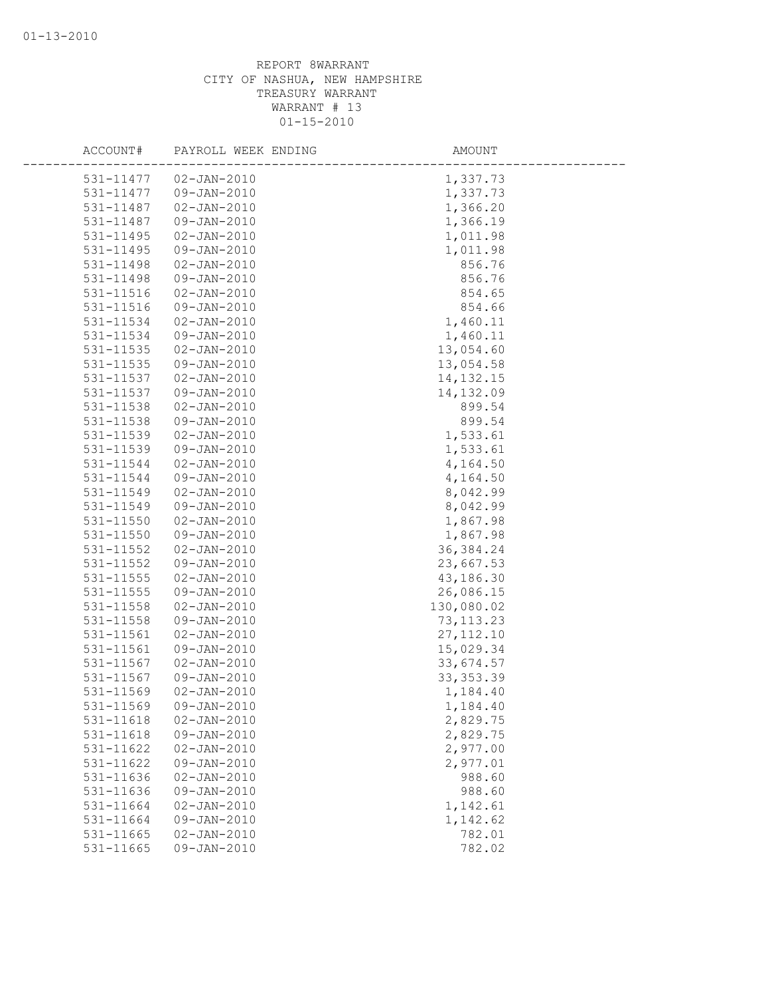| ACCOUNT#               | PAYROLL WEEK ENDING        | AMOUNT               |
|------------------------|----------------------------|----------------------|
|                        |                            |                      |
| 531-11477<br>531-11477 | 02-JAN-2010<br>09-JAN-2010 | 1,337.73<br>1,337.73 |
| 531-11487              | $02 - JAN - 2010$          | 1,366.20             |
| 531-11487              | 09-JAN-2010                | 1,366.19             |
|                        |                            |                      |
| 531-11495              | $02 - JAN - 2010$          | 1,011.98             |
| 531-11495              | 09-JAN-2010                | 1,011.98             |
| 531-11498              | $02 - JAN - 2010$          | 856.76               |
| 531-11498              | 09-JAN-2010                | 856.76               |
| 531-11516              | $02 - JAN - 2010$          | 854.65               |
| 531-11516              | 09-JAN-2010                | 854.66               |
| 531-11534              | $02 - JAN - 2010$          | 1,460.11             |
| 531-11534              | $09 - JAN - 2010$          | 1,460.11             |
| 531-11535              | $02 - JAN - 2010$          | 13,054.60            |
| 531-11535              | $09 - JAN - 2010$          | 13,054.58            |
| 531-11537              | $02 - JAN - 2010$          | 14, 132. 15          |
| 531-11537              | 09-JAN-2010                | 14,132.09            |
| 531-11538              | $02 - JAN - 2010$          | 899.54               |
| 531-11538              | 09-JAN-2010                | 899.54               |
| 531-11539              | $02 - JAN - 2010$          | 1,533.61             |
| 531-11539              | 09-JAN-2010                | 1,533.61             |
| 531-11544              | $02 - JAN - 2010$          | 4,164.50             |
| 531-11544              | 09-JAN-2010                | 4,164.50             |
| 531-11549              | $02 - JAN - 2010$          | 8,042.99             |
| 531-11549              | 09-JAN-2010                | 8,042.99             |
| 531-11550              | $02 - JAN - 2010$          | 1,867.98             |
| 531-11550              | 09-JAN-2010                | 1,867.98             |
| $531 - 11552$          | $02 - JAN - 2010$          | 36, 384.24           |
| 531-11552              | $09 - JAN - 2010$          | 23,667.53            |
| 531-11555              | $02 - JAN - 2010$          | 43,186.30            |
| 531-11555              | $09 - JAN - 2010$          | 26,086.15            |
| 531-11558              | $02 - JAN - 2010$          | 130,080.02           |
| 531-11558              | $09 - JAN - 2010$          | 73, 113.23           |
| 531-11561              | $02 - JAN - 2010$          | 27, 112.10           |
| 531-11561              | 09-JAN-2010                | 15,029.34            |
| 531-11567              | $02 - JAN - 2010$          | 33,674.57            |
| 531-11567              | 09-JAN-2010                | 33, 353.39           |
| 531-11569              | $02 - JAN - 2010$          | 1,184.40             |
| 531-11569              | 09-JAN-2010                | 1,184.40             |
| 531-11618              | $02 - JAN - 2010$          | 2,829.75             |
| 531-11618              | 09-JAN-2010                | 2,829.75             |
| 531-11622              | $02 - JAN - 2010$          | 2,977.00             |
| 531-11622              | 09-JAN-2010                | 2,977.01             |
| 531-11636              | $02 - JAN - 2010$          | 988.60               |
| 531-11636              | $09 - JAN - 2010$          | 988.60               |
| 531-11664              | $02 - JAN - 2010$          | 1,142.61             |
| 531-11664              | $09 - JAN - 2010$          | 1,142.62             |
| 531-11665              | $02 - JAN - 2010$          | 782.01               |
| 531-11665              | 09-JAN-2010                | 782.02               |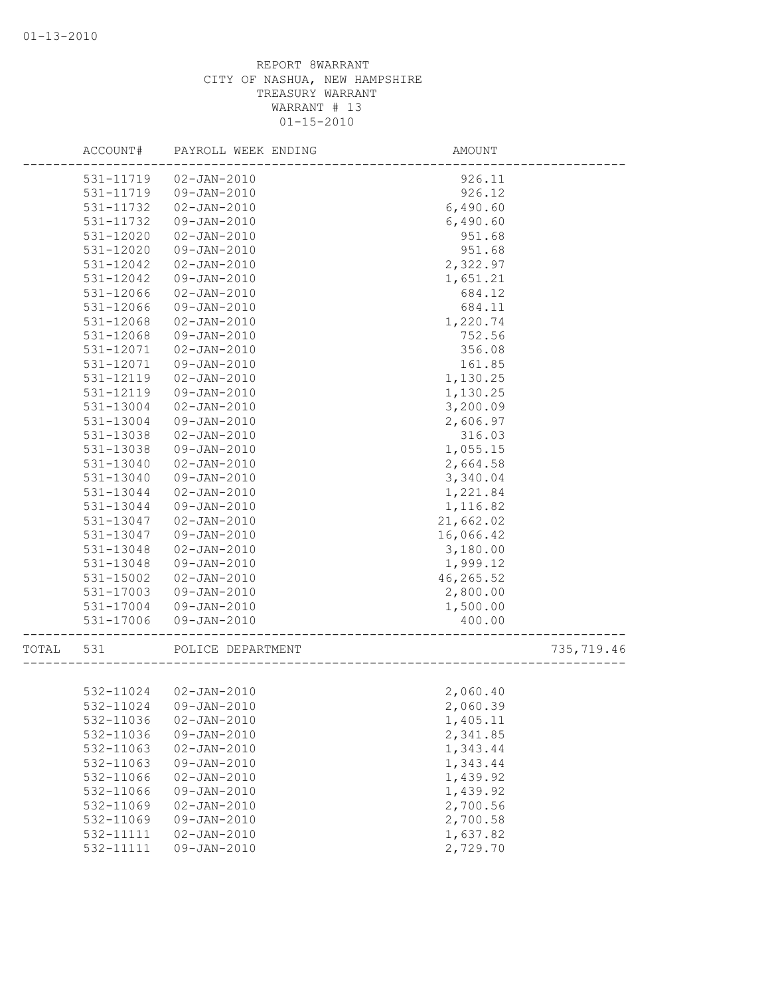|       | ACCOUNT#  | PAYROLL WEEK ENDING   | AMOUNT    |            |
|-------|-----------|-----------------------|-----------|------------|
|       | 531-11719 | $02 - JAN - 2010$     | 926.11    |            |
|       | 531-11719 | 09-JAN-2010           | 926.12    |            |
|       | 531-11732 | $02 - JAN - 2010$     | 6,490.60  |            |
|       | 531-11732 | 09-JAN-2010           | 6,490.60  |            |
|       | 531-12020 | $02 - JAN - 2010$     | 951.68    |            |
|       | 531-12020 | 09-JAN-2010           | 951.68    |            |
|       | 531-12042 | $02 - JAN - 2010$     | 2,322.97  |            |
|       | 531-12042 | 09-JAN-2010           | 1,651.21  |            |
|       | 531-12066 | $02 - JAN - 2010$     | 684.12    |            |
|       | 531-12066 | 09-JAN-2010           | 684.11    |            |
|       | 531-12068 | $02 - JAN - 2010$     | 1,220.74  |            |
|       | 531-12068 | $09 - JAN - 2010$     | 752.56    |            |
|       | 531-12071 | $02 - JAN - 2010$     | 356.08    |            |
|       | 531-12071 | $09 - JAN - 2010$     | 161.85    |            |
|       | 531-12119 | $02 - JAN - 2010$     | 1,130.25  |            |
|       | 531-12119 | 09-JAN-2010           | 1,130.25  |            |
|       | 531-13004 | $02 - JAN - 2010$     | 3,200.09  |            |
|       | 531-13004 | $09 - JAN - 2010$     | 2,606.97  |            |
|       | 531-13038 | $02 - JAN - 2010$     | 316.03    |            |
|       | 531-13038 | 09-JAN-2010           | 1,055.15  |            |
|       | 531-13040 | $02 - JAN - 2010$     | 2,664.58  |            |
|       | 531-13040 | 09-JAN-2010           | 3,340.04  |            |
|       | 531-13044 | $02 - JAN - 2010$     | 1,221.84  |            |
|       | 531-13044 | 09-JAN-2010           | 1,116.82  |            |
|       | 531-13047 | $02 - JAN - 2010$     | 21,662.02 |            |
|       | 531-13047 | 09-JAN-2010           | 16,066.42 |            |
|       | 531-13048 | $02 - JAN - 2010$     | 3,180.00  |            |
|       | 531-13048 | 09-JAN-2010           | 1,999.12  |            |
|       | 531-15002 | $02 - JAN - 2010$     | 46,265.52 |            |
|       | 531-17003 | $09 - JAN - 2010$     | 2,800.00  |            |
|       | 531-17004 | 09-JAN-2010           | 1,500.00  |            |
|       | 531-17006 | 09-JAN-2010           | 400.00    |            |
| TOTAL | 531       | POLICE DEPARTMENT     |           | 735,719.46 |
|       |           |                       |           |            |
|       | 532-11024 | $02 - JAN - 2010$     | 2,060.40  |            |
|       |           | 532-11024 09-JAN-2010 | 2,060.39  |            |
|       | 532-11036 | $02 - JAN - 2010$     | 1,405.11  |            |
|       | 532-11036 | 09-JAN-2010           | 2,341.85  |            |
|       | 532-11063 | $02 - JAN - 2010$     | 1,343.44  |            |
|       | 532-11063 | 09-JAN-2010           | 1,343.44  |            |
|       | 532-11066 | $02 - JAN - 2010$     | 1,439.92  |            |
|       | 532-11066 | 09-JAN-2010           | 1,439.92  |            |
|       | 532-11069 | $02 - JAN - 2010$     | 2,700.56  |            |
|       | 532-11069 | 09-JAN-2010           | 2,700.58  |            |
|       | 532-11111 | $02 - JAN - 2010$     | 1,637.82  |            |
|       | 532-11111 | 09-JAN-2010           | 2,729.70  |            |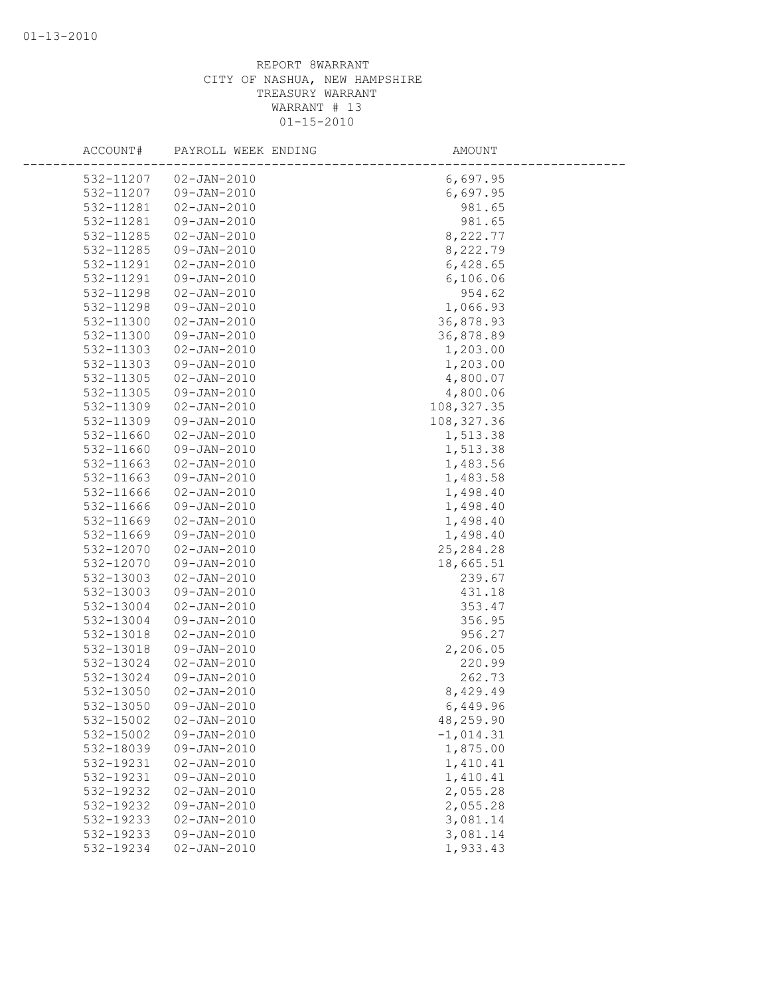| ACCOUNT#  | PAYROLL WEEK ENDING | AMOUNT      |  |
|-----------|---------------------|-------------|--|
| 532-11207 | 02-JAN-2010         | 6,697.95    |  |
| 532-11207 | 09-JAN-2010         | 6,697.95    |  |
| 532-11281 | $02 - JAN - 2010$   | 981.65      |  |
| 532-11281 | 09-JAN-2010         | 981.65      |  |
| 532-11285 | $02 - JAN - 2010$   | 8,222.77    |  |
| 532-11285 | 09-JAN-2010         | 8,222.79    |  |
| 532-11291 | $02 - JAN - 2010$   | 6,428.65    |  |
| 532-11291 | 09-JAN-2010         | 6,106.06    |  |
| 532-11298 | $02 - JAN - 2010$   | 954.62      |  |
| 532-11298 | 09-JAN-2010         | 1,066.93    |  |
| 532-11300 | $02 - JAN - 2010$   | 36,878.93   |  |
| 532-11300 | 09-JAN-2010         | 36,878.89   |  |
| 532-11303 | $02 - JAN - 2010$   | 1,203.00    |  |
| 532-11303 | 09-JAN-2010         | 1,203.00    |  |
| 532-11305 | $02 - JAN - 2010$   | 4,800.07    |  |
| 532-11305 | 09-JAN-2010         | 4,800.06    |  |
| 532-11309 | $02 - JAN - 2010$   | 108, 327.35 |  |
| 532-11309 | 09-JAN-2010         | 108, 327.36 |  |
| 532-11660 | $02 - JAN - 2010$   | 1,513.38    |  |
| 532-11660 | 09-JAN-2010         | 1,513.38    |  |
| 532-11663 | $02 - JAN - 2010$   | 1,483.56    |  |
| 532-11663 | 09-JAN-2010         | 1,483.58    |  |
| 532-11666 | $02 - JAN - 2010$   | 1,498.40    |  |
| 532-11666 | 09-JAN-2010         | 1,498.40    |  |
| 532-11669 | $02 - JAN - 2010$   | 1,498.40    |  |
| 532-11669 | 09-JAN-2010         | 1,498.40    |  |
| 532-12070 | $02 - JAN - 2010$   | 25, 284. 28 |  |
| 532-12070 | 09-JAN-2010         | 18,665.51   |  |
| 532-13003 | $02 - JAN - 2010$   | 239.67      |  |
| 532-13003 | 09-JAN-2010         | 431.18      |  |
| 532-13004 | $02 - JAN - 2010$   | 353.47      |  |
| 532-13004 | 09-JAN-2010         | 356.95      |  |
| 532-13018 | $02 - JAN - 2010$   | 956.27      |  |
| 532-13018 | 09-JAN-2010         | 2,206.05    |  |
| 532-13024 | $02 - JAN - 2010$   | 220.99      |  |
| 532-13024 | 09-JAN-2010         | 262.73      |  |
| 532-13050 | $02 - JAN - 2010$   | 8,429.49    |  |
| 532-13050 | $09 - JAN - 2010$   | 6,449.96    |  |
| 532-15002 | $02 - JAN - 2010$   | 48,259.90   |  |
| 532-15002 | 09-JAN-2010         | $-1,014.31$ |  |
| 532-18039 | 09-JAN-2010         | 1,875.00    |  |
| 532-19231 | $02 - JAN - 2010$   | 1,410.41    |  |
| 532-19231 | 09-JAN-2010         | 1,410.41    |  |
| 532-19232 | $02 - JAN - 2010$   | 2,055.28    |  |
| 532-19232 | 09-JAN-2010         | 2,055.28    |  |
| 532-19233 | $02 - JAN - 2010$   | 3,081.14    |  |
| 532-19233 | 09-JAN-2010         | 3,081.14    |  |
| 532-19234 | $02 - JAN - 2010$   | 1,933.43    |  |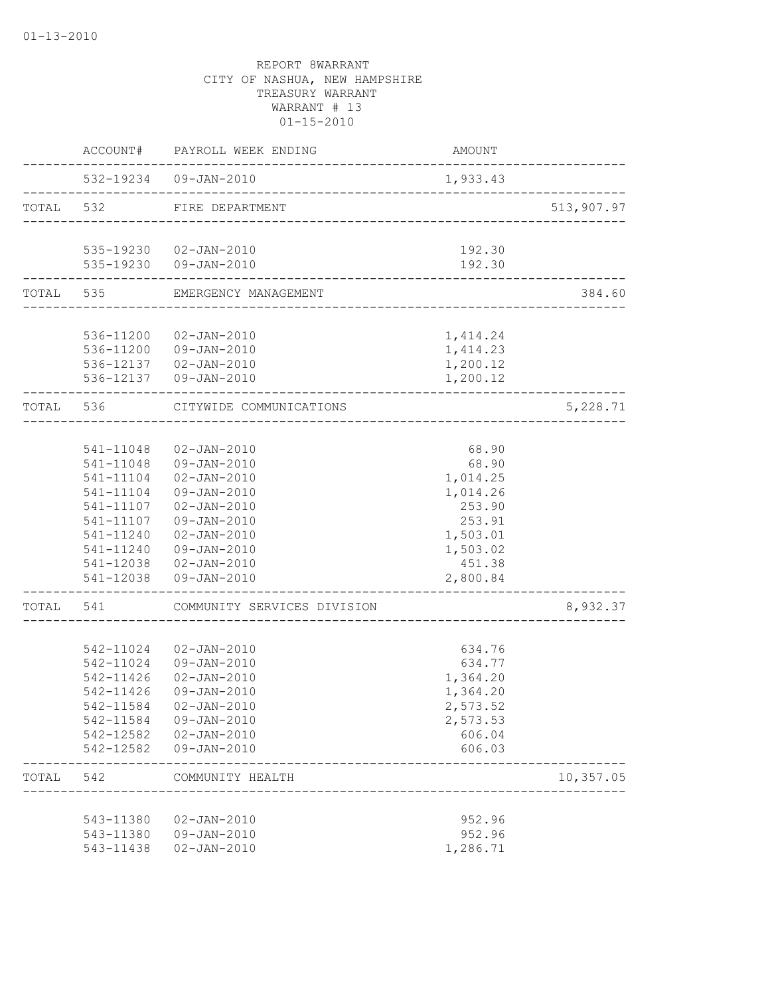|           |           | ACCOUNT# PAYROLL WEEK ENDING                              | AMOUNT           |            |
|-----------|-----------|-----------------------------------------------------------|------------------|------------|
|           |           | 532-19234 09-JAN-2010<br>________________________________ | 1,933.43         |            |
|           | TOTAL 532 | FIRE DEPARTMENT                                           |                  | 513,907.97 |
|           |           |                                                           |                  |            |
|           |           | 535-19230 02-JAN-2010<br>535-19230 09-JAN-2010            | 192.30<br>192.30 |            |
|           |           | TOTAL 535 EMERGENCY MANAGEMENT                            |                  | 384.60     |
|           |           |                                                           |                  |            |
|           |           | 536-11200 02-JAN-2010                                     | 1,414.24         |            |
|           |           | 536-11200 09-JAN-2010                                     | 1,414.23         |            |
|           |           | 536-12137  02-JAN-2010                                    | 1,200.12         |            |
|           |           | 536-12137  09-JAN-2010                                    | 1,200.12         |            |
| TOTAL 536 |           | CITYWIDE COMMUNICATIONS                                   |                  | 5,228.71   |
|           |           |                                                           |                  |            |
|           | 541-11048 | 02-JAN-2010                                               | 68.90            |            |
|           |           | 541-11048 09-JAN-2010                                     | 68.90            |            |
|           |           | 541-11104 02-JAN-2010                                     | 1,014.25         |            |
|           | 541-11104 | 09-JAN-2010                                               | 1,014.26         |            |
|           |           | 541-11107  02-JAN-2010                                    | 253.90           |            |
|           | 541-11107 | 09-JAN-2010                                               | 253.91           |            |
|           | 541-11240 | $02 - JAN - 2010$                                         | 1,503.01         |            |
|           | 541-11240 | 09-JAN-2010                                               | 1,503.02         |            |
|           |           | 541-12038  02-JAN-2010                                    | 451.38           |            |
|           |           | 541-12038 09-JAN-2010                                     | 2,800.84         |            |
| TOTAL 541 |           | COMMUNITY SERVICES DIVISION                               |                  | 8,932.37   |
|           |           |                                                           |                  |            |
|           |           | 542-11024 02-JAN-2010                                     | 634.76           |            |
|           | 542-11024 | 09-JAN-2010                                               | 634.77           |            |
|           | 542-11426 | $02 - JAN - 2010$                                         | 1,364.20         |            |
|           | 542-11426 | 09-JAN-2010                                               | 1,364.20         |            |
|           |           | 542-11584 02-JAN-2010                                     | 2,573.52         |            |
|           |           | 542-11584 09-JAN-2010                                     | 2,573.53         |            |
|           |           | 542-12582  02-JAN-2010                                    | 606.04           |            |
|           |           | 542-12582  09-JAN-2010                                    | 606.03           |            |
|           | TOTAL 542 | COMMUNITY HEALTH                                          |                  | 10,357.05  |
|           |           |                                                           |                  |            |
|           |           | 543-11380  02-JAN-2010                                    | 952.96           |            |
|           |           | 543-11380 09-JAN-2010                                     | 952.96           |            |
|           | 543-11438 | 02-JAN-2010                                               | 1,286.71         |            |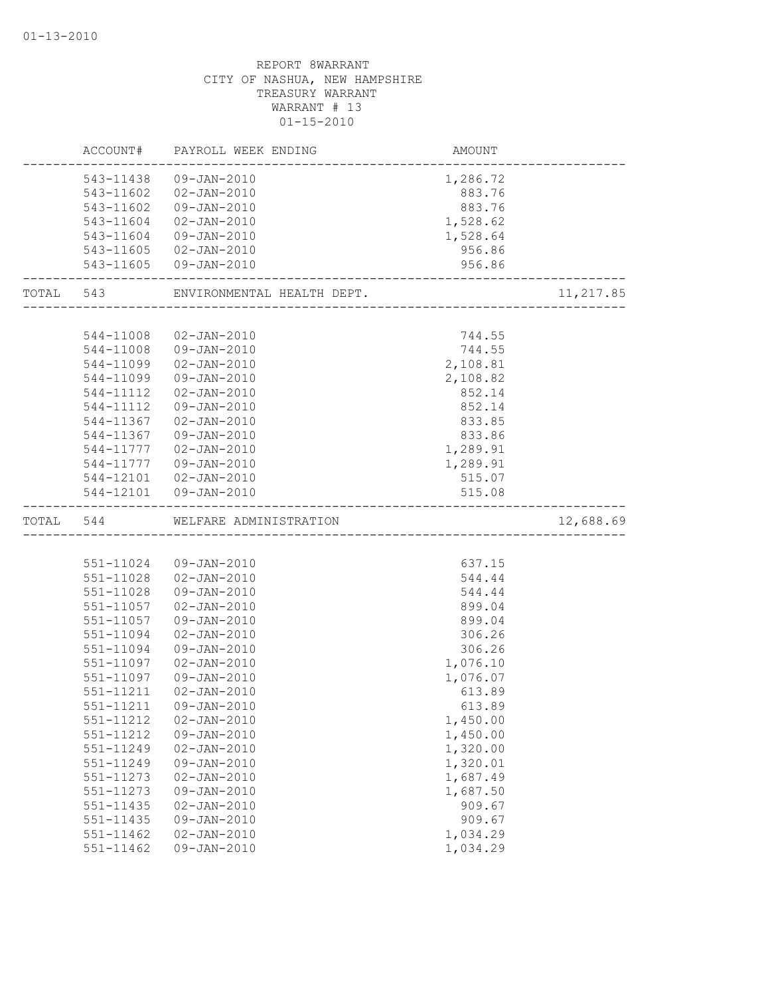|           | ACCOUNT#      | PAYROLL WEEK ENDING        | AMOUNT   |           |
|-----------|---------------|----------------------------|----------|-----------|
|           | 543-11438     | 09-JAN-2010                | 1,286.72 |           |
|           | 543-11602     | 02-JAN-2010                | 883.76   |           |
|           | 543-11602     | 09-JAN-2010                | 883.76   |           |
|           | 543-11604     | 02-JAN-2010                | 1,528.62 |           |
|           | 543-11604     | 09-JAN-2010                | 1,528.64 |           |
|           | 543-11605     | 02-JAN-2010                | 956.86   |           |
|           | 543-11605     | 09-JAN-2010                | 956.86   |           |
| TOTAL 543 |               | ENVIRONMENTAL HEALTH DEPT. |          | 11,217.85 |
|           |               |                            |          |           |
|           | 544-11008     | 02-JAN-2010                | 744.55   |           |
|           | 544-11008     | 09-JAN-2010                | 744.55   |           |
|           | 544-11099     | $02 - JAN - 2010$          | 2,108.81 |           |
|           | 544-11099     | 09-JAN-2010                | 2,108.82 |           |
|           | 544-11112     | $02 - JAN - 2010$          | 852.14   |           |
|           | 544-11112     | 09-JAN-2010                | 852.14   |           |
|           | 544-11367     | $02 - JAN - 2010$          | 833.85   |           |
|           | 544-11367     | 09-JAN-2010                | 833.86   |           |
|           | 544-11777     | 02-JAN-2010                | 1,289.91 |           |
|           | 544-11777     | 09-JAN-2010                | 1,289.91 |           |
|           |               | 544-12101  02-JAN-2010     | 515.07   |           |
|           | 544-12101     | 09-JAN-2010                | 515.08   |           |
| TOTAL     | 544           | WELFARE ADMINISTRATION     |          | 12,688.69 |
|           |               |                            |          |           |
|           | 551-11024     | 09-JAN-2010                | 637.15   |           |
|           | 551-11028     | $02 - JAN - 2010$          | 544.44   |           |
|           | 551-11028     | 09-JAN-2010                | 544.44   |           |
|           | 551-11057     | $02 - JAN - 2010$          | 899.04   |           |
|           | 551-11057     | 09-JAN-2010                | 899.04   |           |
|           | 551-11094     | $02 - JAN - 2010$          | 306.26   |           |
|           | 551-11094     | 09-JAN-2010                | 306.26   |           |
|           | 551-11097     | $02 - JAN - 2010$          | 1,076.10 |           |
|           | 551-11097     | $09 - JAN - 2010$          | 1,076.07 |           |
|           | 551-11211     | $02 - JAN - 2010$          | 613.89   |           |
|           | 551-11211     | $09 - JAN - 2010$          | 613.89   |           |
|           | 551-11212     | $02 - JAN - 2010$          | 1,450.00 |           |
|           | 551-11212     | $09 - JAN - 2010$          | 1,450.00 |           |
|           | 551-11249     | $02 - JAN - 2010$          | 1,320.00 |           |
|           | 551-11249     | $09 - JAN - 2010$          | 1,320.01 |           |
|           | 551-11273     | $02 - JAN - 2010$          | 1,687.49 |           |
|           |               |                            |          |           |
|           | 551-11273     | 09-JAN-2010                | 1,687.50 |           |
|           | 551-11435     | $02 - JAN - 2010$          | 909.67   |           |
|           | 551-11435     | 09-JAN-2010                | 909.67   |           |
|           | $551 - 11462$ | $02 - JAN - 2010$          | 1,034.29 |           |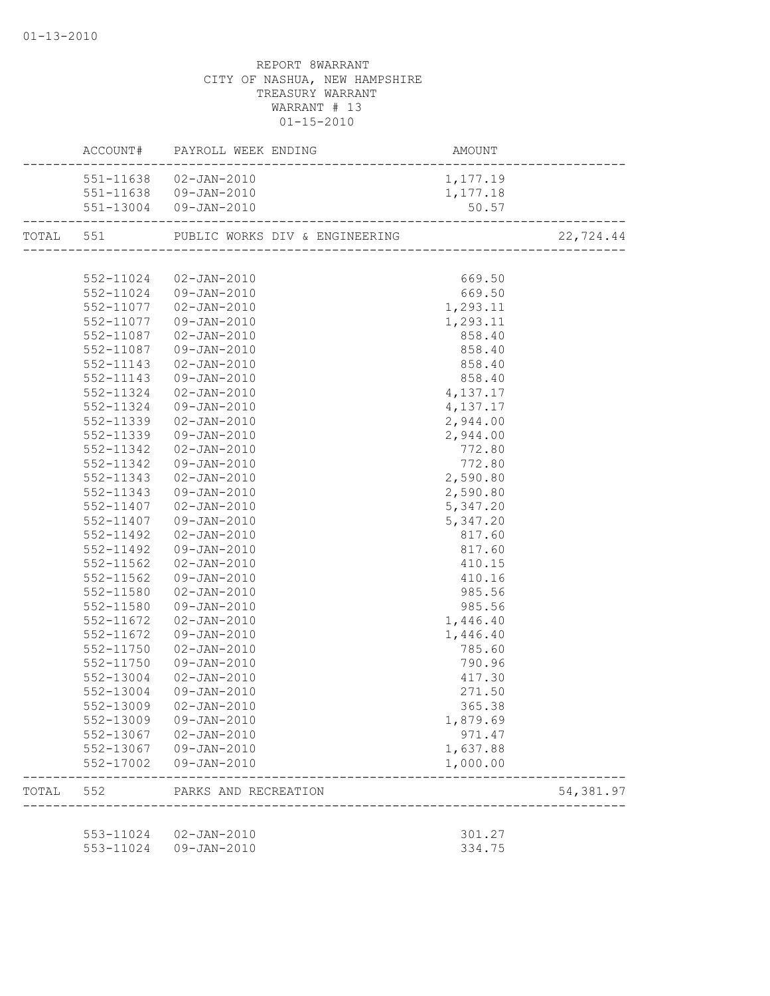|       |           | 551-11638 02-JAN-2010  | 1,177.19 |           |
|-------|-----------|------------------------|----------|-----------|
|       |           | 551-11638 09-JAN-2010  | 1,177.18 |           |
|       |           | 551-13004 09-JAN-2010  | 50.57    |           |
|       |           |                        |          | 22,724.44 |
|       |           |                        |          |           |
|       |           | 552-11024 02-JAN-2010  | 669.50   |           |
|       |           | 552-11024 09-JAN-2010  | 669.50   |           |
|       |           | 552-11077 02-JAN-2010  | 1,293.11 |           |
|       |           | 552-11077  09-JAN-2010 | 1,293.11 |           |
|       |           | 552-11087  02-JAN-2010 | 858.40   |           |
|       |           | 552-11087  09-JAN-2010 | 858.40   |           |
|       | 552-11143 | 02-JAN-2010            | 858.40   |           |
|       | 552-11143 | 09-JAN-2010            | 858.40   |           |
|       | 552-11324 | 02-JAN-2010            | 4,137.17 |           |
|       | 552-11324 | 09-JAN-2010            | 4,137.17 |           |
|       | 552-11339 | 02-JAN-2010            | 2,944.00 |           |
|       | 552-11339 | 09-JAN-2010            | 2,944.00 |           |
|       | 552-11342 | $02 - JAN - 2010$      | 772.80   |           |
|       | 552-11342 | 09-JAN-2010            | 772.80   |           |
|       | 552-11343 | 02-JAN-2010            | 2,590.80 |           |
|       | 552-11343 | 09-JAN-2010            | 2,590.80 |           |
|       | 552-11407 | 02-JAN-2010            | 5,347.20 |           |
|       | 552-11407 | 09-JAN-2010            | 5,347.20 |           |
|       | 552-11492 | 02-JAN-2010            | 817.60   |           |
|       | 552-11492 | 09-JAN-2010            | 817.60   |           |
|       | 552-11562 | $02 - JAN - 2010$      | 410.15   |           |
|       | 552-11562 | 09-JAN-2010            | 410.16   |           |
|       | 552-11580 | 02-JAN-2010            | 985.56   |           |
|       | 552-11580 | 09-JAN-2010            | 985.56   |           |
|       | 552-11672 | 02-JAN-2010            | 1,446.40 |           |
|       | 552-11672 | 09-JAN-2010            | 1,446.40 |           |
|       | 552-11750 | 02-JAN-2010            | 785.60   |           |
|       | 552-11750 | 09-JAN-2010            | 790.96   |           |
|       | 552-13004 | 02-JAN-2010            | 417.30   |           |
|       | 552-13004 | 09-JAN-2010            | 271.50   |           |
|       |           | 552-13009 02-JAN-2010  | 365.38   |           |
|       | 552-13009 | 09-JAN-2010            | 1,879.69 |           |
|       |           | 552-13067 02-JAN-2010  | 971.47   |           |
|       |           | 552-13067 09-JAN-2010  | 1,637.88 |           |
|       |           | 552-17002 09-JAN-2010  | 1,000.00 |           |
| TOTAL | 552       | PARKS AND RECREATION   |          | 54,381.97 |
|       |           |                        |          |           |
|       |           | 553-11024  02-JAN-2010 | 301.27   |           |
|       |           | 553-11024 09-JAN-2010  | 334.75   |           |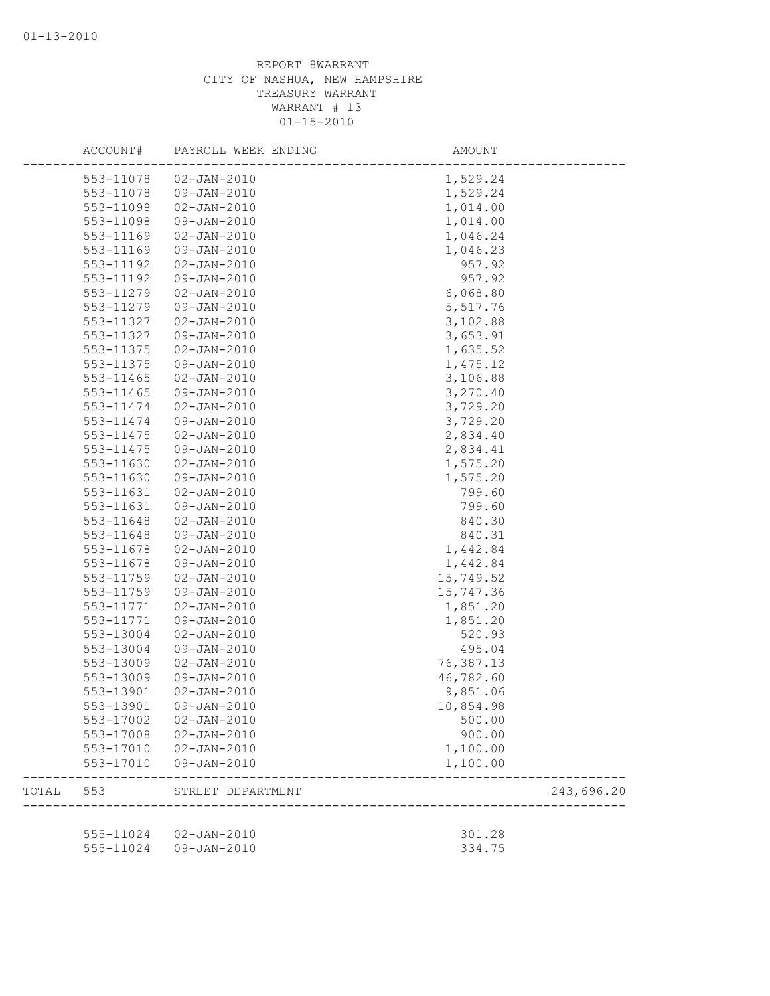|       | ACCOUNT#  | PAYROLL WEEK ENDING   | AMOUNT    |            |
|-------|-----------|-----------------------|-----------|------------|
|       | 553-11078 | $02 - JAN - 2010$     | 1,529.24  |            |
|       | 553-11078 | 09-JAN-2010           | 1,529.24  |            |
|       | 553-11098 | $02 - JAN - 2010$     | 1,014.00  |            |
|       | 553-11098 | $09 - JAN - 2010$     | 1,014.00  |            |
|       | 553-11169 | $02 - JAN - 2010$     | 1,046.24  |            |
|       | 553-11169 | 09-JAN-2010           | 1,046.23  |            |
|       | 553-11192 | $02 - JAN - 2010$     | 957.92    |            |
|       | 553-11192 | 09-JAN-2010           | 957.92    |            |
|       | 553-11279 | $02 - JAN - 2010$     | 6,068.80  |            |
|       | 553-11279 | $09 - JAN - 2010$     | 5,517.76  |            |
|       | 553-11327 | $02 - JAN - 2010$     | 3,102.88  |            |
|       | 553-11327 | 09-JAN-2010           | 3,653.91  |            |
|       | 553-11375 | $02 - JAN - 2010$     | 1,635.52  |            |
|       | 553-11375 | 09-JAN-2010           | 1,475.12  |            |
|       | 553-11465 | $02 - JAN - 2010$     | 3,106.88  |            |
|       | 553-11465 | 09-JAN-2010           | 3,270.40  |            |
|       | 553-11474 | $02 - JAN - 2010$     | 3,729.20  |            |
|       | 553-11474 | 09-JAN-2010           | 3,729.20  |            |
|       | 553-11475 | $02 - JAN - 2010$     | 2,834.40  |            |
|       | 553-11475 | 09-JAN-2010           | 2,834.41  |            |
|       | 553-11630 | $02 - JAN - 2010$     | 1,575.20  |            |
|       | 553-11630 | 09-JAN-2010           | 1,575.20  |            |
|       | 553-11631 | $02 - JAN - 2010$     | 799.60    |            |
|       | 553-11631 | $09 - JAN - 2010$     | 799.60    |            |
|       | 553-11648 | $02 - JAN - 2010$     | 840.30    |            |
|       | 553-11648 | 09-JAN-2010           | 840.31    |            |
|       | 553-11678 | $02 - JAN - 2010$     | 1,442.84  |            |
|       | 553-11678 | 09-JAN-2010           | 1,442.84  |            |
|       | 553-11759 | $02 - JAN - 2010$     | 15,749.52 |            |
|       | 553-11759 | 09-JAN-2010           | 15,747.36 |            |
|       | 553-11771 | $02 - JAN - 2010$     | 1,851.20  |            |
|       | 553-11771 | $09 - JAN - 2010$     | 1,851.20  |            |
|       | 553-13004 | $02 - JAN - 2010$     | 520.93    |            |
|       | 553-13004 | 09-JAN-2010           | 495.04    |            |
|       | 553-13009 | $02 - JAN - 2010$     | 76,387.13 |            |
|       | 553-13009 | $09 - JAN - 2010$     | 46,782.60 |            |
|       | 553-13901 | $02 - JAN - 2010$     | 9,851.06  |            |
|       | 553-13901 | $09 - JAN - 2010$     | 10,854.98 |            |
|       | 553-17002 | $02 - JAN - 2010$     | 500.00    |            |
|       | 553-17008 | $02 - JAN - 2010$     | 900.00    |            |
|       | 553-17010 | 02-JAN-2010           | 1,100.00  |            |
|       | 553-17010 | 09-JAN-2010           | 1,100.00  |            |
| TOTAL | 553       | STREET DEPARTMENT     |           | 243,696.20 |
|       |           |                       |           |            |
|       |           | 555-11024 02-JAN-2010 | 301.28    |            |
|       | 555-11024 | 09-JAN-2010           | 334.75    |            |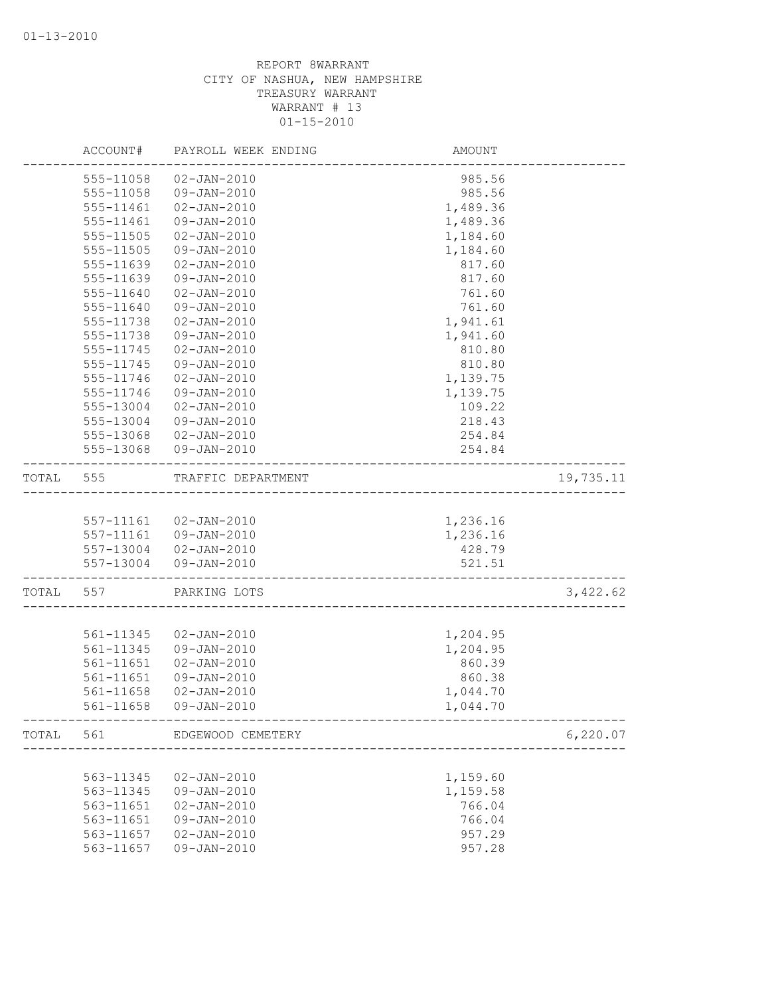|       | ACCOUNT#      | PAYROLL WEEK ENDING                                  | AMOUNT   |           |
|-------|---------------|------------------------------------------------------|----------|-----------|
|       | 555-11058     | $02 - JAN - 2010$                                    | 985.56   |           |
|       | 555-11058     | 09-JAN-2010                                          | 985.56   |           |
|       | 555-11461     | $02 - JAN - 2010$                                    | 1,489.36 |           |
|       | 555-11461     | $09 - JAN - 2010$                                    | 1,489.36 |           |
|       | 555-11505     | $02 - JAN - 2010$                                    | 1,184.60 |           |
|       | 555-11505     | 09-JAN-2010                                          | 1,184.60 |           |
|       | 555-11639     | $02 - JAN - 2010$                                    | 817.60   |           |
|       | 555-11639     | $09 - JAN - 2010$                                    | 817.60   |           |
|       | 555-11640     | $02 - JAN - 2010$                                    | 761.60   |           |
|       | 555-11640     | $09 - JAN - 2010$                                    | 761.60   |           |
|       | 555-11738     | $02 - JAN - 2010$                                    | 1,941.61 |           |
|       | 555-11738     | 09-JAN-2010                                          | 1,941.60 |           |
|       | 555-11745     | $02 - JAN - 2010$                                    | 810.80   |           |
|       | 555-11745     | $09 - JAN - 2010$                                    | 810.80   |           |
|       | 555-11746     | $02 - JAN - 2010$                                    | 1,139.75 |           |
|       | 555-11746     | $09 - JAN - 2010$                                    | 1,139.75 |           |
|       | 555-13004     | $02 - JAN - 2010$                                    | 109.22   |           |
|       | 555-13004     | 09-JAN-2010                                          | 218.43   |           |
|       | 555-13068     | $02 - JAN - 2010$                                    | 254.84   |           |
|       | 555-13068     | 09-JAN-2010                                          | 254.84   |           |
| TOTAL | 555           | TRAFFIC DEPARTMENT                                   |          | 19,735.11 |
|       |               |                                                      |          |           |
|       |               | 557-11161 02-JAN-2010                                | 1,236.16 |           |
|       |               | 557-11161 09-JAN-2010                                | 1,236.16 |           |
|       |               | 557-13004 02-JAN-2010                                | 428.79   |           |
|       | 557-13004     | 09-JAN-2010                                          | 521.51   |           |
| TOTAL | 557           | PARKING LOTS                                         |          | 3,422.62  |
|       |               |                                                      |          |           |
|       | 561-11345     | 02-JAN-2010                                          | 1,204.95 |           |
|       | 561-11345     | 09-JAN-2010                                          | 1,204.95 |           |
|       | 561-11651     | $02 - JAN - 2010$                                    | 860.39   |           |
|       | 561-11651     | 09-JAN-2010                                          | 860.38   |           |
|       | $561 - 11658$ | $02 - JAN - 2010$                                    | 1,044.70 |           |
|       | 561-11658     | $09 - JAN - 2010$<br>------------------------------- | 1,044.70 |           |
| TOTAL | 561           | EDGEWOOD CEMETERY                                    |          | 6,220.07  |
|       |               |                                                      |          |           |
|       | 563-11345     | $02 - JAN - 2010$                                    | 1,159.60 |           |
|       | 563-11345     | $09 - JAN - 2010$                                    | 1,159.58 |           |
|       | 563-11651     | $02 - JAN - 2010$                                    | 766.04   |           |
|       | 563-11651     | 09-JAN-2010                                          | 766.04   |           |
|       | 563-11657     | $02 - JAN - 2010$                                    | 957.29   |           |
|       | 563-11657     | 09-JAN-2010                                          | 957.28   |           |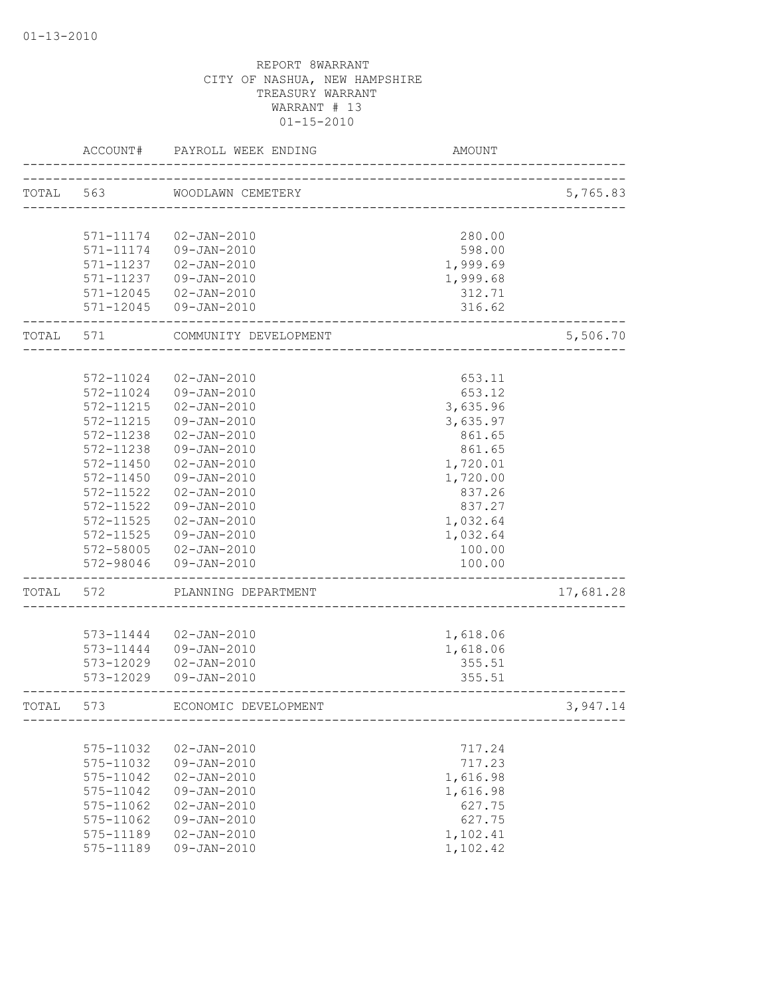|           | ACCOUNT#               | PAYROLL WEEK ENDING              | AMOUNT                 |           |
|-----------|------------------------|----------------------------------|------------------------|-----------|
| TOTAL 563 |                        | WOODLAWN CEMETERY                | ______________________ | 5,765.83  |
|           | 571-11174              | 02-JAN-2010                      | 280.00                 |           |
|           | 571-11174              | 09-JAN-2010                      | 598.00                 |           |
|           | 571-11237              | $02 - JAN - 2010$                | 1,999.69               |           |
|           | 571-11237              | 09-JAN-2010                      | 1,999.68               |           |
|           |                        | 571-12045 02-JAN-2010            | 312.71                 |           |
|           |                        | 571-12045 09-JAN-2010            | 316.62                 |           |
| TOTAL     | 571                    | COMMUNITY DEVELOPMENT            |                        | 5,506.70  |
|           |                        |                                  |                        |           |
|           | 572-11024              | $02 - JAN - 2010$                | 653.11                 |           |
|           | 572-11024              | 09-JAN-2010                      | 653.12                 |           |
|           | 572-11215              | $02 - JAN - 2010$                | 3,635.96               |           |
|           | 572-11215              | 09-JAN-2010                      | 3,635.97               |           |
|           | 572-11238              | $02 - JAN - 2010$                | 861.65                 |           |
|           | 572-11238              | 09-JAN-2010                      | 861.65                 |           |
|           | 572-11450              | $02 - JAN - 2010$                | 1,720.01               |           |
|           | 572-11450              | 09-JAN-2010                      | 1,720.00               |           |
|           | 572-11522<br>572-11522 | $02 - JAN - 2010$                | 837.26                 |           |
|           | 572-11525              | 09-JAN-2010<br>$02 - JAN - 2010$ | 837.27<br>1,032.64     |           |
|           | 572-11525              | 09-JAN-2010                      | 1,032.64               |           |
|           |                        | 572-58005 02-JAN-2010            | 100.00                 |           |
|           | 572-98046              | $09 - JAN - 2010$                | 100.00                 |           |
| TOTAL     | 572                    | PLANNING DEPARTMENT              |                        | 17,681.28 |
|           |                        |                                  |                        |           |
|           | 573-11444              | $02 - JAN - 2010$                | 1,618.06               |           |
|           | 573-11444              | 09-JAN-2010                      | 1,618.06               |           |
|           | 573-12029              | $02 - JAN - 2010$                | 355.51                 |           |
|           | 573-12029              | 09-JAN-2010                      | 355.51                 |           |
| TOTAL     | 573                    | ECONOMIC DEVELOPMENT             |                        | 3,947.14  |
|           |                        |                                  |                        |           |
|           | 575-11032              | $02 - JAN - 2010$                | 717.24                 |           |
|           | 575-11032              | $09 - JAN - 2010$                | 717.23                 |           |
|           | 575-11042              | $02 - JAN - 2010$                | 1,616.98               |           |
|           | 575-11042              | $09 - JAN - 2010$                | 1,616.98               |           |
|           | 575-11062              | $02 - JAN - 2010$                | 627.75                 |           |
|           | 575-11062              | $09 - JAN - 2010$                | 627.75                 |           |
|           | 575-11189              | $02 - JAN - 2010$                | 1,102.41               |           |
|           | 575-11189              | $09 - JAN - 2010$                | 1,102.42               |           |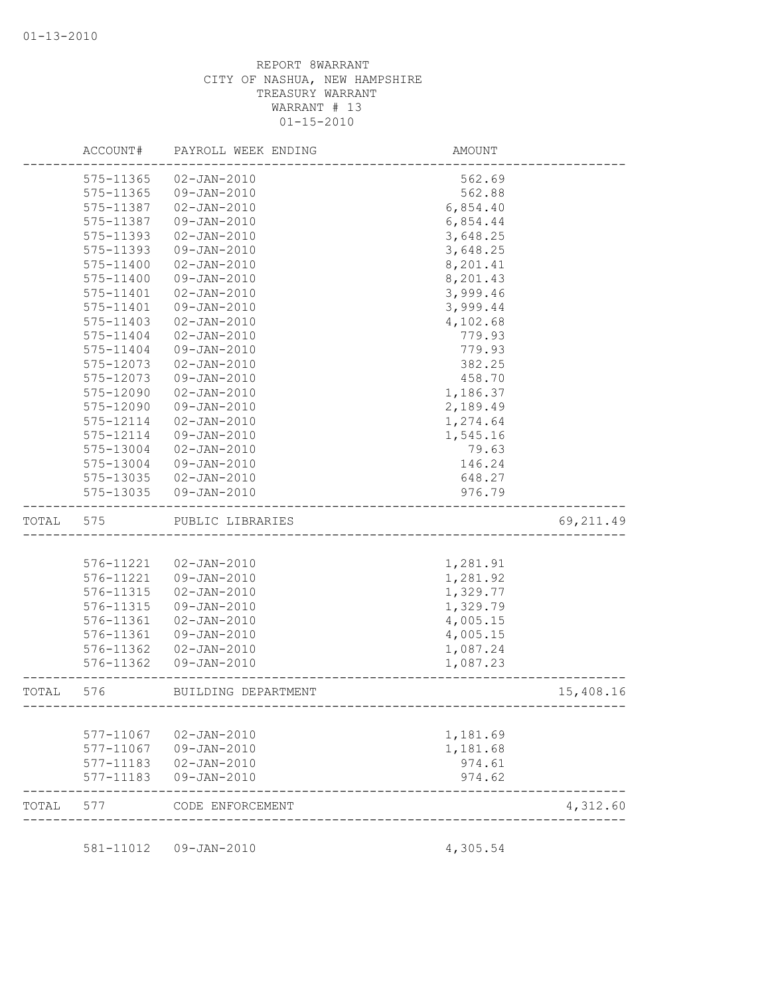|       | ACCOUNT#               | PAYROLL WEEK ENDING              | AMOUNT           |            |
|-------|------------------------|----------------------------------|------------------|------------|
|       | 575-11365              | $02 - JAN - 2010$                | 562.69           |            |
|       | 575-11365              | 09-JAN-2010                      | 562.88           |            |
|       | 575-11387              | $02 - JAN - 2010$                | 6,854.40         |            |
|       | 575-11387              | $09 - JAN - 2010$                | 6,854.44         |            |
|       | 575-11393              | $02 - JAN - 2010$                | 3,648.25         |            |
|       | 575-11393              | 09-JAN-2010                      | 3,648.25         |            |
|       | 575-11400              | $02 - JAN - 2010$                | 8,201.41         |            |
|       | 575-11400              | $09 - JAN - 2010$                | 8,201.43         |            |
|       | 575-11401              | $02 - JAN - 2010$                | 3,999.46         |            |
|       | 575-11401              | 09-JAN-2010                      | 3,999.44         |            |
|       | 575-11403              | $02 - JAN - 2010$                | 4,102.68         |            |
|       | 575-11404              | $02 - JAN - 2010$                | 779.93           |            |
|       | 575-11404              | 09-JAN-2010                      | 779.93           |            |
|       | 575-12073              | $02 - JAN - 2010$                | 382.25           |            |
|       | 575-12073              | 09-JAN-2010                      | 458.70           |            |
|       | 575-12090              | $02 - JAN - 2010$                | 1,186.37         |            |
|       | 575-12090              | $09 - JAN - 2010$                | 2,189.49         |            |
|       | 575-12114              | $02 - JAN - 2010$                | 1,274.64         |            |
|       | 575-12114              | $09 - JAN - 2010$                | 1,545.16         |            |
|       | 575-13004              | $02 - JAN - 2010$                | 79.63            |            |
|       | 575-13004              | 09-JAN-2010                      | 146.24           |            |
|       | 575-13035              | $02 - JAN - 2010$                | 648.27           |            |
|       | 575-13035              | 09-JAN-2010                      | 976.79           |            |
| TOTAL | 575                    | PUBLIC LIBRARIES                 |                  | 69, 211.49 |
|       |                        |                                  |                  |            |
|       | 576-11221              | 02-JAN-2010                      | 1,281.91         |            |
|       | 576-11221              | 09-JAN-2010                      | 1,281.92         |            |
|       | 576-11315              | $02 - JAN - 2010$                | 1,329.77         |            |
|       | 576-11315              | 09-JAN-2010                      | 1,329.79         |            |
|       | 576-11361              | $02 - JAN - 2010$                | 4,005.15         |            |
|       | 576-11361              | 09-JAN-2010                      | 4,005.15         |            |
|       | 576-11362              | $02 - JAN - 2010$                | 1,087.24         |            |
|       | 576-11362              | $09 - JAN - 2010$                | 1,087.23         |            |
| TOTAL | 576                    | BUILDING DEPARTMENT              |                  | 15,408.16  |
|       |                        |                                  |                  |            |
|       | 577-11067              | 02-JAN-2010                      | 1,181.69         |            |
|       | 577-11067              | 09-JAN-2010                      | 1,181.68         |            |
|       | 577-11183<br>577-11183 | $02 - JAN - 2010$<br>09-JAN-2010 | 974.61<br>974.62 |            |
| TOTAL | 577                    | CODE ENFORCEMENT                 |                  | 4,312.60   |
|       |                        |                                  |                  |            |
|       | 581-11012              | 09-JAN-2010                      | 4,305.54         |            |
|       |                        |                                  |                  |            |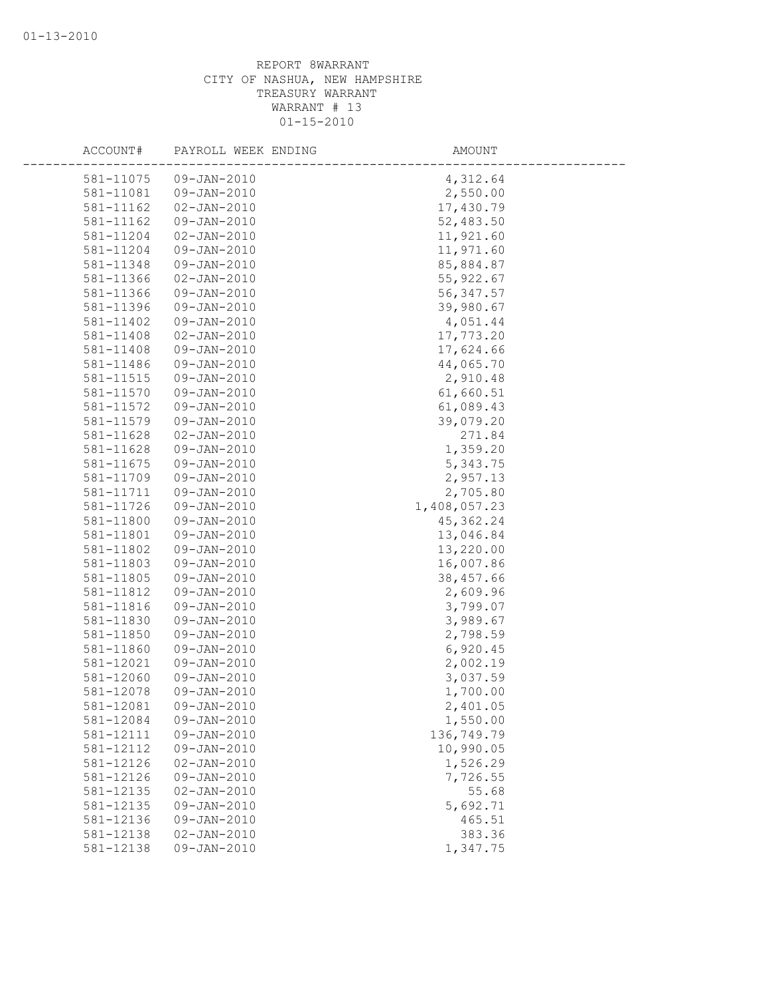| ACCOUNT#  | PAYROLL WEEK ENDING | AMOUNT       |
|-----------|---------------------|--------------|
| 581-11075 | 09-JAN-2010         | 4,312.64     |
| 581-11081 | 09-JAN-2010         | 2,550.00     |
| 581-11162 | $02 - JAN - 2010$   | 17,430.79    |
| 581-11162 | 09-JAN-2010         | 52,483.50    |
| 581-11204 | $02 - JAN - 2010$   | 11,921.60    |
| 581-11204 | 09-JAN-2010         | 11,971.60    |
| 581-11348 | 09-JAN-2010         | 85,884.87    |
| 581-11366 | $02 - JAN - 2010$   | 55, 922.67   |
| 581-11366 | 09-JAN-2010         | 56, 347.57   |
| 581-11396 | 09-JAN-2010         | 39,980.67    |
| 581-11402 | $09 - JAN - 2010$   | 4,051.44     |
| 581-11408 | $02 - JAN - 2010$   | 17,773.20    |
| 581-11408 | 09-JAN-2010         | 17,624.66    |
| 581-11486 | 09-JAN-2010         | 44,065.70    |
| 581-11515 | 09-JAN-2010         | 2,910.48     |
| 581-11570 | 09-JAN-2010         | 61,660.51    |
| 581-11572 | 09-JAN-2010         | 61,089.43    |
| 581-11579 | 09-JAN-2010         | 39,079.20    |
| 581-11628 | $02 - JAN - 2010$   | 271.84       |
| 581-11628 | 09-JAN-2010         | 1,359.20     |
| 581-11675 | 09-JAN-2010         | 5,343.75     |
| 581-11709 | 09-JAN-2010         | 2,957.13     |
| 581-11711 | 09-JAN-2010         | 2,705.80     |
| 581-11726 | $09 - JAN - 2010$   | 1,408,057.23 |
| 581-11800 | 09-JAN-2010         | 45, 362.24   |
| 581-11801 | 09-JAN-2010         | 13,046.84    |
| 581-11802 | 09-JAN-2010         | 13,220.00    |
| 581-11803 | 09-JAN-2010         | 16,007.86    |
| 581-11805 | 09-JAN-2010         | 38,457.66    |
| 581-11812 | $09 - JAN - 2010$   | 2,609.96     |
| 581-11816 | 09-JAN-2010         | 3,799.07     |
| 581-11830 | $09 - JAN - 2010$   | 3,989.67     |
| 581-11850 | 09-JAN-2010         | 2,798.59     |
| 581-11860 | 09-JAN-2010         | 6,920.45     |
| 581-12021 | 09-JAN-2010         | 2,002.19     |
| 581-12060 | 09-JAN-2010         | 3,037.59     |
| 581-12078 | $09 - JAN - 2010$   | 1,700.00     |
| 581-12081 | 09-JAN-2010         | 2,401.05     |
| 581-12084 | 09-JAN-2010         | 1,550.00     |
| 581-12111 | 09-JAN-2010         | 136,749.79   |
| 581-12112 | 09-JAN-2010         | 10,990.05    |
| 581-12126 | $02 - JAN - 2010$   | 1,526.29     |
| 581-12126 | 09-JAN-2010         | 7,726.55     |
| 581-12135 | $02 - JAN - 2010$   | 55.68        |
| 581-12135 | 09-JAN-2010         | 5,692.71     |
| 581-12136 | $09 - JAN - 2010$   | 465.51       |
| 581-12138 | $02 - JAN - 2010$   | 383.36       |
| 581-12138 | 09-JAN-2010         | 1,347.75     |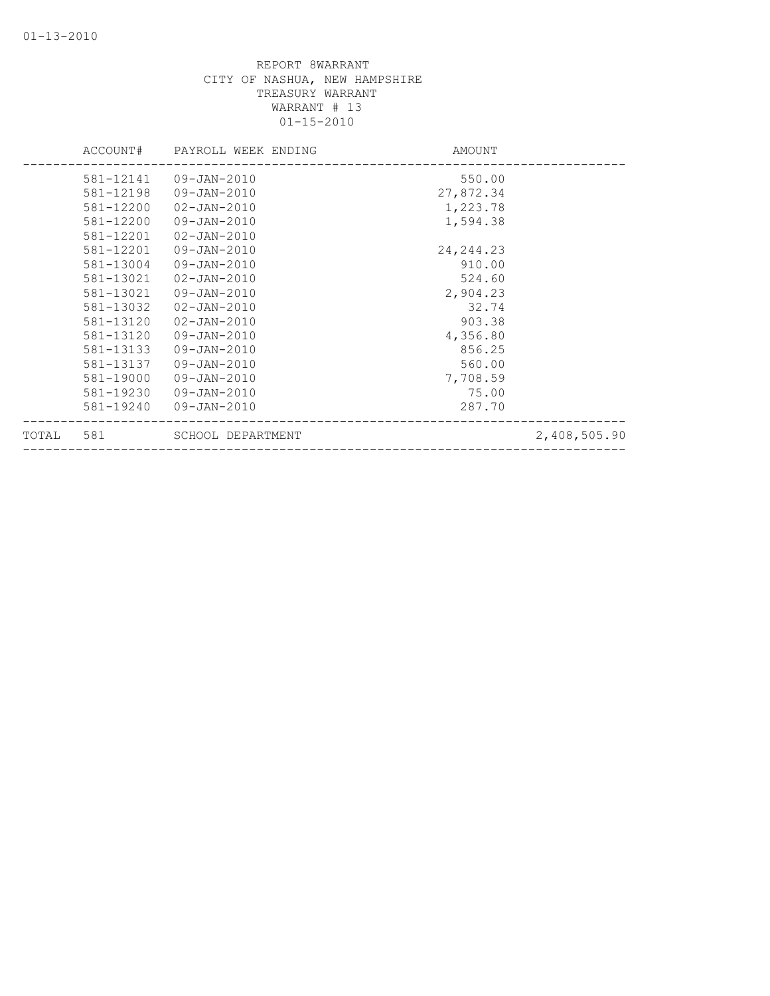|       | ACCOUNT#  | PAYROLL WEEK ENDING | AMOUNT      |              |
|-------|-----------|---------------------|-------------|--------------|
|       | 581-12141 | 09-JAN-2010         | 550.00      |              |
|       | 581-12198 | 09-JAN-2010         | 27,872.34   |              |
|       | 581-12200 | $02 - JAN - 2010$   | 1,223.78    |              |
|       | 581-12200 | 09-JAN-2010         | 1,594.38    |              |
|       | 581-12201 | $02 - JAN - 2010$   |             |              |
|       | 581-12201 | 09-JAN-2010         | 24, 244. 23 |              |
|       | 581-13004 | 09-JAN-2010         | 910.00      |              |
|       | 581-13021 | $02 - JAN - 2010$   | 524.60      |              |
|       | 581-13021 | 09-JAN-2010         | 2,904.23    |              |
|       | 581-13032 | $02 - JAN - 2010$   | 32.74       |              |
|       | 581-13120 | $02 - JAN - 2010$   | 903.38      |              |
|       | 581-13120 | 09-JAN-2010         | 4,356.80    |              |
|       | 581-13133 | 09-JAN-2010         | 856.25      |              |
|       | 581-13137 | 09-JAN-2010         | 560.00      |              |
|       | 581-19000 | 09-JAN-2010         | 7,708.59    |              |
|       | 581-19230 | 09-JAN-2010         | 75.00       |              |
|       | 581-19240 | 09-JAN-2010         | 287.70      |              |
| TOTAL | 581       | SCHOOL DEPARTMENT   |             | 2,408,505.90 |
|       |           |                     |             |              |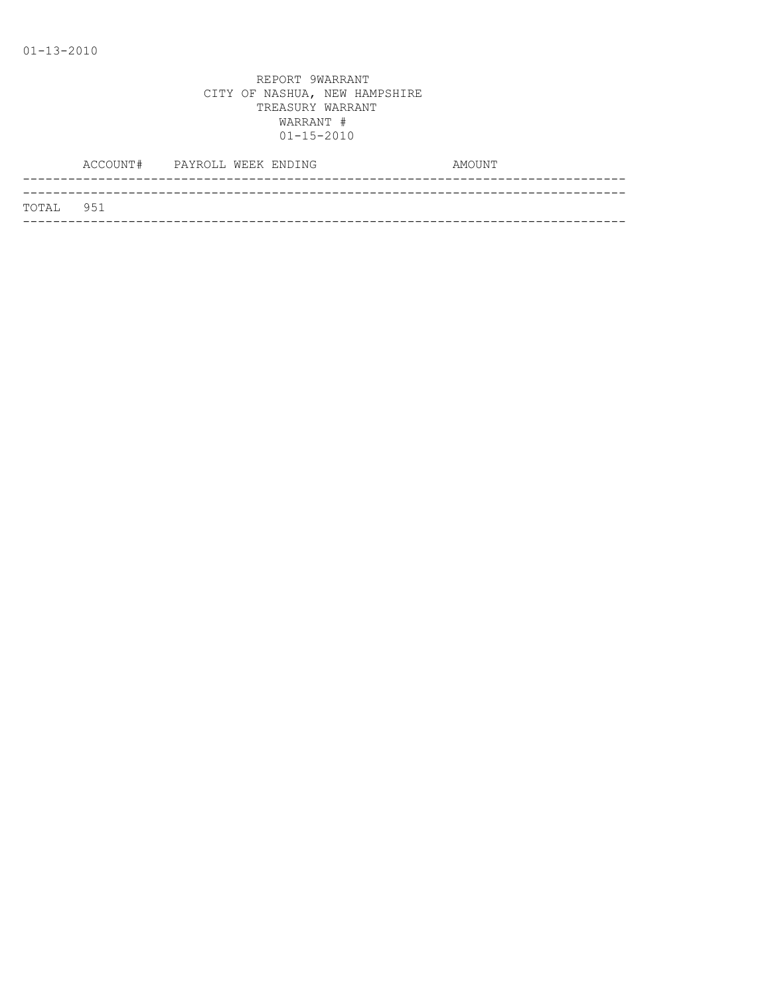|           | ACCOUNT# PAYROLL WEEK ENDING |  | AMOUNT |
|-----------|------------------------------|--|--------|
|           |                              |  |        |
| TOTAL 951 |                              |  |        |
|           |                              |  |        |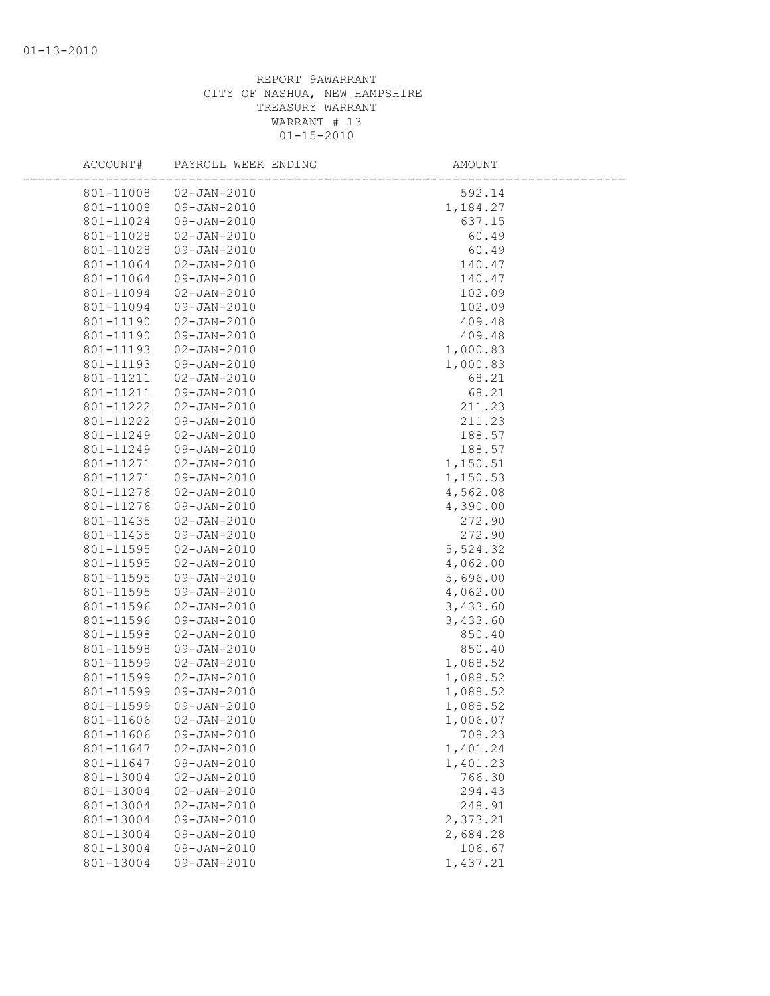| ACCOUNT#  | PAYROLL WEEK ENDING | AMOUNT   |
|-----------|---------------------|----------|
| 801-11008 | $02 - JAN - 2010$   | 592.14   |
| 801-11008 | 09-JAN-2010         | 1,184.27 |
| 801-11024 | 09-JAN-2010         | 637.15   |
| 801-11028 | $02 - JAN - 2010$   | 60.49    |
| 801-11028 | 09-JAN-2010         | 60.49    |
| 801-11064 | $02 - JAN - 2010$   | 140.47   |
| 801-11064 | 09-JAN-2010         | 140.47   |
| 801-11094 | $02 - JAN - 2010$   | 102.09   |
| 801-11094 | $09 - JAN - 2010$   | 102.09   |
| 801-11190 | $02 - JAN - 2010$   | 409.48   |
| 801-11190 | 09-JAN-2010         | 409.48   |
| 801-11193 | $02 - JAN - 2010$   | 1,000.83 |
| 801-11193 | 09-JAN-2010         | 1,000.83 |
| 801-11211 | $02 - JAN - 2010$   | 68.21    |
| 801-11211 | 09-JAN-2010         | 68.21    |
| 801-11222 | $02 - JAN - 2010$   | 211.23   |
| 801-11222 | 09-JAN-2010         | 211.23   |
| 801-11249 | $02 - JAN - 2010$   | 188.57   |
| 801-11249 | 09-JAN-2010         | 188.57   |
| 801-11271 | $02 - JAN - 2010$   | 1,150.51 |
| 801-11271 | 09-JAN-2010         | 1,150.53 |
| 801-11276 | $02 - JAN - 2010$   | 4,562.08 |
| 801-11276 | 09-JAN-2010         | 4,390.00 |
| 801-11435 | $02 - JAN - 2010$   | 272.90   |
| 801-11435 | 09-JAN-2010         | 272.90   |
| 801-11595 | $02 - JAN - 2010$   | 5,524.32 |
| 801-11595 | $02 - JAN - 2010$   | 4,062.00 |
| 801-11595 | 09-JAN-2010         | 5,696.00 |
| 801-11595 | 09-JAN-2010         | 4,062.00 |
| 801-11596 | $02 - JAN - 2010$   | 3,433.60 |
| 801-11596 | 09-JAN-2010         | 3,433.60 |
| 801-11598 | $02 - JAN - 2010$   | 850.40   |
| 801-11598 | 09-JAN-2010         | 850.40   |
| 801-11599 | $02 - JAN - 2010$   | 1,088.52 |
| 801-11599 | $02 - JAN - 2010$   | 1,088.52 |
| 801-11599 | 09-JAN-2010         | 1,088.52 |
| 801-11599 | 09-JAN-2010         | 1,088.52 |
| 801-11606 | $02 - JAN - 2010$   | 1,006.07 |
| 801-11606 | 09-JAN-2010         | 708.23   |
| 801-11647 | $02 - JAN - 2010$   | 1,401.24 |
| 801-11647 | 09-JAN-2010         | 1,401.23 |
| 801-13004 | $02 - JAN - 2010$   | 766.30   |
| 801-13004 | $02 - JAN - 2010$   | 294.43   |
| 801-13004 | $02 - JAN - 2010$   | 248.91   |
| 801-13004 | 09-JAN-2010         | 2,373.21 |
| 801-13004 | 09-JAN-2010         | 2,684.28 |
| 801-13004 | 09-JAN-2010         | 106.67   |
| 801-13004 | 09-JAN-2010         | 1,437.21 |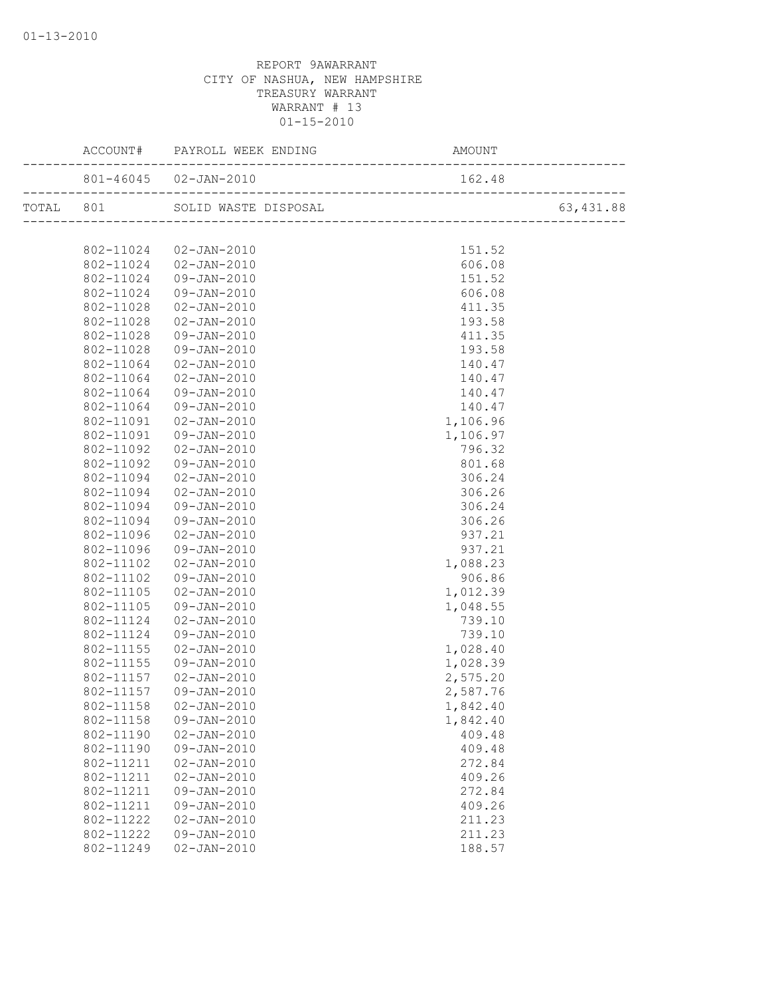|           | 801-46045  02-JAN-2010         | 162.48   |            |
|-----------|--------------------------------|----------|------------|
|           | TOTAL 801 SOLID WASTE DISPOSAL |          | 63, 431.88 |
|           |                                |          |            |
|           | 802-11024  02-JAN-2010         | 151.52   |            |
|           | 802-11024 02-JAN-2010          | 606.08   |            |
| 802-11024 | $09 - JAN - 2010$              | 151.52   |            |
| 802-11024 | $09 - JAN - 2010$              | 606.08   |            |
| 802-11028 | $02 - JAN - 2010$              | 411.35   |            |
| 802-11028 | 02-JAN-2010                    | 193.58   |            |
| 802-11028 | 09-JAN-2010                    | 411.35   |            |
| 802-11028 | 09-JAN-2010                    | 193.58   |            |
| 802-11064 | 02-JAN-2010                    | 140.47   |            |
| 802-11064 | 02-JAN-2010                    | 140.47   |            |
| 802-11064 | 09-JAN-2010                    | 140.47   |            |
| 802-11064 | 09-JAN-2010                    | 140.47   |            |
| 802-11091 | 02-JAN-2010                    | 1,106.96 |            |
| 802-11091 | 09-JAN-2010                    | 1,106.97 |            |
| 802-11092 | 02-JAN-2010                    | 796.32   |            |
| 802-11092 | 09-JAN-2010                    | 801.68   |            |
| 802-11094 | 02-JAN-2010                    | 306.24   |            |
| 802-11094 | 02-JAN-2010                    | 306.26   |            |
| 802-11094 | 09-JAN-2010                    | 306.24   |            |
| 802-11094 | 09-JAN-2010                    | 306.26   |            |
| 802-11096 | 02-JAN-2010                    | 937.21   |            |
| 802-11096 | 09-JAN-2010                    | 937.21   |            |
| 802-11102 | 02-JAN-2010                    | 1,088.23 |            |
| 802-11102 | 09-JAN-2010                    | 906.86   |            |
| 802-11105 | 02-JAN-2010                    | 1,012.39 |            |
| 802-11105 | 09-JAN-2010                    | 1,048.55 |            |
| 802-11124 | 02-JAN-2010                    | 739.10   |            |
| 802-11124 | 09-JAN-2010                    | 739.10   |            |
| 802-11155 | 02-JAN-2010                    | 1,028.40 |            |
| 802-11155 | 09-JAN-2010                    | 1,028.39 |            |
| 802-11157 | 02-JAN-2010                    | 2,575.20 |            |
| 802-11157 | 09-JAN-2010                    | 2,587.76 |            |
| 802-11158 | 02-JAN-2010                    | 1,842.40 |            |
| 802-11158 | 09-JAN-2010                    | 1,842.40 |            |
| 802-11190 | $02 - JAN - 2010$              | 409.48   |            |
| 802-11190 | 09-JAN-2010                    | 409.48   |            |
| 802-11211 | $02 - JAN - 2010$              | 272.84   |            |
| 802-11211 | $02 - JAN - 2010$              | 409.26   |            |
| 802-11211 | 09-JAN-2010                    | 272.84   |            |
| 802-11211 | 09-JAN-2010                    | 409.26   |            |
| 802-11222 | $02 - JAN - 2010$              | 211.23   |            |
| 802-11222 | 09-JAN-2010                    | 211.23   |            |
| 802-11249 | $02 - JAN - 2010$              | 188.57   |            |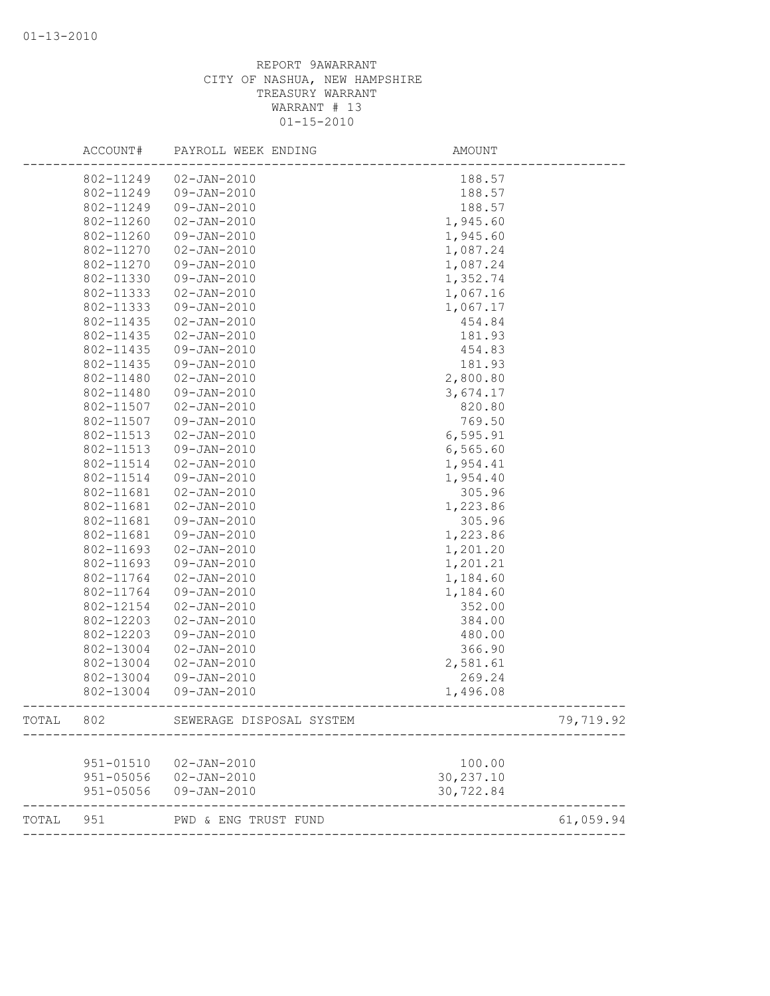|       | ACCOUNT#  | PAYROLL WEEK ENDING      | AMOUNT     |           |
|-------|-----------|--------------------------|------------|-----------|
|       | 802-11249 | $02 - JAN - 2010$        | 188.57     |           |
|       | 802-11249 | 09-JAN-2010              | 188.57     |           |
|       | 802-11249 | 09-JAN-2010              | 188.57     |           |
|       | 802-11260 | $02 - JAN - 2010$        | 1,945.60   |           |
|       | 802-11260 | 09-JAN-2010              | 1,945.60   |           |
|       | 802-11270 | $02 - JAN - 2010$        | 1,087.24   |           |
|       | 802-11270 | 09-JAN-2010              | 1,087.24   |           |
|       | 802-11330 | 09-JAN-2010              | 1,352.74   |           |
|       | 802-11333 | $02 - JAN - 2010$        | 1,067.16   |           |
|       | 802-11333 | 09-JAN-2010              | 1,067.17   |           |
|       | 802-11435 | $02 - JAN - 2010$        | 454.84     |           |
|       | 802-11435 | $02 - JAN - 2010$        | 181.93     |           |
|       | 802-11435 | 09-JAN-2010              | 454.83     |           |
|       | 802-11435 | 09-JAN-2010              | 181.93     |           |
|       | 802-11480 | $02 - JAN - 2010$        | 2,800.80   |           |
|       | 802-11480 | 09-JAN-2010              | 3,674.17   |           |
|       | 802-11507 | $02 - JAN - 2010$        | 820.80     |           |
|       | 802-11507 | 09-JAN-2010              | 769.50     |           |
|       | 802-11513 | $02 - JAN - 2010$        | 6,595.91   |           |
|       | 802-11513 | $09 - JAN - 2010$        | 6, 565.60  |           |
|       | 802-11514 | $02 - JAN - 2010$        | 1,954.41   |           |
|       | 802-11514 | 09-JAN-2010              | 1,954.40   |           |
|       | 802-11681 | $02 - JAN - 2010$        | 305.96     |           |
|       | 802-11681 | $02 - JAN - 2010$        | 1,223.86   |           |
|       | 802-11681 | 09-JAN-2010              | 305.96     |           |
|       | 802-11681 | 09-JAN-2010              | 1,223.86   |           |
|       | 802-11693 | $02 - JAN - 2010$        | 1,201.20   |           |
|       | 802-11693 | 09-JAN-2010              | 1,201.21   |           |
|       | 802-11764 | $02 - JAN - 2010$        | 1,184.60   |           |
|       | 802-11764 | 09-JAN-2010              | 1,184.60   |           |
|       | 802-12154 | $02 - JAN - 2010$        | 352.00     |           |
|       | 802-12203 | $02 - JAN - 2010$        | 384.00     |           |
|       | 802-12203 | 09-JAN-2010              | 480.00     |           |
|       | 802-13004 | $02 - JAN - 2010$        | 366.90     |           |
|       | 802-13004 | $02 - JAN - 2010$        | 2,581.61   |           |
|       | 802-13004 | 09-JAN-2010              | 269.24     |           |
|       | 802-13004 | $09 - JAN - 2010$        | 1,496.08   |           |
| TOTAL | 802       | SEWERAGE DISPOSAL SYSTEM |            | 79,719.92 |
|       |           |                          |            |           |
|       | 951-01510 | $02 - JAN - 2010$        | 100.00     |           |
|       | 951-05056 | $02 - JAN - 2010$        | 30, 237.10 |           |
|       | 951-05056 | 09-JAN-2010              | 30,722.84  |           |
| TOTAL | 951       | PWD & ENG TRUST FUND     |            | 61,059.94 |
|       |           |                          |            |           |